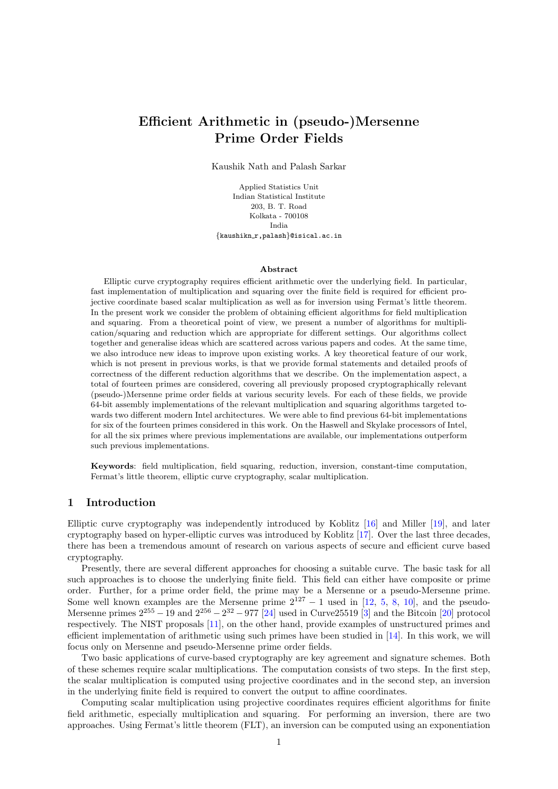# Efficient Arithmetic in (pseudo-)Mersenne Prime Order Fields

Kaushik Nath and Palash Sarkar

Applied Statistics Unit Indian Statistical Institute 203, B. T. Road Kolkata - 700108 India {kaushikn r,palash}@isical.ac.in

#### Abstract

Elliptic curve cryptography requires efficient arithmetic over the underlying field. In particular, fast implementation of multiplication and squaring over the finite field is required for efficient projective coordinate based scalar multiplication as well as for inversion using Fermat's little theorem. In the present work we consider the problem of obtaining efficient algorithms for field multiplication and squaring. From a theoretical point of view, we present a number of algorithms for multiplication/squaring and reduction which are appropriate for different settings. Our algorithms collect together and generalise ideas which are scattered across various papers and codes. At the same time, we also introduce new ideas to improve upon existing works. A key theoretical feature of our work, which is not present in previous works, is that we provide formal statements and detailed proofs of correctness of the different reduction algorithms that we describe. On the implementation aspect, a total of fourteen primes are considered, covering all previously proposed cryptographically relevant (pseudo-)Mersenne prime order fields at various security levels. For each of these fields, we provide 64-bit assembly implementations of the relevant multiplication and squaring algorithms targeted towards two different modern Intel architectures. We were able to find previous 64-bit implementations for six of the fourteen primes considered in this work. On the Haswell and Skylake processors of Intel, for all the six primes where previous implementations are available, our implementations outperform such previous implementations.

Keywords: field multiplication, field squaring, reduction, inversion, constant-time computation, Fermat's little theorem, elliptic curve cryptography, scalar multiplication.

## 1 Introduction

Elliptic curve cryptography was independently introduced by Koblitz [\[16\]](#page-36-0) and Miller [\[19\]](#page-36-1), and later cryptography based on hyper-elliptic curves was introduced by Koblitz [\[17\]](#page-36-2). Over the last three decades, there has been a tremendous amount of research on various aspects of secure and efficient curve based cryptography.

Presently, there are several different approaches for choosing a suitable curve. The basic task for all such approaches is to choose the underlying finite field. This field can either have composite or prime order. Further, for a prime order field, the prime may be a Mersenne or a pseudo-Mersenne prime. Some well known examples are the Mersenne prime  $2^{127} - 1$  used in [\[12,](#page-35-0) [5,](#page-35-1) [8,](#page-35-2) [10\]](#page-35-3), and the pseudo-Mersenne primes  $2^{255} - 19$  and  $2^{256} - 2^{32} - 977$  [\[24\]](#page-36-3) used in Curve 25519 [\[3\]](#page-35-4) and the Bitcoin [\[20\]](#page-36-4) protocol respectively. The NIST proposals [\[11\]](#page-35-5), on the other hand, provide examples of unstructured primes and efficient implementation of arithmetic using such primes have been studied in [\[14\]](#page-35-6). In this work, we will focus only on Mersenne and pseudo-Mersenne prime order fields.

Two basic applications of curve-based cryptography are key agreement and signature schemes. Both of these schemes require scalar multiplications. The computation consists of two steps. In the first step, the scalar multiplication is computed using projective coordinates and in the second step, an inversion in the underlying finite field is required to convert the output to affine coordinates.

Computing scalar multiplication using projective coordinates requires efficient algorithms for finite field arithmetic, especially multiplication and squaring. For performing an inversion, there are two approaches. Using Fermat's little theorem (FLT), an inversion can be computed using an exponentiation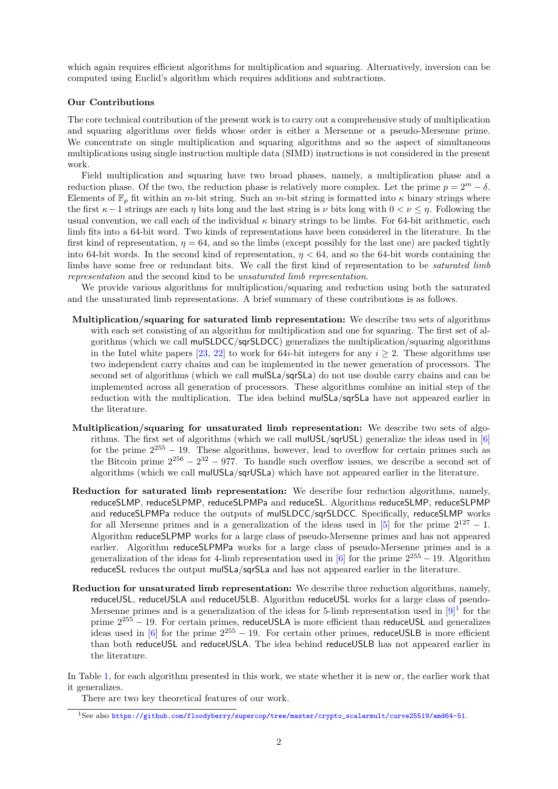which again requires efficient algorithms for multiplication and squaring. Alternatively, inversion can be computed using Euclid's algorithm which requires additions and subtractions.

### Our Contributions

The core technical contribution of the present work is to carry out a comprehensive study of multiplication and squaring algorithms over fields whose order is either a Mersenne or a pseudo-Mersenne prime. We concentrate on single multiplication and squaring algorithms and so the aspect of simultaneous multiplications using single instruction multiple data (SIMD) instructions is not considered in the present work.

Field multiplication and squaring have two broad phases, namely, a multiplication phase and a reduction phase. Of the two, the reduction phase is relatively more complex. Let the prime  $p = 2^m - \delta$ . Elements of  $\mathbb{F}_p$  fit within an m-bit string. Such an m-bit string is formatted into  $\kappa$  binary strings where the first  $\kappa - 1$  strings are each  $\eta$  bits long and the last string is  $\nu$  bits long with  $0 < \nu \leq \eta$ . Following the usual convention, we call each of the individual  $\kappa$  binary strings to be limbs. For 64-bit arithmetic, each limb fits into a 64-bit word. Two kinds of representations have been considered in the literature. In the first kind of representation,  $\eta = 64$ , and so the limbs (except possibly for the last one) are packed tightly into 64-bit words. In the second kind of representation,  $\eta < 64$ , and so the 64-bit words containing the limbs have some free or redundant bits. We call the first kind of representation to be *saturated limb* representation and the second kind to be unsaturated limb representation.

We provide various algorithms for multiplication/squaring and reduction using both the saturated and the unsaturated limb representations. A brief summary of these contributions is as follows.

- Multiplication/squaring for saturated limb representation: We describe two sets of algorithms with each set consisting of an algorithm for multiplication and one for squaring. The first set of algorithms (which we call mulSLDCC/sqrSLDCC) generalizes the multiplication/squaring algorithms in the Intel white papers [\[23,](#page-36-5) [22\]](#page-36-6) to work for 64*i*-bit integers for any  $i \geq 2$ . These algorithms use two independent carry chains and can be implemented in the newer generation of processors. The second set of algorithms (which we call mulSLa/sqrSLa) do not use double carry chains and can be implemented across all generation of processors. These algorithms combine an initial step of the reduction with the multiplication. The idea behind mulSLa/sqrSLa have not appeared earlier in the literature.
- Multiplication/squaring for unsaturated limb representation: We describe two sets of algorithms. The first set of algorithms (which we call mulUSL/sqrUSL) generalize the ideas used in [\[6\]](#page-35-7) for the prime  $2^{255} - 19$ . These algorithms, however, lead to overflow for certain primes such as the Bitcoin prime  $2^{256} - 2^{32} - 977$ . To handle such overflow issues, we describe a second set of algorithms (which we call mulUSLa/sqrUSLa) which have not appeared earlier in the literature.
- Reduction for saturated limb representation: We describe four reduction algorithms, namely, reduceSLMP, reduceSLPMP, reduceSLPMPa and reduceSL. Algorithms reduceSLMP, reduceSLPMP and reduceSLPMPa reduce the outputs of mulSLDCC/sqrSLDCC. Specifically, reduceSLMP works for all Mersenne primes and is a generalization of the ideas used in [\[5\]](#page-35-1) for the prime  $2^{127} - 1$ . Algorithm reduceSLPMP works for a large class of pseudo-Mersenne primes and has not appeared earlier. Algorithm reduceSLPMPa works for a large class of pseudo-Mersenne primes and is a generalization of the ideas for 4-limb representation used in [\[6\]](#page-35-7) for the prime  $2^{255} - 19$ . Algorithm reduceSL reduces the output mulSLa/sqrSLa and has not appeared earlier in the literature.
- Reduction for unsaturated limb representation: We describe three reduction algorithms, namely, reduceUSL, reduceUSLA and reduceUSLB. Algorithm reduceUSL works for a large class of pseudo-Mersenne primes and is a generalization of the ideas for 5-limb representation used in  $[9]^1$  $[9]^1$  $[9]^1$  for the prime  $2^{255}$  − 19. For certain primes, reduceUSLA is more efficient than reduceUSL and generalizes ideas used in [\[6\]](#page-35-7) for the prime  $2^{255} - 19$ . For certain other primes, reduceUSLB is more efficient than both reduceUSL and reduceUSLA. The idea behind reduceUSLB has not appeared earlier in the literature.

In Table [1,](#page-2-0) for each algorithm presented in this work, we state whether it is new or, the earlier work that it generalizes.

There are two key theoretical features of our work.

<span id="page-1-0"></span><sup>1</sup>See also [https://github.com/floodyberry/supercop/tree/master/crypto\\_scalarmult/curve25519/amd64-51](https://github.com/floodyberry/supercop/tree/master/crypto_scalarmult/curve25519/amd64-51).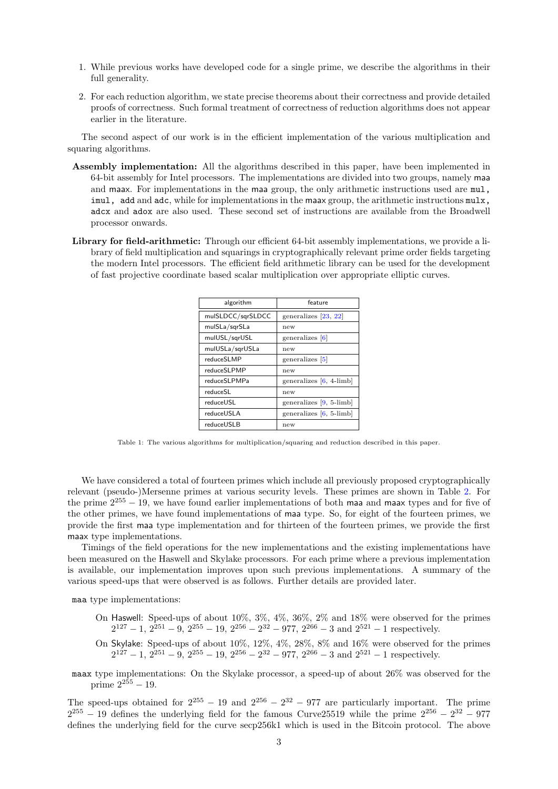- 1. While previous works have developed code for a single prime, we describe the algorithms in their full generality.
- 2. For each reduction algorithm, we state precise theorems about their correctness and provide detailed proofs of correctness. Such formal treatment of correctness of reduction algorithms does not appear earlier in the literature.

The second aspect of our work is in the efficient implementation of the various multiplication and squaring algorithms.

- Assembly implementation: All the algorithms described in this paper, have been implemented in 64-bit assembly for Intel processors. The implementations are divided into two groups, namely maa and maax. For implementations in the maa group, the only arithmetic instructions used are mul, imul, add and adc, while for implementations in the maax group, the arithmetic instructions mulx, adcx and adox are also used. These second set of instructions are available from the Broadwell processor onwards.
- <span id="page-2-0"></span>Library for field-arithmetic: Through our efficient 64-bit assembly implementations, we provide a library of field multiplication and squarings in cryptographically relevant prime order fields targeting the modern Intel processors. The efficient field arithmetic library can be used for the development of fast projective coordinate based scalar multiplication over appropriate elliptic curves.

| algorithm         | feature                   |
|-------------------|---------------------------|
| mulSLDCC/sqrSLDCC | generalizes [23, 22]      |
| mulSLa/sqrSLa     | new                       |
| mulUSL/sqrUSL     | generalizes [6]           |
| mulUSLa/sqrUSLa   | new                       |
| reduceSLMP        | generalizes [5]           |
| reduceSLPMP       | new                       |
| reduceSLPMPa      | generalizes $[6, 4$ -limb |
| reduceSL          | new                       |
| reduceUSL         | generalizes $[9, 5$ -limb |
| reduceUSLA        | generalizes $[6, 5$ -limb |
| reduceUSLB        | new                       |

Table 1: The various algorithms for multiplication/squaring and reduction described in this paper.

We have considered a total of fourteen primes which include all previously proposed cryptographically relevant (pseudo-)Mersenne primes at various security levels. These primes are shown in Table [2.](#page-3-0) For the prime  $2^{255} - 19$ , we have found earlier implementations of both maa and maax types and for five of the other primes, we have found implementations of maa type. So, for eight of the fourteen primes, we provide the first maa type implementation and for thirteen of the fourteen primes, we provide the first maax type implementations.

Timings of the field operations for the new implementations and the existing implementations have been measured on the Haswell and Skylake processors. For each prime where a previous implementation is available, our implementation improves upon such previous implementations. A summary of the various speed-ups that were observed is as follows. Further details are provided later.

maa type implementations:

- On Haswell: Speed-ups of about 10%, 3%, 4%, 36%, 2% and 18% were observed for the primes  $2^{127} - 1$ ,  $2^{251} - 9$ ,  $2^{255} - 19$ ,  $2^{256} - 2^{32} - 977$ ,  $2^{266} - 3$  and  $2^{521} - 1$  respectively.
- On Skylake: Speed-ups of about 10%, 12%, 4%, 28%, 8% and 16% were observed for the primes  $2^{127} - 1$ ,  $2^{251} - 9$ ,  $2^{255} - 19$ ,  $2^{256} - 2^{32} - 977$ ,  $2^{266} - 3$  and  $2^{521} - 1$  respectively.
- maax type implementations: On the Skylake processor, a speed-up of about 26% was observed for the prime  $2^{255} - 19$ .

The speed-ups obtained for  $2^{255} - 19$  and  $2^{256} - 2^{32} - 977$  are particularly important. The prime  $2^{255} - 19$  defines the underlying field for the famous Curve 25519 while the prime  $2^{256} - 2^{32} - 977$ defines the underlying field for the curve secp256k1 which is used in the Bitcoin protocol. The above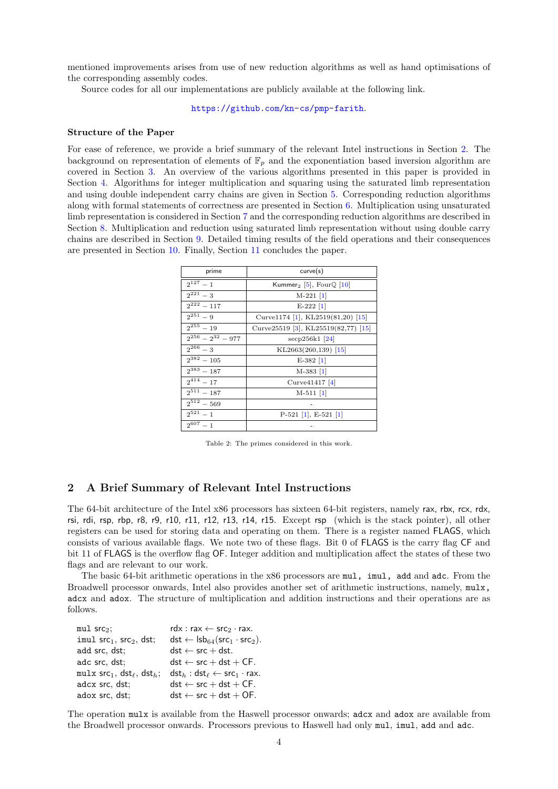mentioned improvements arises from use of new reduction algorithms as well as hand optimisations of the corresponding assembly codes.

Source codes for all our implementations are publicly available at the following link.

<https://github.com/kn-cs/pmp-farith>.

### Structure of the Paper

For ease of reference, we provide a brief summary of the relevant Intel instructions in Section [2.](#page-3-1) The background on representation of elements of  $\mathbb{F}_p$  and the exponentiation based inversion algorithm are covered in Section [3.](#page-4-0) An overview of the various algorithms presented in this paper is provided in Section [4.](#page-6-0) Algorithms for integer multiplication and squaring using the saturated limb representation and using double independent carry chains are given in Section [5.](#page-9-0) Corresponding reduction algorithms along with formal statements of correctness are presented in Section [6.](#page-10-0) Multiplication using unsaturated limb representation is considered in Section [7](#page-21-0) and the corresponding reduction algorithms are described in Section [8.](#page-24-0) Multiplication and reduction using saturated limb representation without using double carry chains are described in Section [9.](#page-31-0) Detailed timing results of the field operations and their consequences are presented in Section [10.](#page-32-0) Finally, Section [11](#page-34-0) concludes the paper.

<span id="page-3-0"></span>

| prime                               | curve(s)                                       |  |  |  |  |
|-------------------------------------|------------------------------------------------|--|--|--|--|
| $2^{127} - 1$                       | Kummer <sub>2</sub> [5], Four $\mathbb Q$ [10] |  |  |  |  |
| $2^{221} - 3$                       | $M-221$ [1]                                    |  |  |  |  |
| $2^{222} - 117$                     | $E-222$ [1]                                    |  |  |  |  |
| $2^{251} - 9$                       | Curve $1174$ [1], KL2519(81,20) [15]           |  |  |  |  |
| $2^{255} - 19$                      | Curve25519 [3], KL25519(82,77) [15]            |  |  |  |  |
| $\overline{2^{256}} - 2^{32} - 977$ | $\sec p256k1$  24                              |  |  |  |  |
| $2^{266} - 3$                       | $KL2663(260,139)$ [15]                         |  |  |  |  |
| $2^{382} - 105$                     | $E-382$  1                                     |  |  |  |  |
| $2^{383} - 187$                     | $M-383$  1                                     |  |  |  |  |
| $2^{414} - 17$                      | Curve $41417$ [4]                              |  |  |  |  |
| $2^{511} - 187$                     | $M-511$ [1]                                    |  |  |  |  |
| $2^{512} - 569$                     |                                                |  |  |  |  |
| $2^{521} - 1$                       | $P-521$ [1], E-521 [1]                         |  |  |  |  |
| $2^{607} - 1$                       |                                                |  |  |  |  |

Table 2: The primes considered in this work.

# <span id="page-3-1"></span>2 A Brief Summary of Relevant Intel Instructions

The 64-bit architecture of the Intel x86 processors has sixteen 64-bit registers, namely rax, rbx, rcx, rdx, rsi, rdi, rsp, rbp, r8, r9, r10, r11, r12, r13, r14, r15. Except rsp (which is the stack pointer), all other registers can be used for storing data and operating on them. There is a register named FLAGS, which consists of various available flags. We note two of these flags. Bit 0 of FLAGS is the carry flag CF and bit 11 of FLAGS is the overflow flag OF. Integer addition and multiplication affect the states of these two flags and are relevant to our work.

The basic 64-bit arithmetic operations in the x86 processors are mul, imul, add and adc. From the Broadwell processor onwards, Intel also provides another set of arithmetic instructions, namely, mulx, adcx and adox. The structure of multiplication and addition instructions and their operations are as follows.

| mul src <sub>2</sub> :                  | rdx : rax $\leftarrow$ src <sub>2</sub> · rax.                                       |
|-----------------------------------------|--------------------------------------------------------------------------------------|
| imul $src_1$ , $src_2$ , dst;           | dst $\leftarrow$ lsb <sub>64</sub> (src <sub>1</sub> · src <sub>2</sub> ).           |
| add src, dst;                           | $dst \leftarrow src + dst.$                                                          |
| adc src. dst:                           | $dst \leftarrow src + dst + CF.$                                                     |
| mulx $src_1$ , $dst_{\ell}$ , $dst_h$ ; | $\mathsf{dst}_h : \mathsf{dst}_{\ell} \leftarrow \mathsf{src}_1 \cdot \mathsf{rex}.$ |
| adcx src, dst;                          | $dst \leftarrow src + dst + CF.$                                                     |
| adox src, dst;                          | $dst \leftarrow src + dst + OF.$                                                     |

The operation mulx is available from the Haswell processor onwards; adcx and adox are available from the Broadwell processor onwards. Processors previous to Haswell had only mul, imul, add and adc.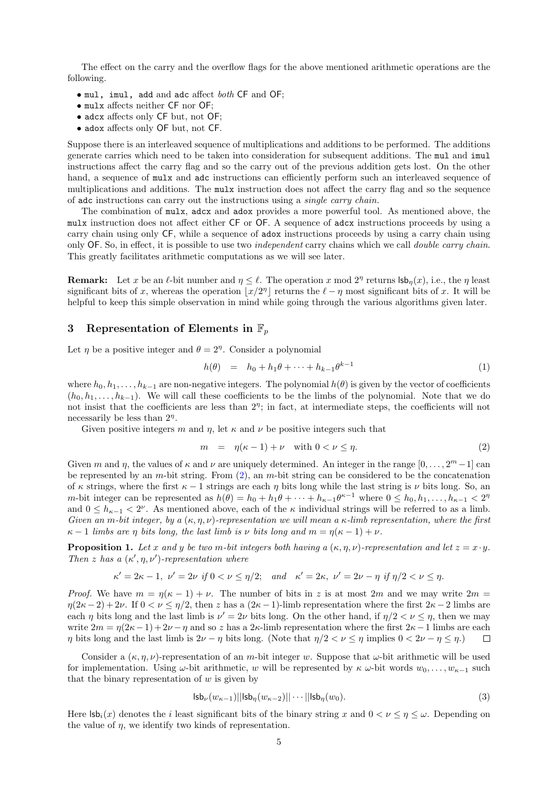The effect on the carry and the overflow flags for the above mentioned arithmetic operations are the following.

- mul, imul, add and adc affect both CF and OF;
- mulx affects neither CF nor OF;
- adcx affects only CF but, not OF;
- adox affects only OF but, not CF.

Suppose there is an interleaved sequence of multiplications and additions to be performed. The additions generate carries which need to be taken into consideration for subsequent additions. The mul and imul instructions affect the carry flag and so the carry out of the previous addition gets lost. On the other hand, a sequence of  $mulx$  and adc instructions can efficiently perform such an interleaved sequence of multiplications and additions. The mulx instruction does not affect the carry flag and so the sequence of adc instructions can carry out the instructions using a single carry chain.

The combination of mulx, adcx and adox provides a more powerful tool. As mentioned above, the mulx instruction does not affect either CF or OF. A sequence of adcx instructions proceeds by using a carry chain using only CF, while a sequence of adox instructions proceeds by using a carry chain using only OF. So, in effect, it is possible to use two independent carry chains which we call double carry chain. This greatly facilitates arithmetic computations as we will see later.

**Remark:** Let x be an  $\ell$ -bit number and  $\eta \leq \ell$ . The operation x mod  $2^{\eta}$  returns  $\mathsf{lsb}_{\eta}(x)$ , i.e., the  $\eta$  least significant bits of x, whereas the operation  $|x/2^{\eta}|$  returns the  $\ell - \eta$  most significant bits of x. It will be helpful to keep this simple observation in mind while going through the various algorithms given later.

# <span id="page-4-0"></span>3 Representation of Elements in  $\mathbb{F}_p$

Let  $\eta$  be a positive integer and  $\theta = 2^{\eta}$ . Consider a polynomial

$$
h(\theta) = h_0 + h_1 \theta + \dots + h_{k-1} \theta^{k-1}
$$
\n(1)

where  $h_0, h_1, \ldots, h_{k-1}$  are non-negative integers. The polynomial  $h(\theta)$  is given by the vector of coefficients  $(h_0, h_1, \ldots, h_{k-1})$ . We will call these coefficients to be the limbs of the polynomial. Note that we do not insist that the coefficients are less than  $2^{\eta}$ ; in fact, at intermediate steps, the coefficients will not necessarily be less than  $2<sup>\eta</sup>$ .

Given positive integers m and  $\eta$ , let  $\kappa$  and  $\nu$  be positive integers such that

<span id="page-4-1"></span>
$$
m = \eta(\kappa - 1) + \nu \quad \text{with } 0 < \nu \le \eta. \tag{2}
$$

Given m and  $\eta$ , the values of  $\kappa$  and  $\nu$  are uniquely determined. An integer in the range  $[0, \ldots, 2^m-1]$  can be represented by an m-bit string. From  $(2)$ , an m-bit string can be considered to be the concatenation of  $\kappa$  strings, where the first  $\kappa - 1$  strings are each  $\eta$  bits long while the last string is  $\nu$  bits long. So, an *m*-bit integer can be represented as  $h(\theta) = h_0 + h_1 \theta + \cdots + h_{\kappa-1} \theta^{\kappa-1}$  where  $0 \leq h_0, h_1, \ldots, h_{\kappa-1} < 2^{\eta}$ and  $0 \leq h_{\kappa-1} < 2^{\nu}$ . As mentioned above, each of the  $\kappa$  individual strings will be referred to as a limb. Given an m-bit integer, by a  $(\kappa, \eta, \nu)$ -representation we will mean a  $\kappa$ -limb representation, where the first  $\kappa - 1$  limbs are η bits long, the last limb is ν bits long and  $m = \eta(\kappa - 1) + \nu$ .

<span id="page-4-2"></span>**Proposition 1.** Let x and y be two m-bit integers both having a  $(\kappa, \eta, \nu)$ -representation and let  $z = x \cdot y$ . Then z has a  $(\kappa', \eta, \nu')$ -representation where

$$
\kappa'=2\kappa-1,\ \nu'=2\nu\ \text{if}\ 0<\nu\leq\eta/2;\quad\text{and}\quad \kappa'=2\kappa,\ \nu'=2\nu-\eta\ \text{if}\ \eta/2<\nu\leq\eta.
$$

*Proof.* We have  $m = \eta(\kappa - 1) + \nu$ . The number of bits in z is at most 2m and we may write 2m =  $\eta(2\kappa-2)+2\nu$ . If  $0 < \nu \leq \eta/2$ , then z has a  $(2\kappa-1)$ -limb representation where the first  $2\kappa-2$  limbs are each  $\eta$  bits long and the last limb is  $\nu' = 2\nu$  bits long. On the other hand, if  $\eta/2 < \nu \leq \eta$ , then we may write  $2m = \eta(2\kappa - 1) + 2\nu - \eta$  and so z has a 2κ-limb representation where the first  $2\kappa - 1$  limbs are each η bits long and the last limb is  $2\nu - \eta$  bits long. (Note that  $\eta/2 < \nu < \eta$  implies  $0 < 2\nu - \eta < \eta$ .)  $\Box$ 

Consider a  $(\kappa, \eta, \nu)$ -representation of an m-bit integer w. Suppose that  $\omega$ -bit arithmetic will be used for implementation. Using  $\omega$ -bit arithmetic, w will be represented by  $\kappa \omega$ -bit words  $w_0, \ldots, w_{\kappa-1}$  such that the binary representation of  $w$  is given by

$$
|\mathsf{s}\mathsf{b}_{\nu}(w_{\kappa-1})||\mathsf{s}\mathsf{b}_{\eta}(w_{\kappa-2})||\cdots||\mathsf{s}\mathsf{b}_{\eta}(w_{0}).
$$
\n(3)

Here  $\mathsf{lsb}_i(x)$  denotes the i least significant bits of the binary string x and  $0 < \nu \leq \eta \leq \omega$ . Depending on the value of  $\eta$ , we identify two kinds of representation.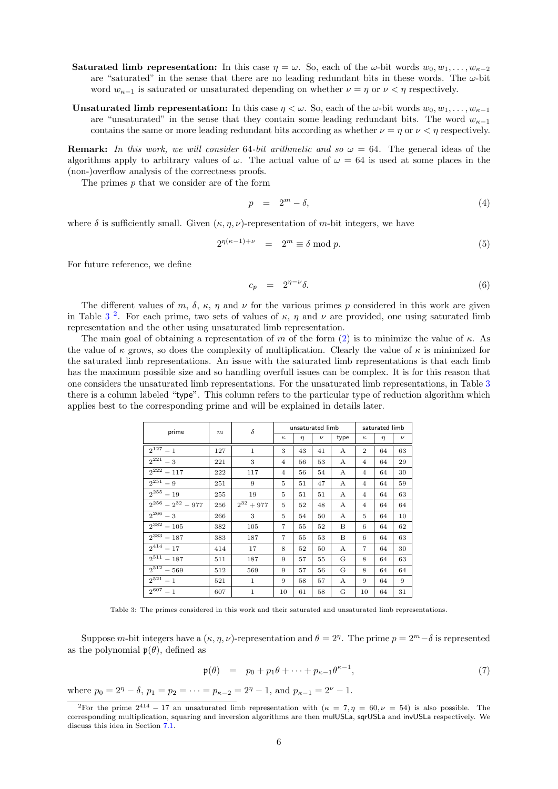- Saturated limb representation: In this case  $\eta = \omega$ . So, each of the  $\omega$ -bit words  $w_0, w_1, \ldots, w_{\kappa-2}$ are "saturated" in the sense that there are no leading redundant bits in these words. The  $\omega$ -bit word  $w_{\kappa-1}$  is saturated or unsaturated depending on whether  $\nu = \eta$  or  $\nu < \eta$  respectively.
- **Unsaturated limb representation:** In this case  $\eta < \omega$ . So, each of the  $\omega$ -bit words  $w_0, w_1, \ldots, w_{\kappa-1}$ are "unsaturated" in the sense that they contain some leading redundant bits. The word  $w_{\kappa-1}$ contains the same or more leading redundant bits according as whether  $\nu = \eta$  or  $\nu < \eta$  respectively.

**Remark:** In this work, we will consider 64-bit arithmetic and so  $\omega = 64$ . The general ideas of the algorithms apply to arbitrary values of  $\omega$ . The actual value of  $\omega = 64$  is used at some places in the (non-)overflow analysis of the correctness proofs.

The primes  $p$  that we consider are of the form

$$
p = 2^m - \delta,\tag{4}
$$

where  $\delta$  is sufficiently small. Given  $(\kappa, n, \nu)$ -representation of m-bit integers, we have

<span id="page-5-2"></span>
$$
2^{\eta(\kappa-1)+\nu} = 2^m \equiv \delta \bmod p. \tag{5}
$$

For future reference, we define

$$
c_p = 2^{\eta - \nu} \delta. \tag{6}
$$

The different values of m,  $\delta$ ,  $\kappa$ ,  $\eta$  and  $\nu$  for the various primes p considered in this work are given in Table [3](#page-5-0)<sup>[2](#page-5-1)</sup>. For each prime, two sets of values of  $\kappa$ ,  $\eta$  and  $\nu$  are provided, one using saturated limb representation and the other using unsaturated limb representation.

The main goal of obtaining a representation of m of the form [\(2\)](#page-4-1) is to minimize the value of  $\kappa$ . As the value of  $\kappa$  grows, so does the complexity of multiplication. Clearly the value of  $\kappa$  is minimized for the saturated limb representations. An issue with the saturated limb representations is that each limb has the maximum possible size and so handling overfull issues can be complex. It is for this reason that one considers the unsaturated limb representations. For the unsaturated limb representations, in Table [3](#page-5-0) there is a column labeled "type". This column refers to the particular type of reduction algorithm which applies best to the corresponding prime and will be explained in details later.

<span id="page-5-0"></span>

| prime                    | $\delta$<br>m | unsaturated limb |                |        | saturated limb |              |                |        |       |
|--------------------------|---------------|------------------|----------------|--------|----------------|--------------|----------------|--------|-------|
|                          |               |                  | $\kappa$       | $\eta$ | $\nu$          | type         | $\kappa$       | $\eta$ | $\nu$ |
| $2^{127} - 1$            | 127           | $\mathbf{1}$     | 3              | 43     | 41             | $\mathbf{A}$ | $\overline{2}$ | 64     | 63    |
| $2^{221} - 3$            | 221           | 3                | $\overline{4}$ | 56     | 53             | A            | $\overline{4}$ | 64     | 29    |
| $2^{222} - 117$          | 222           | 117              | $\overline{4}$ | 56     | 54             | A            | $\overline{4}$ | 64     | 30    |
| $2^{251} - 9$            | 251           | 9                | 5              | 51     | 47             | А            | $\overline{4}$ | 64     | 59    |
| $2^{255} - 19$           | 255           | 19               | 5              | 51     | 51             | $\mathbf{A}$ | $\overline{4}$ | 64     | 63    |
| $2^{256} - 2^{32} - 977$ | 256           | $2^{32} + 977$   | 5              | 52     | 48             | A            | $\overline{4}$ | 64     | 64    |
| $2^{266} - 3$            | 266           | 3                | 5              | 54     | 50             | A            | 5              | 64     | 10    |
| $\sqrt{2^{382}} - 105$   | 382           | 105              | $\overline{7}$ | 55     | 52             | B            | 6              | 64     | 62    |
| $2^{383} - 187$          | 383           | 187              | $\overline{7}$ | 55     | 53             | B            | 6              | 64     | 63    |
| $2^{414} - 17$           | 414           | 17               | 8              | 52     | 50             | А            | 7              | 64     | 30    |
| $\sqrt{2}^{511} - 187$   | 511           | 187              | 9              | 57     | 55             | G            | 8              | 64     | 63    |
| $2^{512} - 569$          | 512           | 569              | 9              | 57     | 56             | G            | 8              | 64     | 64    |
| $2^{521} - 1$            | 521           | 1                | 9              | 58     | 57             | A            | 9              | 64     | 9     |
| $2^{607} - 1$            | 607           | $\mathbf{1}$     | 10             | 61     | 58             | G            | 10             | 64     | 31    |

Table 3: The primes considered in this work and their saturated and unsaturated limb representations.

Suppose m-bit integers have a  $(\kappa, \eta, \nu)$ -representation and  $\theta = 2^{\eta}$ . The prime  $p = 2^m - \delta$  is represented as the polynomial  $\mathfrak{p}(\theta)$ , defined as

$$
\mathfrak{p}(\theta) = p_0 + p_1 \theta + \dots + p_{\kappa-1} \theta^{\kappa-1}, \tag{7}
$$

where  $p_0 = 2^{\eta} - \delta$ ,  $p_1 = p_2 = \cdots = p_{\kappa-2} = 2^{\eta} - 1$ , and  $p_{\kappa-1} = 2^{\nu} - 1$ .

<span id="page-5-1"></span><sup>&</sup>lt;sup>2</sup>For the prime  $2^{414}$  – 17 an unsaturated limb representation with  $(\kappa = 7, \eta = 60, \nu = 54)$  is also possible. The corresponding multiplication, squaring and inversion algorithms are then mulUSLa, sqrUSLa and invUSLa respectively. We discuss this idea in Section [7.1.](#page-22-0)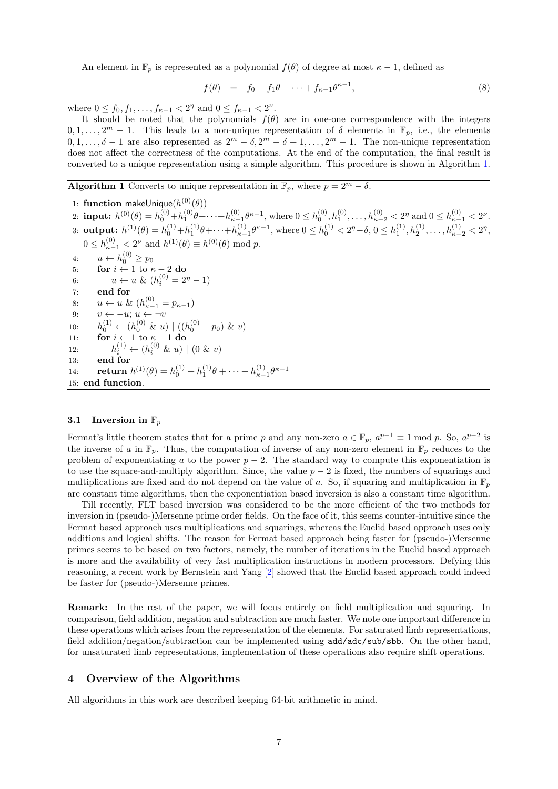An element in  $\mathbb{F}_p$  is represented as a polynomial  $f(\theta)$  of degree at most  $\kappa - 1$ , defined as

$$
f(\theta) = f_0 + f_1 \theta + \dots + f_{\kappa - 1} \theta^{\kappa - 1}, \tag{8}
$$

where  $0 \le f_0, f_1, \ldots, f_{\kappa-1} < 2^{\eta}$  and  $0 \le f_{\kappa-1} < 2^{\nu}$ .

It should be noted that the polynomials  $f(\theta)$  are in one-one correspondence with the integers  $0, 1, \ldots, 2^m - 1$ . This leads to a non-unique representation of  $\delta$  elements in  $\mathbb{F}_p$ , i.e., the elements  $0, 1, \ldots, \delta - 1$  are also represented as  $2^m - \delta, 2^m - \delta + 1, \ldots, 2^m - 1$ . The non-unique representation does not affect the correctness of the computations. At the end of the computation, the final result is converted to a unique representation using a simple algorithm. This procedure is shown in Algorithm [1.](#page-6-1)

<span id="page-6-1"></span>**Algorithm 1** Converts to unique representation in  $\mathbb{F}_p$ , where  $p = 2^m - \delta$ .

1: function makeUnique $(h^{(0)}(\theta))$  $h^{(0)}(0) = h^{(0)}_0 + h^{(0)}_1 \theta + \cdots + h^{(0)}_{\kappa-1} \theta^{\kappa-1}, \text{ where } 0 \leq h^{(0)}_0, h^{(0)}_1, \ldots, h^{(0)}_{\kappa-2} < 2^\eta \text{ and } 0 \leq h^{(0)}_{\kappa-1} < 2^\nu.$  $\text{sub} \textbf{u}: \ h^{(1)}(\theta) = h_0^{(1)} + h_1^{(1)} \theta + \cdots + h_{\kappa-1}^{(1)} \theta^{\kappa-1}, \ \text{where} \ 0 \leq h_0^{(1)} < 2^{\eta} - \delta, \ 0 \leq h_1^{(1)}, h_2^{(1)}, \ldots, h_{\kappa-2}^{(1)} < 2^{\eta},$  $0 \le h_{\kappa-1}^{(0)} < 2^{\nu}$  and  $h^{(1)}(\theta) \equiv h^{(0)}(\theta) \bmod p$ . 4:  $u \leftarrow h_0^{(0)} \ge p_0$ 5: for  $i \leftarrow 1$  to  $\kappa - 2$  do 6:  $u \leftarrow u \& (h_i^{(0)} = 2^n - 1)$ 7: end for 8:  $u \leftarrow u \& (h_{\kappa-1}^{(0)} = p_{\kappa-1})$ 9:  $v \leftarrow -u; u \leftarrow -v$ 10:  $h_0^{(1)} \leftarrow (h_0^{(0)} \& u) \mid ((h_0^{(0)} - p_0) \& v)$ 11: **for**  $i \leftarrow 1$  to  $\kappa - 1$  do 12:  $h_i^{(1)} \leftarrow (h_i^{(0)} \& u) \mid (0 \& v)$ 13: end for 14: **return**  $h^{(1)}(\theta) = h_0^{(1)} + h_1^{(1)}\theta + \cdots + h_{\kappa-1}^{(1)}\theta^{\kappa-1}$ 15: end function.

### 3.1 Inversion in  $\mathbb{F}_p$

Fermat's little theorem states that for a prime p and any non-zero  $a \in \mathbb{F}_p$ ,  $a^{p-1} \equiv 1 \mod p$ . So,  $a^{p-2}$  is the inverse of a in  $\mathbb{F}_p$ . Thus, the computation of inverse of any non-zero element in  $\mathbb{F}_p$  reduces to the problem of exponentiating a to the power  $p-2$ . The standard way to compute this exponentiation is to use the square-and-multiply algorithm. Since, the value  $p-2$  is fixed, the numbers of squarings and multiplications are fixed and do not depend on the value of a. So, if squaring and multiplication in  $\mathbb{F}_p$ are constant time algorithms, then the exponentiation based inversion is also a constant time algorithm.

Till recently, FLT based inversion was considered to be the more efficient of the two methods for inversion in (pseudo-)Mersenne prime order fields. On the face of it, this seems counter-intuitive since the Fermat based approach uses multiplications and squarings, whereas the Euclid based approach uses only additions and logical shifts. The reason for Fermat based approach being faster for (pseudo-)Mersenne primes seems to be based on two factors, namely, the number of iterations in the Euclid based approach is more and the availability of very fast multiplication instructions in modern processors. Defying this reasoning, a recent work by Bernstein and Yang [\[2\]](#page-35-12) showed that the Euclid based approach could indeed be faster for (pseudo-)Mersenne primes.

Remark: In the rest of the paper, we will focus entirely on field multiplication and squaring. In comparison, field addition, negation and subtraction are much faster. We note one important difference in these operations which arises from the representation of the elements. For saturated limb representations, field addition/negation/subtraction can be implemented using add/adc/sub/sbb. On the other hand, for unsaturated limb representations, implementation of these operations also require shift operations.

## <span id="page-6-0"></span>4 Overview of the Algorithms

All algorithms in this work are described keeping 64-bit arithmetic in mind.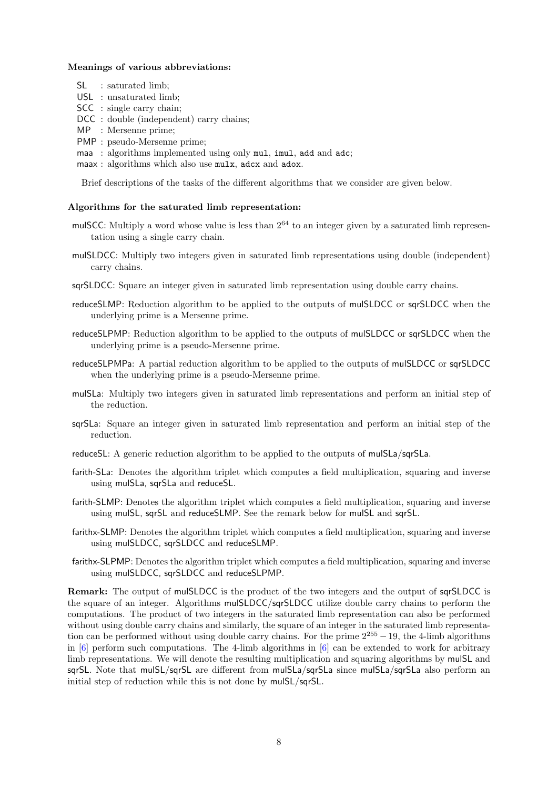### Meanings of various abbreviations:

- SL : saturated limb:
- USL : unsaturated limb;
- SCC : single carry chain;
- DCC : double (independent) carry chains;
- MP : Mersenne prime;
- PMP : pseudo-Mersenne prime;
- maa : algorithms implemented using only mul, imul, add and adc;
- maax : algorithms which also use mulx, adcx and adox.

Brief descriptions of the tasks of the different algorithms that we consider are given below.

### Algorithms for the saturated limb representation:

- mulSCC: Multiply a word whose value is less than  $2^{64}$  to an integer given by a saturated limb representation using a single carry chain.
- mulSLDCC: Multiply two integers given in saturated limb representations using double (independent) carry chains.
- sqrSLDCC: Square an integer given in saturated limb representation using double carry chains.
- reduceSLMP: Reduction algorithm to be applied to the outputs of mulSLDCC or sqrSLDCC when the underlying prime is a Mersenne prime.
- reduceSLPMP: Reduction algorithm to be applied to the outputs of mulSLDCC or sqrSLDCC when the underlying prime is a pseudo-Mersenne prime.
- reduceSLPMPa: A partial reduction algorithm to be applied to the outputs of mulSLDCC or sqrSLDCC when the underlying prime is a pseudo-Mersenne prime.
- mulSLa: Multiply two integers given in saturated limb representations and perform an initial step of the reduction.
- sqrSLa: Square an integer given in saturated limb representation and perform an initial step of the reduction.
- reduceSL: A generic reduction algorithm to be applied to the outputs of mulSLa/sqrSLa.
- farith-SLa: Denotes the algorithm triplet which computes a field multiplication, squaring and inverse using mulSLa, sqrSLa and reduceSL.
- farith-SLMP: Denotes the algorithm triplet which computes a field multiplication, squaring and inverse using mulSL, sqrSL and reduceSLMP. See the remark below for mulSL and sqrSL.
- farithx-SLMP: Denotes the algorithm triplet which computes a field multiplication, squaring and inverse using mulSLDCC, sqrSLDCC and reduceSLMP.
- farithx-SLPMP: Denotes the algorithm triplet which computes a field multiplication, squaring and inverse using mulSLDCC, sqrSLDCC and reduceSLPMP.

Remark: The output of mulSLDCC is the product of the two integers and the output of sqrSLDCC is the square of an integer. Algorithms mulSLDCC/sqrSLDCC utilize double carry chains to perform the computations. The product of two integers in the saturated limb representation can also be performed without using double carry chains and similarly, the square of an integer in the saturated limb representation can be performed without using double carry chains. For the prime  $2^{255} - 19$ , the 4-limb algorithms in [\[6\]](#page-35-7) perform such computations. The 4-limb algorithms in [\[6\]](#page-35-7) can be extended to work for arbitrary limb representations. We will denote the resulting multiplication and squaring algorithms by mulSL and sqrSL. Note that mulSL/sqrSL are different from mulSLa/sqrSLa since mulSLa/sqrSLa also perform an initial step of reduction while this is not done by mulSL/sqrSL.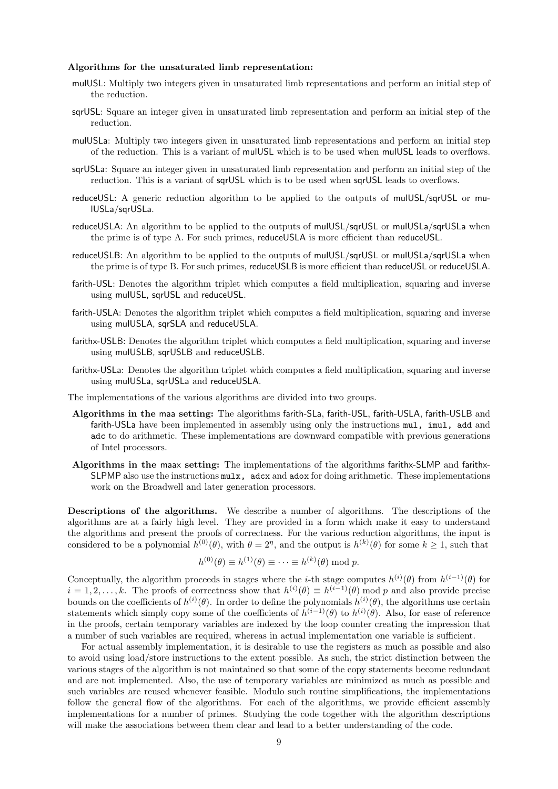### Algorithms for the unsaturated limb representation:

- mulUSL: Multiply two integers given in unsaturated limb representations and perform an initial step of the reduction.
- sqrUSL: Square an integer given in unsaturated limb representation and perform an initial step of the reduction.
- mulUSLa: Multiply two integers given in unsaturated limb representations and perform an initial step of the reduction. This is a variant of mulUSL which is to be used when mulUSL leads to overflows.
- sqrUSLa: Square an integer given in unsaturated limb representation and perform an initial step of the reduction. This is a variant of sqrUSL which is to be used when sqrUSL leads to overflows.
- reduceUSL: A generic reduction algorithm to be applied to the outputs of mulUSL/sqrUSL or mulUSLa/sqrUSLa.
- reduceUSLA: An algorithm to be applied to the outputs of mulUSL/sqrUSL or mulUSLa/sqrUSLa when the prime is of type A. For such primes, reduceUSLA is more efficient than reduceUSL.
- reduceUSLB: An algorithm to be applied to the outputs of mulUSL/sqrUSL or mulUSLa/sqrUSLa when the prime is of type B. For such primes, reduceUSLB is more efficient than reduceUSL or reduceUSLA.
- farith-USL: Denotes the algorithm triplet which computes a field multiplication, squaring and inverse using mulUSL, sqrUSL and reduceUSL.
- farith-USLA: Denotes the algorithm triplet which computes a field multiplication, squaring and inverse using mulUSLA, sarSLA and reduceUSLA.
- farithx-USLB: Denotes the algorithm triplet which computes a field multiplication, squaring and inverse using mulUSLB, sqrUSLB and reduceUSLB.
- farithx-USLa: Denotes the algorithm triplet which computes a field multiplication, squaring and inverse using mulUSLa, sqrUSLa and reduceUSLA.
- The implementations of the various algorithms are divided into two groups.
- Algorithms in the maa setting: The algorithms farith-SLa, farith-USL, farith-USLA, farith-USLB and farith-USLa have been implemented in assembly using only the instructions mul, imul, add and adc to do arithmetic. These implementations are downward compatible with previous generations of Intel processors.
- Algorithms in the maax setting: The implementations of the algorithms farithx-SLMP and farithx-SLPMP also use the instructions mulx, adcx and adox for doing arithmetic. These implementations work on the Broadwell and later generation processors.

Descriptions of the algorithms. We describe a number of algorithms. The descriptions of the algorithms are at a fairly high level. They are provided in a form which make it easy to understand the algorithms and present the proofs of correctness. For the various reduction algorithms, the input is considered to be a polynomial  $h^{(0)}(\theta)$ , with  $\theta = 2^{\eta}$ , and the output is  $h^{(k)}(\theta)$  for some  $k \ge 1$ , such that

$$
h^{(0)}(\theta) \equiv h^{(1)}(\theta) \equiv \cdots \equiv h^{(k)}(\theta) \bmod p.
$$

Conceptually, the algorithm proceeds in stages where the *i*-th stage computes  $h^{(i)}(\theta)$  from  $h^{(i-1)}(\theta)$  for  $i = 1, 2, \ldots, k$ . The proofs of correctness show that  $h^{(i)}(\theta) \equiv h^{(i-1)}(\theta) \mod p$  and also provide precise bounds on the coefficients of  $h^{(i)}(\theta)$ . In order to define the polynomials  $h^{(i)}(\theta)$ , the algorithms use certain statements which simply copy some of the coefficients of  $h^{(i-1)}(\theta)$  to  $h^{(i)}(\theta)$ . Also, for ease of reference in the proofs, certain temporary variables are indexed by the loop counter creating the impression that a number of such variables are required, whereas in actual implementation one variable is sufficient.

For actual assembly implementation, it is desirable to use the registers as much as possible and also to avoid using load/store instructions to the extent possible. As such, the strict distinction between the various stages of the algorithm is not maintained so that some of the copy statements become redundant and are not implemented. Also, the use of temporary variables are minimized as much as possible and such variables are reused whenever feasible. Modulo such routine simplifications, the implementations follow the general flow of the algorithms. For each of the algorithms, we provide efficient assembly implementations for a number of primes. Studying the code together with the algorithm descriptions will make the associations between them clear and lead to a better understanding of the code.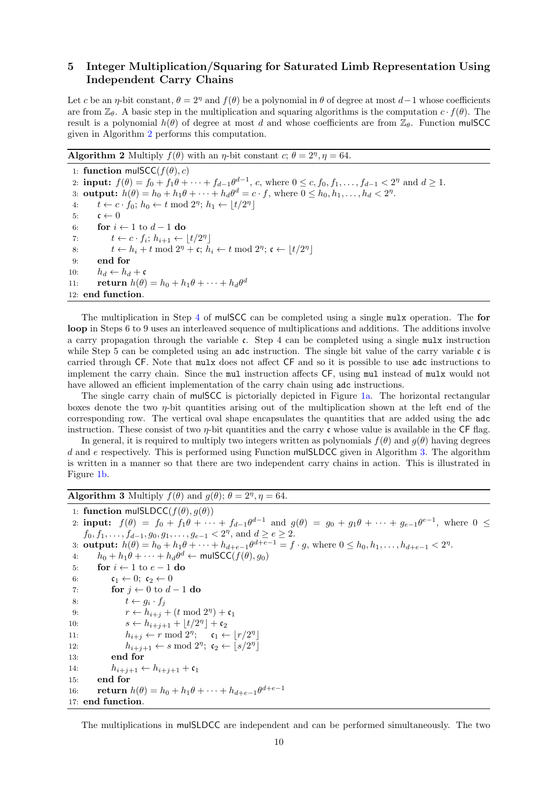# <span id="page-9-0"></span>5 Integer Multiplication/Squaring for Saturated Limb Representation Using Independent Carry Chains

Let c be an *η*-bit constant,  $\theta = 2^{\eta}$  and  $f(\theta)$  be a polynomial in  $\theta$  of degree at most  $d-1$  whose coefficients are from  $\mathbb{Z}_{\theta}$ . A basic step in the multiplication and squaring algorithms is the computation  $c \cdot f(\theta)$ . The result is a polynomial  $h(\theta)$  of degree at most d and whose coefficients are from  $\mathbb{Z}_{\theta}$ . Function mulSCC given in Algorithm [2](#page-9-1) performs this computation.

<span id="page-9-1"></span>**Algorithm 2** Multiply  $f(\theta)$  with an  $\eta$ -bit constant  $c; \theta = 2^{\eta}, \eta = 64$ .

1: function mulSCC( $f(\theta), c$ ) 2: **input:**  $f(\theta) = f_0 + f_1 \theta + \dots + f_{d-1} \theta^{d-1}$ , c, where  $0 \le c, f_0, f_1, \dots, f_{d-1} < 2^{\eta}$  and  $d \ge 1$ . 3: **output:**  $h(\theta) = h_0 + h_1 \theta + \dots + h_d \theta^d = c \cdot f$ , where  $0 \le h_0, h_1, \dots, h_d < 2^n$ . 4:  $t \leftarrow c \cdot f_0; h_0 \leftarrow t \mod 2^\eta; h_1 \leftarrow \lfloor t/2^\eta \rfloor$ 5:  $\mathfrak{c} \leftarrow 0$ 6: for  $i \leftarrow 1$  to  $d-1$  do 7:  $t \leftarrow c \cdot f_i; h_{i+1} \leftarrow \lfloor t/2^{\eta} \rfloor$ 8:  $t \leftarrow h_i + t \mod 2^{\eta} + \mathfrak{c}; h_i \leftarrow t \mod 2^{\eta}; \mathfrak{c} \leftarrow \lfloor t/2^{\eta} \rfloor$ 9: end for 10:  $h_d \leftarrow h_d + c$ 11: **return**  $h(\theta) = h_0 + h_1 \theta + \dots + h_d \theta^d$ 12: end function.

The multiplication in Step [4](#page-9-1) of mulSCC can be completed using a single mulx operation. The for loop in Steps 6 to 9 uses an interleaved sequence of multiplications and additions. The additions involve a carry propagation through the variable c. Step 4 can be completed using a single mulx instruction while Step 5 can be completed using an adc instruction. The single bit value of the carry variable  $\mathfrak{c}$  is carried through CF. Note that mulx does not affect CF and so it is possible to use adc instructions to implement the carry chain. Since the mul instruction affects CF, using mul instead of mulx would not have allowed an efficient implementation of the carry chain using adc instructions.

The single carry chain of mulSCC is pictorially depicted in Figure [1a.](#page-10-1) The horizontal rectangular boxes denote the two  $\eta$ -bit quantities arising out of the multiplication shown at the left end of the corresponding row. The vertical oval shape encapsulates the quantities that are added using the adc instruction. These consist of two  $\eta$ -bit quantities and the carry c whose value is available in the CF flag.

In general, it is required to multiply two integers written as polynomials  $f(\theta)$  and  $g(\theta)$  having degrees d and e respectively. This is performed using Function mulSLDCC given in Algorithm [3.](#page-9-2) The algorithm is written in a manner so that there are two independent carry chains in action. This is illustrated in Figure [1b.](#page-10-1)

# <span id="page-9-2"></span>**Algorithm 3** Multiply  $f(\theta)$  and  $g(\theta)$ ;  $\theta = 2^{\eta}, \eta = 64$ .

```
1: function mulSLDCC(f(\theta), g(\theta))
```
2: **input:**  $f(\theta) = f_0 + f_1 \theta + \cdots + f_{d-1} \theta^{d-1}$  and  $g(\theta) = g_0 + g_1 \theta + \cdots + g_{e-1} \theta^{e-1}$ , where  $0 \le$  $f_0, f_1, \ldots, f_{d-1}, g_0, g_1, \ldots, g_{e-1} < 2^{\eta}, \text{ and } d \geq e \geq 2.$ 3: **output:**  $h(\theta) = h_0 + h_1 \theta + \dots + h_{d+e-1} \theta^{d+e-1} = f \cdot g$ , where  $0 \le h_0, h_1, \dots, h_{d+e-1} < 2^n$ . 4:  $h_0 + h_1 \theta + \dots + h_d \theta^d \leftarrow \text{mulSCC}(f(\theta), g_0)$ 5: for  $i \leftarrow 1$  to  $e - 1$  do 6:  $\mathfrak{c}_1 \leftarrow 0; \ \mathfrak{c}_2 \leftarrow 0$ 7: for  $j \leftarrow 0$  to  $d-1$  do 8:  $t \leftarrow g_i \cdot f_j$ 9:  $r \leftarrow h_{i+j} + (t \mod 2^{\eta}) + \mathfrak{c}_1$ 10:  $s \leftarrow h_{i+j+1} + \lfloor t/2^{\eta} \rfloor + \mathfrak{c}_2$ 11:  $h_{i+j} \leftarrow r \mod 2^\eta; \quad \mathfrak{c}_1 \leftarrow \lfloor r/2^\eta \rfloor$ 12:  $h_{i+j+1} \leftarrow s \mod 2^{\eta}; \ \mathfrak{c}_2 \leftarrow \lfloor s/2^{\eta} \rfloor$ 13: end for 14:  $h_{i+j+1} \leftarrow h_{i+j+1} + c_1$ 15: end for 16: **return**  $h(\theta) = h_0 + h_1 \theta + \dots + h_{d+e-1} \theta^{d+e-1}$ 17: end function.

The multiplications in mulSLDCC are independent and can be performed simultaneously. The two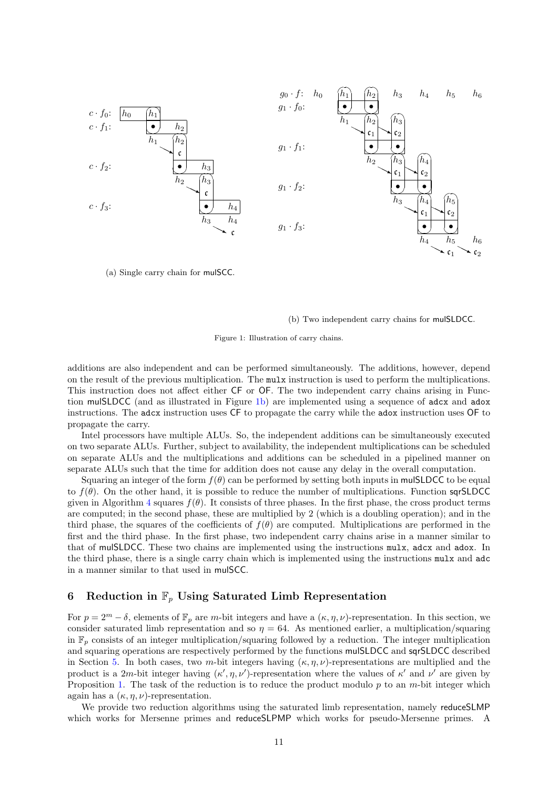<span id="page-10-1"></span>

(a) Single carry chain for mulSCC.

#### (b) Two independent carry chains for mulSLDCC.

Figure 1: Illustration of carry chains.

additions are also independent and can be performed simultaneously. The additions, however, depend on the result of the previous multiplication. The mulx instruction is used to perform the multiplications. This instruction does not affect either CF or OF. The two independent carry chains arising in Function mulSLDCC (and as illustrated in Figure [1b\)](#page-10-1) are implemented using a sequence of adcx and adox instructions. The adcx instruction uses CF to propagate the carry while the adox instruction uses OF to propagate the carry.

Intel processors have multiple ALUs. So, the independent additions can be simultaneously executed on two separate ALUs. Further, subject to availability, the independent multiplications can be scheduled on separate ALUs and the multiplications and additions can be scheduled in a pipelined manner on separate ALUs such that the time for addition does not cause any delay in the overall computation.

Squaring an integer of the form  $f(\theta)$  can be performed by setting both inputs in mulSLDCC to be equal to  $f(\theta)$ . On the other hand, it is possible to reduce the number of multiplications. Function sqrSLDCC given in Algorithm [4](#page-11-0) squares  $f(\theta)$ . It consists of three phases. In the first phase, the cross product terms are computed; in the second phase, these are multiplied by 2 (which is a doubling operation); and in the third phase, the squares of the coefficients of  $f(\theta)$  are computed. Multiplications are performed in the first and the third phase. In the first phase, two independent carry chains arise in a manner similar to that of mulSLDCC. These two chains are implemented using the instructions mulx, adcx and adox. In the third phase, there is a single carry chain which is implemented using the instructions mulx and adc in a manner similar to that used in mulSCC.

# <span id="page-10-0"></span>6 Reduction in  $\mathbb{F}_p$  Using Saturated Limb Representation

For  $p = 2^m - \delta$ , elements of  $\mathbb{F}_p$  are m-bit integers and have a  $(\kappa, \eta, \nu)$ -representation. In this section, we consider saturated limb representation and so  $\eta = 64$ . As mentioned earlier, a multiplication/squaring in  $\mathbb{F}_p$  consists of an integer multiplication/squaring followed by a reduction. The integer multiplication and squaring operations are respectively performed by the functions mulSLDCC and sqrSLDCC described in Section [5.](#page-9-0) In both cases, two m-bit integers having  $(\kappa, \eta, \nu)$ -representations are multiplied and the product is a 2m-bit integer having  $(\kappa', \eta, \nu')$ -representation where the values of  $\kappa'$  and  $\nu'$  are given by Proposition [1.](#page-4-2) The task of the reduction is to reduce the product modulo  $p$  to an  $m$ -bit integer which again has a  $(\kappa, \eta, \nu)$ -representation.

We provide two reduction algorithms using the saturated limb representation, namely reduceSLMP which works for Mersenne primes and reduceSLPMP which works for pseudo-Mersenne primes. A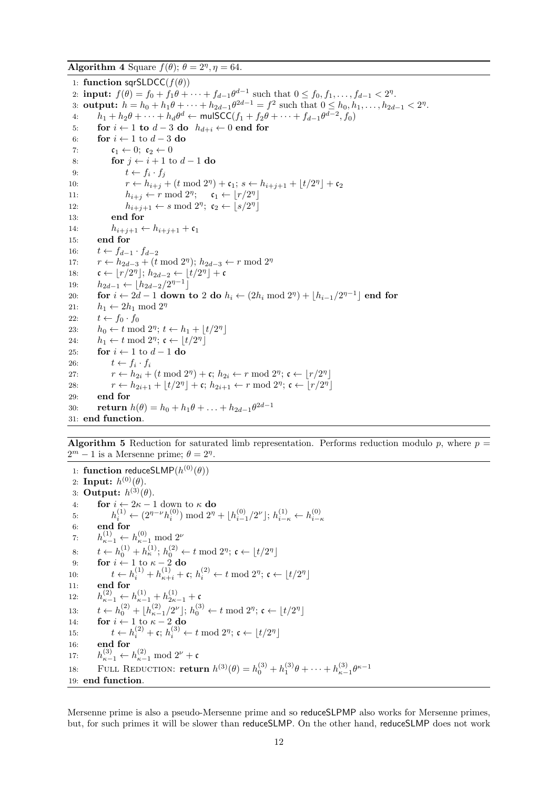<span id="page-11-0"></span>Algorithm 4 Square  $f(\theta)$ ;  $\theta = 2^{\eta}, \eta = 64$ .

1: function sqrSLDCC( $f(\theta)$ ) 2: **input:**  $f(\theta) = f_0 + f_1 \theta + \dots + f_{d-1} \theta^{d-1}$  such that  $0 \le f_0, f_1, \dots, f_{d-1} < 2^n$ . 3: **output:**  $h = h_0 + h_1 \theta + \dots + h_{2d-1} \theta^{2d-1} = f^2$  such that  $0 \le h_0, h_1, \dots, h_{2d-1} < 2^n$ . 4:  $h_1 + h_2\theta + \cdots + h_d\theta^d \leftarrow \textsf{mulSCC}(f_1 + f_2\theta + \cdots + f_{d-1}\theta^{d-2}, f_0)$ 5: for  $i \leftarrow 1$  to  $d-3$  do  $h_{d+i} \leftarrow 0$  end for 6: **for**  $i \leftarrow 1$  to  $d-3$  do 7:  $\mathfrak{c}_1 \leftarrow 0; \ \mathfrak{c}_2 \leftarrow 0$ 8: for  $j \leftarrow i + 1$  to  $d - 1$  do 9:  $t \leftarrow f_i \cdot f_j$ 10:  $r \leftarrow h_{i+j} + (t \mod 2^{\eta}) + \mathfrak{c}_1; s \leftarrow h_{i+j+1} + \lfloor t/2^{\eta} \rfloor + \mathfrak{c}_2$ 11:  $h_{i+j} \leftarrow r \mod 2^{\eta}; \quad \mathfrak{c}_1 \leftarrow \lfloor r/2^{\eta} \rfloor$ 12:  $h_{i+j+1} \leftarrow s \mod 2^{\eta}; \ \mathfrak{c}_2 \leftarrow \lfloor s/2^{\eta} \rfloor$ 13: end for 14:  $h_{i+j+1} \leftarrow h_{i+j+1} + c_1$ 15: end for 16:  $t \leftarrow f_{d-1} \cdot f_{d-2}$ 17:  $r \leftarrow h_{2d-3} + (t \mod 2^{\eta}); h_{2d-3} \leftarrow r \mod 2^{\eta}$ 18:  $\mathfrak{c} \leftarrow \lfloor r/2^{\eta} \rfloor; h_{2d-2} \leftarrow \lfloor t/2^{\eta} \rfloor + \mathfrak{c}$ 19:  $h_{2d-1} \leftarrow \lfloor h_{2d-2}/2^{\eta-1} \rfloor$ 20: for  $i \leftarrow 2d - 1$  down to 2 do  $h_i \leftarrow (2h_i \bmod 2^{\eta}) + \lfloor h_{i-1}/2^{\eta-1} \rfloor$  end for 21:  $h_1 \leftarrow 2h_1 \mod 2^{\eta}$ 22:  $t \leftarrow f_0 \cdot f_0$ 23:  $h_0 \leftarrow t \mod 2^\eta; t \leftarrow h_1 + \lfloor t/2^\eta \rfloor$ 24:  $h_1 \leftarrow t \mod 2^n; \mathfrak{c} \leftarrow \lfloor t/2^n \rfloor$ 25: for  $i \leftarrow 1$  to  $d-1$  do 26:  $t \leftarrow f_i \cdot f_i$ 27:  $r \leftarrow h_{2i} + (t \mod 2^{\eta}) + \mathfrak{c}; h_{2i} \leftarrow r \mod 2^{\eta}; \mathfrak{c} \leftarrow \lfloor r/2^{\eta} \rfloor$ 28:  $r \leftarrow h_{2i+1} + \lfloor t/2^{\eta} \rfloor + \mathfrak{c}; h_{2i+1} \leftarrow r \bmod 2^{\eta}; \mathfrak{c} \leftarrow \lfloor r/2^{\eta} \rfloor$ 29: end for 30: **return**  $h(\theta) = h_0 + h_1 \theta + \ldots + h_{2d-1} \theta^{2d-1}$ 31: end function.

<span id="page-11-1"></span>**Algorithm 5** Reduction for saturated limb representation. Performs reduction modulo p, where  $p =$  $2^m - 1$  is a Mersenne prime;  $\theta = 2^{\eta}$ .

1: function reduceSLMP $(h^{(0)}(\theta))$ 2: Input:  $h^{(0)}(\theta)$ . 3: Output:  $h^{(3)}(\theta)$ . 4: **for**  $i \leftarrow 2\kappa - 1$  down to  $\kappa$  do 5:  $h_i^{(1)} \leftarrow (2^{\eta - \nu} h_i^{(0)}) \mod 2^{\eta} + \lfloor h_{i-1}^{(0)}/2^{\nu} \rfloor; h_{i-\kappa}^{(1)} \leftarrow h_{i-\kappa}^{(0)}$ 6: end for 7:  $h_{\kappa-1}^{(1)} \leftarrow h_{\kappa-1}^{(0)} \mod 2^{\nu}$ 8:  $t \leftarrow h_0^{(1)} + h_{\kappa}^{(1)}$ ;  $h_0^{(2)} \leftarrow t \mod 2^{\eta}$ ;  $\mathfrak{c} \leftarrow \lfloor t/2^{\eta} \rfloor$ 9: for  $i \leftarrow 1$  to  $\kappa - 2$  do 10:  $t \leftarrow h_i^{(1)} + h_{\kappa+i}^{(1)} + \mathfrak{c}; h_i^{(2)} \leftarrow t \mod 2^{\eta}; \mathfrak{c} \leftarrow \lfloor t/2^{\eta} \rfloor$ 11: end for 12:  $h_{\kappa-1}^{(2)} \leftarrow h_{\kappa-1}^{(1)} + h_{2\kappa-1}^{(1)} + c$ 13:  $t \leftarrow h_0^{(2)} + \lfloor h_{\kappa-1}^{(2)}/2^{\nu} \rfloor; h_0^{(3)} \leftarrow t \mod 2^{\eta}; \mathfrak{c} \leftarrow \lfloor t/2^{\eta} \rfloor$ 14: **for**  $i \leftarrow 1$  to  $\kappa - 2$  do 15:  $t \leftarrow h_i^{(2)} + \mathfrak{c}; h_i^{(3)} \leftarrow t \mod 2^{\eta}; \mathfrak{c} \leftarrow \lfloor t/2^{\eta} \rfloor$ 16: end for 17:  $h_{\kappa-1}^{(3)} \leftarrow h_{\kappa-1}^{(2)} \mod 2^{\nu} + c$ 18: FULL REDUCTION: **return**  $h^{(3)}(\theta) = h_0^{(3)} + h_1^{(3)}\theta + \cdots + h_{\kappa-1}^{(3)}\theta^{\kappa-1}$ 19: end function.

Mersenne prime is also a pseudo-Mersenne prime and so reduceSLPMP also works for Mersenne primes, but, for such primes it will be slower than reduceSLMP. On the other hand, reduceSLMP does not work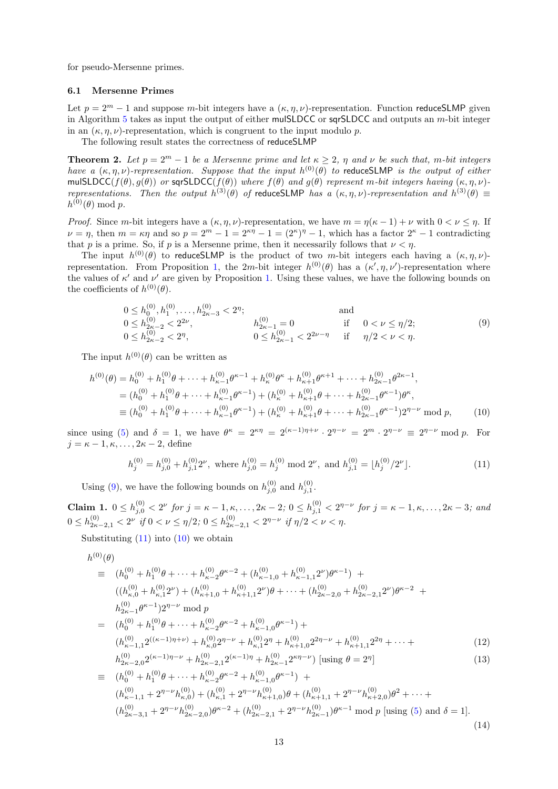for pseudo-Mersenne primes.

#### 6.1 Mersenne Primes

Let  $p = 2^m - 1$  and suppose m-bit integers have a  $(\kappa, \eta, \nu)$ -representation. Function reduceSLMP given in Algorithm [5](#page-11-1) takes as input the output of either mulSLDCC or sqrSLDCC and outputs an  $m$ -bit integer in an  $(\kappa, \eta, \nu)$ -representation, which is congruent to the input modulo p.

The following result states the correctness of reduceSLMP

<span id="page-12-5"></span>**Theorem 2.** Let  $p = 2^m - 1$  be a Mersenne prime and let  $\kappa > 2$ ,  $\eta$  and  $\nu$  be such that, m-bit integers have a  $(\kappa, \eta, \nu)$ -representation. Suppose that the input  $h^{(0)}(\theta)$  to reduceSLMP is the output of either mulSLDCC( $f(\theta), g(\theta)$ ) or sqrSLDCC( $f(\theta)$ ) where  $f(\theta)$  and  $g(\theta)$  represent m-bit integers having  $(\kappa, \eta, \nu)$ representations. Then the output  $h^{(3)}(\theta)$  of reduceSLMP has a  $(\kappa, \eta, \nu)$ -representation and  $h^{(3)}(\theta) \equiv$  $h^{(0)}(\theta) \bmod p.$ 

*Proof.* Since m-bit integers have a  $(\kappa, \eta, \nu)$ -representation, we have  $m = \eta(\kappa - 1) + \nu$  with  $0 < \nu < \eta$ . If  $\nu = \eta$ , then  $m = \kappa \eta$  and so  $p = 2^m - 1 = 2^{\kappa \eta} - 1 = (2^{\kappa})^{\eta} - 1$ , which has a factor  $2^{\kappa} - 1$  contradicting that p is a prime. So, if p is a Mersenne prime, then it necessarily follows that  $\nu < \eta$ .

The input  $h^{(0)}(\theta)$  to reduceSLMP is the product of two m-bit integers each having a  $(\kappa, \eta, \nu)$ -representation. From Proposition [1,](#page-4-2) the 2m-bit integer  $h^{(0)}(\theta)$  has a  $(\kappa', \eta, \nu')$ -representation where the values of  $\kappa'$  and  $\nu'$  are given by Proposition [1.](#page-4-2) Using these values, we have the following bounds on the coefficients of  $h^{(0)}(\theta)$ .

<span id="page-12-0"></span>
$$
0 \le h_0^{(0)}, h_1^{(0)}, \dots, h_{2\kappa-3}^{(0)} < 2^n; \qquad \text{and} \qquad 0 \le h_{2\kappa-2}^{(0)} < 2^{2\nu}, \qquad h_{2\kappa-1}^{(0)} = 0 \qquad \text{if} \quad 0 < \nu \le \eta/2; \qquad 0 \le h_{2\kappa-2}^{(0)} < 2^{\eta}, \qquad 0 \le h_{2\kappa-1}^{(0)} < 2^{2\nu-\eta} \qquad \text{if} \qquad \eta/2 < \nu < \eta. \tag{9}
$$

The input  $h^{(0)}(\theta)$  can be written as

$$
h^{(0)}(\theta) = h_0^{(0)} + h_1^{(0)}\theta + \dots + h_{\kappa-1}^{(0)}\theta^{\kappa-1} + h_{\kappa}^{(0)}\theta^{\kappa} + h_{\kappa+1}^{(0)}\theta^{\kappa+1} + \dots + h_{2\kappa-1}^{(0)}\theta^{2\kappa-1},
$$
  
\n
$$
= (h_0^{(0)} + h_1^{(0)}\theta + \dots + h_{\kappa-1}^{(0)}\theta^{\kappa-1}) + (h_{\kappa}^{(0)} + h_{\kappa+1}^{(0)}\theta + \dots + h_{2\kappa-1}^{(0)}\theta^{\kappa-1})\theta^{\kappa},
$$
  
\n
$$
\equiv (h_0^{(0)} + h_1^{(0)}\theta + \dots + h_{\kappa-1}^{(0)}\theta^{\kappa-1}) + (h_{\kappa}^{(0)} + h_{\kappa+1}^{(0)}\theta + \dots + h_{2\kappa-1}^{(0)}\theta^{\kappa-1})2^{\eta-\nu} \text{ mod } p,
$$
 (10)

since using [\(5\)](#page-5-2) and  $\delta = 1$ , we have  $\theta^{\kappa} = 2^{\kappa \eta} = 2^{(\kappa - 1)\eta + \nu} \cdot 2^{\eta - \nu} = 2^m \cdot 2^{\eta - \nu} \equiv 2^{\eta - \nu} \mod p$ . For  $j = \kappa - 1, \kappa, \ldots, 2\kappa - 2$ , define

<span id="page-12-2"></span><span id="page-12-1"></span>
$$
h_j^{(0)} = h_{j,0}^{(0)} + h_{j,1}^{(0)} 2^{\nu}, \text{ where } h_{j,0}^{(0)} = h_j^{(0)} \text{ mod } 2^{\nu}, \text{ and } h_{j,1}^{(0)} = \lfloor h_j^{(0)}/2^{\nu} \rfloor.
$$
 (11)

Using [\(9\)](#page-12-0), we have the following bounds on  $h_{j,0}^{(0)}$  and  $h_{j,1}^{(0)}$ .

<span id="page-12-4"></span>**Claim 1.**  $0 \le h_{j,0}^{(0)} < 2^{\nu}$  for  $j = \kappa - 1, \kappa, \ldots, 2\kappa - 2$ ;  $0 \le h_{j,1}^{(0)} < 2^{\eta-\nu}$  for  $j = \kappa - 1, \kappa, \ldots, 2\kappa - 3$ ; and  $0 \le h_{2\kappa-2,1}^{(0)} < 2^{\nu}$  if  $0 < \nu \le \eta/2$ ;  $0 \le h_{2\kappa-2,1}^{(0)} < 2^{\eta-\nu}$  if  $\eta/2 < \nu < \eta$ .

Substituting  $(11)$  into  $(10)$  we obtain

<span id="page-12-3"></span>
$$
h^{(0)}(\theta)
$$
\n
$$
\equiv (h_0^{(0)} + h_1^{(0)}\theta + \dots + h_{\kappa-2}^{(0)}\theta^{\kappa-2} + (h_{\kappa-1,0}^{(0)} + h_{\kappa-1,1}^{(0)}2^{\nu})\theta^{\kappa-1}) +
$$
\n
$$
((h_{\kappa,0}^{(0)} + h_{\kappa,1}^{(0)}2^{\nu}) + (h_{\kappa+1,0}^{(0)} + h_{\kappa+1,1}^{(0)}2^{\nu})\theta + \dots + (h_{2\kappa-2,0}^{(0)} + h_{2\kappa-2,1}^{(0)}2^{\nu})\theta^{\kappa-2} +
$$
\n
$$
h_{2\kappa-1}^{(0)}\theta^{\kappa-1} + h_{1}^{(0)}\theta^{\kappa-1} + h_{\kappa-2}^{(0)}\theta^{\kappa-2} + h_{\kappa-1,0}^{(0)}\theta^{\kappa-1} +
$$
\n
$$
(h_{\kappa-1,1}^{(0)}2^{((\kappa-1)\eta+\nu)} + h_{\kappa,0}^{(0)}2^{\eta-\nu} + h_{\kappa,1}^{(0)}2^{\eta} + h_{\kappa+1,0}^{(0)}2^{2\eta-\nu} + h_{\kappa+1,1}^{(0)}2^{2\eta} + \dots +
$$
\n
$$
h_{2\kappa-2,0}^{(0)}2^{(\kappa-1)\eta-\nu} + h_{2\kappa-2,1}^{(0)}2^{(\kappa-1)\eta} + h_{2\kappa-1}^{(0)}2^{\kappa\eta-\nu} \text{ [using } \theta = 2^{\eta}] \tag{13}
$$

$$
\equiv (h_0^{(0)} + h_1^{(0)}\theta + \dots + h_{\kappa-2}^{(0)}\theta^{\kappa-2} + h_{\kappa-1,0}^{(0)}\theta^{\kappa-1}) +
$$
  
\n
$$
(h_{\kappa-1,1}^{(0)} + 2^{\eta-\nu}h_{\kappa,0}^{(0)}) + (h_{\kappa,1}^{(0)} + 2^{\eta-\nu}h_{\kappa+1,0}^{(0)})\theta + (h_{\kappa+1,1}^{(0)} + 2^{\eta-\nu}h_{\kappa+2,0}^{(0)})\theta^2 + \dots +
$$
  
\n
$$
(h_{2\kappa-3,1}^{(0)} + 2^{\eta-\nu}h_{2\kappa-2,0}^{(0)})\theta^{\kappa-2} + (h_{2\kappa-2,1}^{(0)} + 2^{\eta-\nu}h_{2\kappa-1}^{(0)})\theta^{\kappa-1} \mod p \text{ [using (5) and } \delta = 1].
$$
\n(14)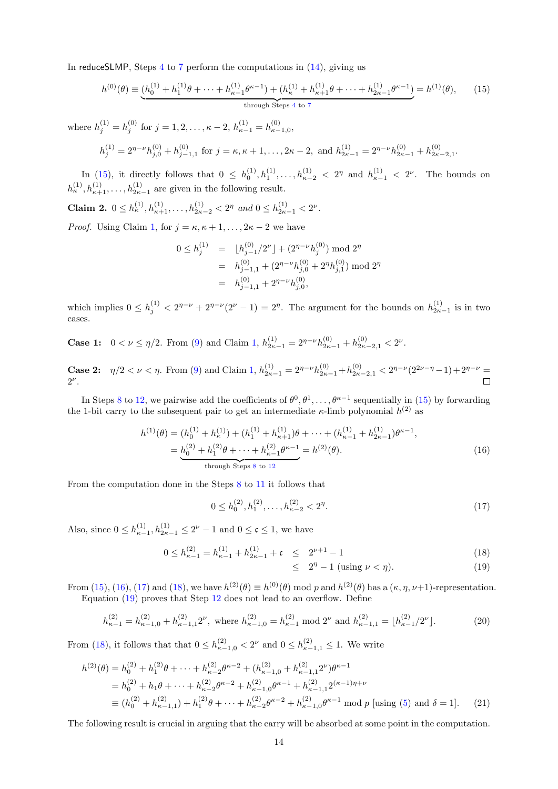In reduceSLMP, Steps [4](#page-11-1) to [7](#page-11-1) perform the computations in [\(14\)](#page-12-3), giving us

$$
h^{(0)}(\theta) \equiv \underbrace{(h_0^{(1)} + h_1^{(1)}\theta + \dots + h_{\kappa-1}^{(1)}\theta^{\kappa-1}) + (h_{\kappa}^{(1)} + h_{\kappa+1}^{(1)}\theta + \dots + h_{2\kappa-1}^{(1)}\theta^{\kappa-1})}_{\text{through Steps 4 to 7}} = h^{(1)}(\theta), \tag{15}
$$

where  $h_j^{(1)} = h_j^{(0)}$  for  $j = 1, 2, ..., \kappa - 2, h_{\kappa-1}^{(1)} = h_{\kappa-1,0}^{(0)}$ ,

$$
h_j^{(1)} = 2^{\eta - \nu} h_{j,0}^{(0)} + h_{j-1,1}^{(0)} \text{ for } j = \kappa, \kappa + 1, \dots, 2\kappa - 2, \text{ and } h_{2\kappa - 1}^{(1)} = 2^{\eta - \nu} h_{2\kappa - 1}^{(0)} + h_{2\kappa - 2,1}^{(0)}.
$$

In [\(15\)](#page-13-0), it directly follows that  $0 \leq h_0^{(1)}, h_1^{(1)}, \ldots, h_{\kappa-2}^{(1)} < 2^{\eta}$  and  $h_{\kappa-1}^{(1)} < 2^{\nu}$ . The bounds on  $h_{\kappa}^{(1)}, h_{\kappa+1}^{(1)}, \ldots, h_{2\kappa-1}^{(1)}$  are given in the following result.

Claim 2.  $0 \leq h_{\kappa}^{(1)}, h_{\kappa+1}^{(1)}, \ldots, h_{2\kappa-2}^{(1)} < 2^{\eta}$  and  $0 \leq h_{2\kappa-1}^{(1)} < 2^{\nu}$ .

*Proof.* Using Claim [1,](#page-12-4) for  $j = \kappa, \kappa + 1, \ldots, 2\kappa - 2$  we have

<span id="page-13-0"></span>
$$
0 \le h_j^{(1)} = \lfloor h_{j-1}^{(0)}/2^{\nu} \rfloor + (2^{\eta-\nu}h_j^{(0)}) \mod 2^{\eta}
$$
  
=  $h_{j-1,1}^{(0)} + (2^{\eta-\nu}h_{j,0}^{(0)} + 2^{\eta}h_{j,1}^{(0)}) \mod 2^{\eta}$   
=  $h_{j-1,1}^{(0)} + 2^{\eta-\nu}h_{j,0}^{(0)},$ 

which implies  $0 \le h_j^{(1)} < 2^{\eta-\nu} + 2^{\eta-\nu}(2^{\nu}-1) = 2^{\eta}$ . The argument for the bounds on  $h_{2\kappa-1}^{(1)}$  is in two cases.

**Case 1:**  $0 < \nu \le \eta/2$ . From [\(9\)](#page-12-0) and Claim [1,](#page-12-4)  $h_{2\kappa-1}^{(1)} = 2^{\eta-\nu}h_{2\kappa-1}^{(0)} + h_{2\kappa-2,1}^{(0)} < 2^{\nu}$ .

**Case 2:**  $\eta/2 < \nu < \eta$ . From [\(9\)](#page-12-0) and Claim [1,](#page-12-4)  $h_{2\kappa-1}^{(1)} = 2^{\eta-\nu}h_{2\kappa-1}^{(0)} + h_{2\kappa-2,1}^{(0)} < 2^{\eta-\nu}(2^{2\nu-\eta}-1) + 2^{\eta-\nu} =$  $2^{\nu}$ .  $\Box$ 

In Steps [8](#page-11-1) to [12,](#page-11-1) we pairwise add the coefficients of  $\theta^0, \theta^1, \ldots, \theta^{\kappa-1}$  sequentially in [\(15\)](#page-13-0) by forwarding the 1-bit carry to the subsequent pair to get an intermediate  $\kappa$ -limb polynomial  $h^{(2)}$  as

$$
h^{(1)}(\theta) = (h_0^{(1)} + h_\kappa^{(1)}) + (h_1^{(1)} + h_{\kappa+1}^{(1)})\theta + \dots + (h_{\kappa-1}^{(1)} + h_{2\kappa-1}^{(1)})\theta^{\kappa-1},
$$
  
= 
$$
\underbrace{h_0^{(2)} + h_1^{(2)}\theta + \dots + h_{\kappa-1}^{(2)}\theta^{\kappa-1}}_{\text{through Steps 8 to 12}} = h^{(2)}(\theta).
$$
 (16)

From the computation done in the Steps [8](#page-11-1) to [11](#page-11-1) it follows that

<span id="page-13-2"></span>
$$
0 \le h_0^{(2)}, h_1^{(2)}, \dots, h_{\kappa-2}^{(2)} < 2^{\eta}.\tag{17}
$$

Also, since  $0 \leq h_{\kappa-1}^{(1)}, h_{2\kappa-1}^{(1)} \leq 2^{\nu} - 1$  and  $0 \leq \mathfrak{c} \leq 1$ , we have

<span id="page-13-3"></span>
$$
0 \le h_{\kappa-1}^{(2)} = h_{\kappa-1}^{(1)} + h_{2\kappa-1}^{(1)} + \mathfrak{c} \le 2^{\nu+1} - 1 \tag{18}
$$

<span id="page-13-5"></span><span id="page-13-1"></span>
$$
\leq 2^{\eta} - 1 \text{ (using } \nu < \eta\text{)}. \tag{19}
$$

From [\(15\)](#page-13-0), [\(16\)](#page-13-1), [\(17\)](#page-13-2) and [\(18\)](#page-13-3), we have  $h^{(2)}(\theta) \equiv h^{(0)}(\theta) \mod p$  and  $h^{(2)}(\theta)$  has a  $(\kappa, \eta, \nu+1)$ -representation. Equation [\(19\)](#page-13-3) proves that Step [12](#page-11-1) does not lead to an overflow. Define

<span id="page-13-4"></span>
$$
h_{\kappa-1}^{(2)} = h_{\kappa-1,0}^{(2)} + h_{\kappa-1,1}^{(2)} 2^{\nu}, \text{ where } h_{\kappa-1,0}^{(2)} = h_{\kappa-1}^{(2)} \text{ mod } 2^{\nu} \text{ and } h_{\kappa-1,1}^{(2)} = \lfloor h_{\kappa-1}^{(2)}/2^{\nu} \rfloor. \tag{20}
$$

From [\(18\)](#page-13-3), it follows that that  $0 \le h_{\kappa-1,0}^{(2)} < 2^{\nu}$  and  $0 \le h_{\kappa-1,1}^{(2)} \le 1$ . We write

$$
h^{(2)}(\theta) = h_0^{(2)} + h_1^{(2)}\theta + \dots + h_{\kappa-2}^{(2)}\theta^{\kappa-2} + (h_{\kappa-1,0}^{(2)} + h_{\kappa-1,1}^{(2)})\theta^{\kappa-1}
$$
  
=  $h_0^{(2)} + h_1\theta + \dots + h_{\kappa-2}^{(2)}\theta^{\kappa-2} + h_{\kappa-1,0}^{(2)}\theta^{\kappa-1} + h_{\kappa-1,1}^{(2)}2^{(\kappa-1)\eta+\nu}$   
\equiv  $(h_0^{(2)} + h_{\kappa-1,1}^{(2)}) + h_1^{(2)}\theta + \dots + h_{\kappa-2}^{(2)}\theta^{\kappa-2} + h_{\kappa-1,0}^{(2)}\theta^{\kappa-1} \text{ mod } p \text{ [using (5) and } \delta = 1].$  (21)

The following result is crucial in arguing that the carry will be absorbed at some point in the computation.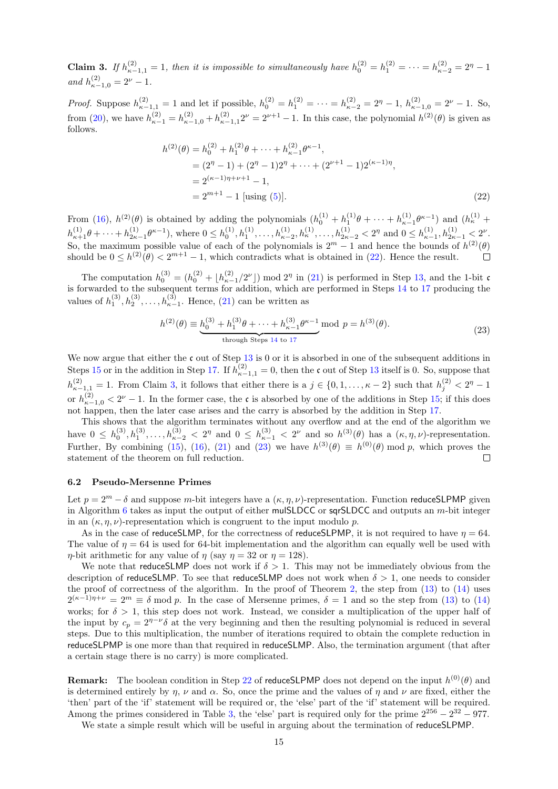<span id="page-14-1"></span>**Claim 3.** If  $h_{\kappa-1,1}^{(2)} = 1$ , then it is impossible to simultaneously have  $h_0^{(2)} = h_1^{(2)} = \cdots = h_{\kappa-2}^{(2)} = 2^{\eta} - 1$ and  $h_{\kappa-1,0}^{(2)} = 2^{\nu} - 1$ .

*Proof.* Suppose  $h_{\kappa-1,1}^{(2)} = 1$  and let if possible,  $h_0^{(2)} = h_1^{(2)} = \cdots = h_{\kappa-2}^{(2)} = 2^{\eta} - 1$ ,  $h_{\kappa-1,0}^{(2)} = 2^{\nu} - 1$ . So, from [\(20\)](#page-13-4), we have  $h_{\kappa-1}^{(2)} = h_{\kappa-1,0}^{(2)} + h_{\kappa-1,1}^{(2)} 2^{\nu} = 2^{\nu+1} - 1$ . In this case, the polynomial  $h^{(2)}(\theta)$  is given as follows.

<span id="page-14-0"></span>
$$
h^{(2)}(\theta) = h_0^{(2)} + h_1^{(2)}\theta + \dots + h_{\kappa-1}^{(2)}\theta^{\kappa-1},
$$
  
=  $(2^{\eta} - 1) + (2^{\eta} - 1)2^{\eta} + \dots + (2^{\nu+1} - 1)2^{(\kappa-1)\eta},$   
=  $2^{(\kappa-1)\eta+\nu+1} - 1,$   
=  $2^{m+1} - 1$  [using (5)]. (22)

From [\(16\)](#page-13-1),  $h^{(2)}(\theta)$  is obtained by adding the polynomials  $(h_0^{(1)} + h_1^{(1)}\theta + \cdots + h_{\kappa-1}^{(1)}\theta^{\kappa-1})$  and  $(h_{\kappa}^{(1)} +$  $h_{\kappa+1}^{(1)}\theta+\cdots+h_{2\kappa-1}^{(1)}\theta^{\kappa-1}$ ), where  $0 \leq h_0^{(1)}, h_1^{(1)}, \ldots, h_{\kappa-2}^{(1)}, h_{\kappa}^{(1)}, \ldots, h_{2\kappa-2}^{(1)} < 2^{\eta}$  and  $0 \leq h_{\kappa-1}^{(1)}, h_{2\kappa-1}^{(1)} < 2^{\nu}$ . So, the maximum possible value of each of the polynomials is  $2^m - 1$  and hence the bounds of  $h^{(2)}(\theta)$ should be  $0 \leq h^{(2)}(\theta) < 2^{m+1} - 1$ , which contradicts what is obtained in [\(22\)](#page-14-0). Hence the result.  $\Box$ 

The computation  $h_0^{(3)} = (h_0^{(2)} + \lfloor h_{\kappa-1}^{(2)}/2^{\nu} \rfloor) \mod 2^{\eta}$  in [\(21\)](#page-13-5) is performed in Step [13,](#page-11-1) and the 1-bit c is forwarded to the subsequent terms for addition, which are performed in Steps [14](#page-11-1) to [17](#page-11-1) producing the values of  $h_1^{(3)}, h_2^{(3)}, \ldots, h_{\kappa-1}^{(3)}$ . Hence, [\(21\)](#page-13-5) can be written as

<span id="page-14-2"></span>
$$
h^{(2)}(\theta) \equiv \underbrace{h_0^{(3)} + h_1^{(3)}\theta + \dots + h_{\kappa-1}^{(3)}\theta^{\kappa-1}}_{\text{through Steps 14 to 17}} \text{mod } p = h^{(3)}(\theta). \tag{23}
$$

We now argue that either the c out of Step  $13$  is 0 or it is absorbed in one of the subsequent additions in Steps [15](#page-11-1) or in the addition in Step [17.](#page-11-1) If  $h_{\kappa-1,1}^{(2)} = 0$ , then the c out of Step [13](#page-11-1) itself is 0. So, suppose that  $h_{\kappa-1,1}^{(2)} = 1$ . From Claim [3,](#page-14-1) it follows that either there is a  $j \in \{0,1,\ldots,\kappa-2\}$  such that  $h_j^{(2)} < 2^{\eta} - 1$ or  $h_{\kappa-1,0}^{(2)} < 2^{\nu} - 1$ . In the former case, the c is absorbed by one of the additions in Step [15;](#page-11-1) if this does not happen, then the later case arises and the carry is absorbed by the addition in Step [17.](#page-11-1)

This shows that the algorithm terminates without any overflow and at the end of the algorithm we have  $0 \leq h_0^{(3)}, h_1^{(3)}, \ldots, h_{\kappa-2}^{(3)} < 2^{\eta}$  and  $0 \leq h_{\kappa-1}^{(3)} < 2^{\nu}$  and so  $h^{(3)}(\theta)$  has a  $(\kappa, \eta, \nu)$ -representation. Further, By combining [\(15\)](#page-13-0), [\(16\)](#page-13-1), [\(21\)](#page-13-5) and [\(23\)](#page-14-2) we have  $h^{(3)}(\theta) \equiv h^{(0)}(\theta) \mod p$ , which proves the statement of the theorem on full reduction.  $\Box$ 

### 6.2 Pseudo-Mersenne Primes

Let  $p = 2^m - \delta$  and suppose m-bit integers have a  $(\kappa, \eta, \nu)$ -representation. Function reduceSLPMP given in Algorithm [6](#page-15-0) takes as input the output of either mulSLDCC or sqrSLDCC and outputs an  $m$ -bit integer in an  $(\kappa, \eta, \nu)$ -representation which is congruent to the input modulo p.

As in the case of reduceSLMP, for the correctness of reduceSLPMP, it is not required to have  $\eta = 64$ . The value of  $\eta = 64$  is used for 64-bit implementation and the algorithm can equally well be used with  $\eta$ -bit arithmetic for any value of  $\eta$  (say  $\eta = 32$  or  $\eta = 128$ ).

We note that reduceSLMP does not work if  $\delta > 1$ . This may not be immediately obvious from the description of reduceSLMP. To see that reduceSLMP does not work when  $\delta > 1$ , one needs to consider the proof of correctness of the algorithm. In the proof of Theorem [2,](#page-12-5) the step from [\(13\)](#page-12-3) to [\(14\)](#page-12-3) uses  $2^{(\kappa-1)\eta+\nu} = 2^m \equiv \delta \mod p$ . In the case of Mersenne primes,  $\delta = 1$  and so the step from [\(13\)](#page-12-3) to [\(14\)](#page-12-3) works; for  $\delta > 1$ , this step does not work. Instead, we consider a multiplication of the upper half of the input by  $c_p = 2^{\eta - \nu} \delta$  at the very beginning and then the resulting polynomial is reduced in several steps. Due to this multiplication, the number of iterations required to obtain the complete reduction in reduceSLPMP is one more than that required in reduceSLMP. Also, the termination argument (that after a certain stage there is no carry) is more complicated.

**Remark:** The boolean condition in Step [22](#page-15-0) of reduceSLPMP does not depend on the input  $h^{(0)}(\theta)$  and is determined entirely by  $\eta$ ,  $\nu$  and  $\alpha$ . So, once the prime and the values of  $\eta$  and  $\nu$  are fixed, either the 'then' part of the 'if' statement will be required or, the 'else' part of the 'if' statement will be required. Among the primes considered in Table [3,](#page-5-0) the 'else' part is required only for the prime  $2^{256} - 2^{32} - 977$ .

We state a simple result which will be useful in arguing about the termination of reduceSLPMP.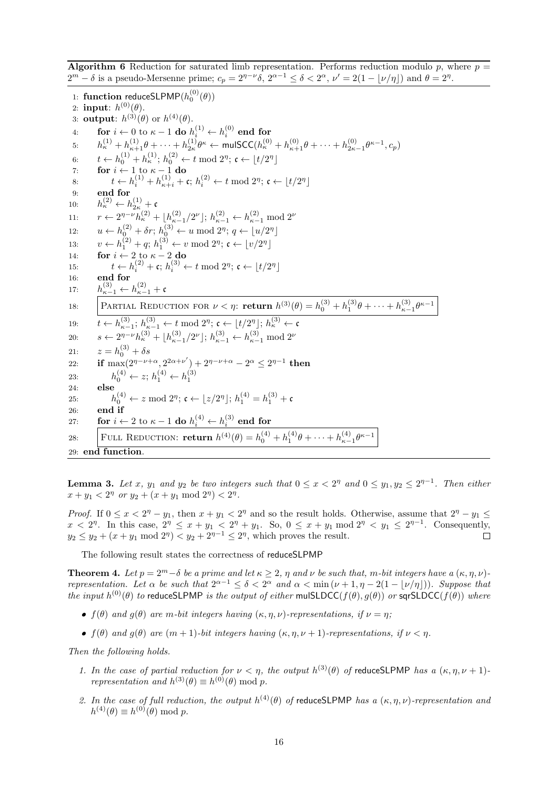<span id="page-15-0"></span>**Algorithm 6** Reduction for saturated limb representation. Performs reduction modulo p, where  $p =$  $2^m - \delta$  is a pseudo-Mersenne prime;  $c_p = 2^{\eta - \nu} \delta$ ,  $2^{\alpha - 1} \le \delta < 2^{\alpha}$ ,  $\nu' = 2(1 - \lfloor \nu / \eta \rfloor)$  and  $\theta = 2^{\eta}$ .

1: function reduceSLPMP $(h_0^{(0)}(\theta))$ 2: input:  $h^{(0)}(\theta)$ . 3: **output**:  $h^{(3)}(\theta)$  or  $h^{(4)}(\theta)$ .  $\begin{array}{ll} \text{4:} & \quad \text{for } i \leftarrow 0 \text{ to } \kappa - 1 \text{ do } h_i^{(1)} \leftarrow h_i^{(0)} \text{ end for} \end{array}$ 5:  $h_κ^{(1)} + h_{κ+1}^{(1)}θ + \cdots + h_{2κ}^{(1)}θ_κ$  ← mulSCC( $h_κ^{(0)} + h_{κ+1}^{(0)}θ + \cdots + h_{2κ-1}^{(0)}θ_κ-1}$ ,  $c_p$ ) 6:  $t \leftarrow h_0^{(1)} + h_{\kappa}^{(1)}$ ;  $h_0^{(2)} \leftarrow t \mod 2^{\eta}$ ;  $\mathfrak{c} \leftarrow \lfloor t/2^{\eta} \rfloor$ 7: for  $i \leftarrow 1$  to  $\kappa - 1$  do 8:  $t \leftarrow h_i^{(1)} + h_{\kappa+i}^{(1)} + c$ ;  $h_i^{(2)} \leftarrow t \mod 2^{\eta}$ ;  $c \leftarrow \lfloor t/2^{\eta} \rfloor$ 9: end for 10:  $h_{\kappa}^{(2)} \leftarrow h_{2\kappa}^{(1)} + c$ 11:  $r \leftarrow 2^{\eta - \nu} h_{\kappa}^{(2)} + \lfloor h_{\kappa-1}^{(2)}/2^{\nu} \rfloor; h_{\kappa-1}^{(2)} \leftarrow h_{\kappa-1}^{(2)} \mod 2^{\nu}$ 12:  $u \leftarrow h_0^{(2)} + \delta r; h_0^{(3)} \leftarrow u \mod 2^{\eta}; q \leftarrow \lfloor u/2^{\eta} \rfloor$ 13:  $v \leftarrow h_1^{(2)} + q$ ;  $h_1^{(3)} \leftarrow v \mod 2^{\eta}$ ;  $\mathfrak{c} \leftarrow \lfloor v/2^{\eta} \rfloor$ 14: **for**  $i \leftarrow 2$  to  $\kappa - 2$  do 15:  $t \leftarrow h_i^{(2)} + \mathfrak{c}; h_i^{(3)} \leftarrow t \mod 2^{\eta}; \mathfrak{c} \leftarrow \lfloor t/2^{\eta} \rfloor$ 16: end for 17:  $h_{\kappa-1}^{(3)} \leftarrow h_{\kappa-1}^{(2)} + c$ 18: PARTIAL REDUCTION FOR  $\nu < \eta$ : return  $h^{(3)}(\theta) = h_0^{(3)} + h_1^{(3)}\theta + \cdots + h_{\kappa-1}^{(3)}\theta^{\kappa-1}$ 19:  $t \leftarrow h_{\kappa-1}^{(3)}$ ;  $h_{\kappa-1}^{(3)} \leftarrow t \mod 2^{\eta}$ ;  $\mathfrak{c} \leftarrow \lfloor t/2^{\eta} \rfloor$ ;  $h_{\kappa}^{(3)} \leftarrow \mathfrak{c}$ 20:  $s \leftarrow 2^{\eta - \nu} h_{\kappa}^{(3)} + \lfloor h_{\kappa-1}^{(3)}/2^{\nu} \rfloor; h_{\kappa-1}^{(3)} \leftarrow h_{\kappa-1}^{(3)} \mod 2^{\nu}$ 21:  $z = h_0^{(3)} + \delta s$ 22: if  $\max(2^{\eta-\nu+\alpha}, 2^{2\alpha+\nu'}) + 2^{\eta-\nu+\alpha} - 2^{\alpha} \leq 2^{\eta-1}$  then 23:  $h_0^{(4)} \leftarrow z; h_1^{(4)} \leftarrow h_1^{(3)}$ 24: else 25:  $h_0^{(4)} \leftarrow z \mod 2^{\eta}; \mathfrak{c} \leftarrow \lfloor z/2^{\eta} \rfloor; h_1^{(4)} = h_1^{(3)} + \mathfrak{c}$ 26: end if 27: for  $i \leftarrow 2$  to  $\kappa - 1$  do  $h_i^{(4)} \leftarrow h_i^{(3)}$  end for 28: FULL REDUCTION: **return**  $h^{(4)}(\theta) = h_0^{(4)} + h_1^{(4)}\theta + \cdots + h_{\kappa-1}^{(4)}\theta^{\kappa-1}$ 29: end function.

<span id="page-15-1"></span>**Lemma 3.** Let x,  $y_1$  and  $y_2$  be two integers such that  $0 \le x < 2^{\eta}$  and  $0 \le y_1, y_2 \le 2^{\eta-1}$ . Then either  $x + y_1 < 2^{\eta}$  or  $y_2 + (x + y_1 \mod 2^{\eta}) < 2^{\eta}$ .

*Proof.* If  $0 \le x < 2^{\eta} - y_1$ , then  $x + y_1 < 2^{\eta}$  and so the result holds. Otherwise, assume that  $2^{\eta} - y_1 \le$  $x < 2^{\eta}$ . In this case,  $2^{\eta} \le x + y_1 < 2^{\eta} + y_1$ . So,  $0 \le x + y_1 \mod 2^{\eta} < y_1 \le 2^{\eta-1}$ . Consequently,  $y_2 \le y_2 + (x + y_1 \mod 2^{\eta}) < y_2 + 2^{\eta - 1} \le 2^{\eta}$ , which proves the result.  $\Box$ 

The following result states the correctness of reduceSLPMP

<span id="page-15-2"></span>**Theorem 4.** Let  $p = 2^m - \delta$  be a prime and let  $\kappa \geq 2$ ,  $\eta$  and  $\nu$  be such that, m-bit integers have a  $(\kappa, \eta, \nu)$ representation. Let  $\alpha$  be such that  $2^{\alpha-1} \leq \delta < 2^{\alpha}$  and  $\alpha < \min(\nu + 1, \eta - 2(1 - \lfloor \nu / \eta \rfloor))$ . Suppose that the input  $h^{(0)}(\theta)$  to reduceSLPMP is the output of either mulSLDCC( $f(\theta)$ ,  $g(\theta)$ ) or sqrSLDCC( $f(\theta)$ ) where

- $f(\theta)$  and  $g(\theta)$  are m-bit integers having  $(\kappa, \eta, \nu)$ -representations, if  $\nu = \eta$ ;
- $\bullet$  f(θ) and g(θ) are  $(m + 1)$ -bit integers having  $(\kappa, \eta, \nu + 1)$ -representations, if  $\nu < \eta$ .

Then the following holds.

- 1. In the case of partial reduction for  $\nu < \eta$ , the output  $h^{(3)}(\theta)$  of reduceSLPMP has a  $(\kappa, \eta, \nu+1)$ . representation and  $h^{(3)}(\theta) \equiv h^{(0)}(\theta) \bmod p$ .
- 2. In the case of full reduction, the output  $h^{(4)}(\theta)$  of reduceSLPMP has a  $(\kappa, \eta, \nu)$ -representation and  $h^{(4)}(\theta) \equiv h^{(0)}(\theta) \bmod p.$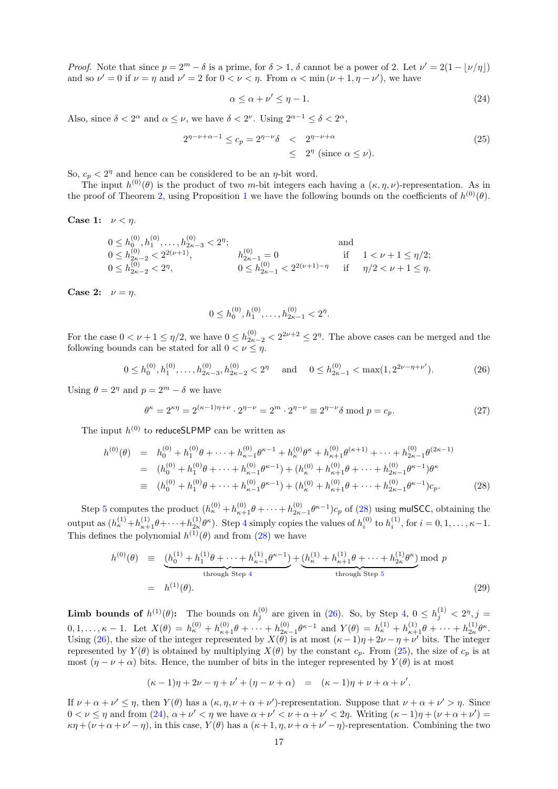*Proof.* Note that since  $p = 2^m - \delta$  is a prime, for  $\delta > 1$ ,  $\delta$  cannot be a power of 2. Let  $\nu' = 2(1 - \lfloor \nu / \eta \rfloor)$ and so  $\nu' = 0$  if  $\nu = \eta$  and  $\nu' = 2$  for  $0 < \nu < \eta$ . From  $\alpha < \min (\nu + 1, \eta - \nu')$ , we have

<span id="page-16-3"></span>
$$
\alpha \le \alpha + \nu' \le \eta - 1. \tag{24}
$$

Also, since  $\delta < 2^{\alpha}$  and  $\alpha \leq \nu$ , we have  $\delta < 2^{\nu}$ . Using  $2^{\alpha-1} \leq \delta < 2^{\alpha}$ ,

<span id="page-16-2"></span>
$$
2^{\eta-\nu+\alpha-1} \le c_p = 2^{\eta-\nu} \delta \quad < \quad 2^{\eta-\nu+\alpha} \quad \leq \quad 2^{\eta} \text{ (since } \alpha \le \nu \text{).} \tag{25}
$$

So,  $c_p < 2^{\eta}$  and hence can be considered to be an  $\eta$ -bit word.

The input  $h^{(0)}(\theta)$  is the product of two m-bit integers each having a  $(\kappa, \eta, \nu)$ -representation. As in the proof of Theorem [2,](#page-12-5) using Proposition [1](#page-4-2) we have the following bounds on the coefficients of  $h^{(0)}(\theta)$ .

Case 1:  $\nu < \eta$ .

$$
0 \le h_0^{(0)}, h_1^{(0)}, \dots, h_{2\kappa-3}^{(0)} < 2^{\eta}; \quad \text{and} \quad 0 \le h_{2\kappa-2}^{(0)} < 2^{2(\nu+1)}, \quad h_{2\kappa-1}^{(0)} = 0 \quad \text{if} \quad 1 < \nu + 1 \le \eta/2; \\ 0 \le h_{2\kappa-2}^{(0)} < 2^{\eta}, \quad 0 \le h_{2\kappa-1}^{(0)} < 2^{2(\nu+1)-\eta} \quad \text{if} \quad \eta/2 < \nu + 1 \le \eta.
$$

Case 2:  $\nu = \eta$ .

$$
0 \le h_0^{(0)}, h_1^{(0)}, \dots, h_{2\kappa-1}^{(0)} < 2^{\eta}.
$$

For the case  $0 < \nu + 1 \leq \eta/2$ , we have  $0 \leq h_{2\kappa-2}^{(0)} < 2^{2\nu+2} \leq 2^{\eta}$ . The above cases can be merged and the following bounds can be stated for all  $0 < \nu \leq \eta$ .

<span id="page-16-1"></span>
$$
0 \le h_0^{(0)}, h_1^{(0)}, \dots, h_{2\kappa - 3}^{(0)}, h_{2\kappa - 2}^{(0)} < 2^{\eta} \quad \text{and} \quad 0 \le h_{2\kappa - 1}^{(0)} < \max(1, 2^{2\nu - \eta + \nu'}). \tag{26}
$$

Using  $\theta = 2^{\eta}$  and  $p = 2^m - \delta$  we have

<span id="page-16-5"></span>
$$
\theta^{\kappa} = 2^{\kappa \eta} = 2^{(\kappa - 1)\eta + \nu} \cdot 2^{\eta - \nu} = 2^{m} \cdot 2^{\eta - \nu} \equiv 2^{\eta - \nu} \delta \mod p = c_p.
$$
 (27)

The input  $h^{(0)}$  to reduceSLPMP can be written as

<span id="page-16-0"></span>
$$
h^{(0)}(\theta) = h_0^{(0)} + h_1^{(0)}\theta + \dots + h_{\kappa-1}^{(0)}\theta^{\kappa-1} + h_{\kappa}^{(0)}\theta^{\kappa} + h_{\kappa+1}^{(0)}\theta^{(\kappa+1)} + \dots + h_{2\kappa-1}^{(0)}\theta^{(2\kappa-1)}
$$
  
\n
$$
= (h_0^{(0)} + h_1^{(0)}\theta + \dots + h_{\kappa-1}^{(0)}\theta^{\kappa-1}) + (h_{\kappa}^{(0)} + h_{\kappa+1}^{(0)}\theta + \dots + h_{2\kappa-1}^{(0)}\theta^{\kappa-1})\theta^{\kappa}
$$
  
\n
$$
\equiv (h_0^{(0)} + h_1^{(0)}\theta + \dots + h_{\kappa-1}^{(0)}\theta^{\kappa-1}) + (h_{\kappa}^{(0)} + h_{\kappa+1}^{(0)}\theta + \dots + h_{2\kappa-1}^{(0)}\theta^{\kappa-1})c_p.
$$
 (28)

Step [5](#page-15-0) computes the product  $(h_{\kappa}^{(0)}+h_{\kappa+1}^{(0)}\theta+\cdots+h_{2\kappa-1}^{(0)}\theta^{\kappa-1})c_p$  of [\(28\)](#page-16-0) using mulSCC, obtaining the output as  $(h_{\kappa}^{(1)}+h_{\kappa+1}^{(1)}\theta+\cdots+h_{2\kappa}^{(1)}\theta^{\kappa})$ . Step [4](#page-15-0) simply copies the values of  $h_i^{(0)}$  to  $h_i^{(1)}$ , for  $i=0,1,\ldots,\kappa-1$ . This defines the polynomial  $h^{(1)}(\theta)$  and from [\(28\)](#page-16-0) we have

<span id="page-16-4"></span>
$$
h^{(0)}(\theta) \equiv \underbrace{(h_0^{(1)} + h_1^{(1)}\theta + \dots + h_{\kappa-1}^{(1)}\theta^{\kappa-1})}_{\text{through Step 4}} + \underbrace{(h_{\kappa}^{(1)} + h_{\kappa+1}^{(1)}\theta + \dots + h_{2\kappa}^{(1)}\theta^{\kappa})}_{\text{through Step 5}} \text{mod } p
$$
\n
$$
= h^{(1)}(\theta). \tag{29}
$$

**Limb bounds of**  $h^{(1)}(\theta)$ : The bounds on  $h_j^{(0)}$  are given in [\(26\)](#page-16-1). So, by Step [4,](#page-15-0)  $0 \leq h_j^{(1)} < 2^n, j =$  $(0,1,\ldots,\kappa-1. \text{ Let } X(\theta) = h_{\kappa}^{(0)} + h_{\kappa+1}^{(0)}\theta + \cdots + h_{2\kappa-1}^{(0)}\theta^{\kappa-1} \text{ and } Y(\theta) = h_{\kappa}^{(1)} + h_{\kappa+1}^{(1)}\theta + \cdots + h_{2\kappa}^{(1)}\theta^{\kappa}.$ Using [\(26\)](#page-16-1), the size of the integer represented by  $X(\theta)$  is at most  $(\kappa - 1)\eta + 2\nu - \eta + \nu'$  bits. The integer represented by  $Y(\theta)$  is obtained by multiplying  $X(\theta)$  by the constant  $c_p$ . From [\(25\)](#page-16-2), the size of  $c_p$  is at most  $(\eta - \nu + \alpha)$  bits. Hence, the number of bits in the integer represented by  $Y(\theta)$  is at most

$$
(\kappa - 1)\eta + 2\nu - \eta + \nu' + (\eta - \nu + \alpha) = (\kappa - 1)\eta + \nu + \alpha + \nu'.
$$

If  $\nu + \alpha + \nu' \leq \eta$ , then  $Y(\theta)$  has a  $(\kappa, \eta, \nu + \alpha + \nu')$ -representation. Suppose that  $\nu + \alpha + \nu' > \eta$ . Since  $0 < \nu \leq \eta$  and from [\(24\)](#page-16-3),  $\alpha + \nu' < \eta$  we have  $\alpha + \nu' < \nu + \alpha + \nu' < 2\eta$ . Writing  $(\kappa - 1)\eta + (\nu + \alpha + \nu') =$  $\kappa \eta + (\nu + \alpha + \nu' - \eta)$ , in this case,  $Y(\theta)$  has a  $(\kappa + 1, \eta, \nu + \alpha + \nu' - \eta)$ -representation. Combining the two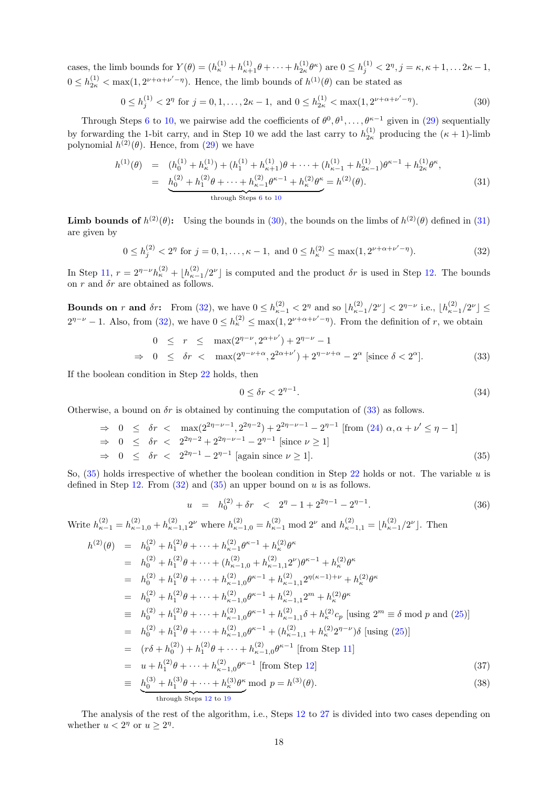cases, the limb bounds for  $Y(\theta) = (h_{\kappa}^{(1)} + h_{\kappa+1}^{(1)}\theta + \cdots + h_{2\kappa}^{(1)}\theta^{\kappa})$  are  $0 \le h_j^{(1)} < 2^{\eta}, j = \kappa, \kappa + 1, \ldots, 2\kappa - 1,$  $0 \leq h_{2\kappa}^{(1)} < \max(1, 2^{\nu+\alpha+\nu'-\eta})$ . Hence, the limb bounds of  $h^{(1)}(\theta)$  can be stated as

<span id="page-17-0"></span>
$$
0 \le h_j^{(1)} < 2^{\eta} \text{ for } j = 0, 1, \dots, 2\kappa - 1, \text{ and } 0 \le h_{2\kappa}^{(1)} < \max(1, 2^{\nu + \alpha + \nu' - \eta}). \tag{30}
$$

Through Steps [6](#page-15-0) to [10,](#page-15-0) we pairwise add the coefficients of  $\theta^0, \theta^1, \ldots, \theta^{\kappa-1}$  given in [\(29\)](#page-16-4) sequentially by forwarding the 1-bit carry, and in Step 10 we add the last carry to  $h_{2\kappa}^{(1)}$  producing the  $(\kappa + 1)$ -limb polynomial  $h^{(2)}(\theta)$ . Hence, from  $(29)$  we have

<span id="page-17-1"></span>
$$
h^{(1)}(\theta) = (h_0^{(1)} + h_\kappa^{(1)}) + (h_1^{(1)} + h_{\kappa+1}^{(1)})\theta + \dots + (h_{\kappa-1}^{(1)} + h_{2\kappa-1}^{(1)})\theta^{\kappa-1} + h_{2\kappa}^{(1)}\theta^{\kappa},
$$
  
\n
$$
= \underbrace{h_0^{(2)} + h_1^{(2)}\theta + \dots + h_{\kappa-1}^{(2)}\theta^{\kappa-1} + h_\kappa^{(2)}\theta^{\kappa}}_{\text{through Steps 6 to 10}} = h^{(2)}(\theta). \tag{31}
$$

**Limb bounds of**  $h^{(2)}(\theta)$ : Using the bounds in [\(30\)](#page-17-0), the bounds on the limbs of  $h^{(2)}(\theta)$  defined in [\(31\)](#page-17-1) are given by

<span id="page-17-2"></span>
$$
0 \le h_j^{(2)} < 2^{\eta} \text{ for } j = 0, 1, \dots, \kappa - 1, \text{ and } 0 \le h_\kappa^{(2)} \le \max(1, 2^{\nu + \alpha + \nu' - \eta}). \tag{32}
$$

In Step [11,](#page-15-0)  $r = 2^{\eta-\nu} h_{\kappa}^{(2)} + \lfloor h_{\kappa-1}^{(2)}/2^{\nu} \rfloor$  is computed and the product  $\delta r$  is used in Step [12.](#page-15-0) The bounds on r and  $\delta r$  are obtained as follows.

**Bounds on** r and  $\delta r$ : From [\(32\)](#page-17-2), we have  $0 \le h_{\kappa-1}^{(2)} < 2^{\eta}$  and so  $\lfloor h_{\kappa-1}^{(2)}/2^{\nu} \rfloor < 2^{\eta-\nu}$  i.e.,  $\lfloor h_{\kappa-1}^{(2)}/2^{\nu} \rfloor \le$  $2^{\eta-\nu}-1$ . Also, from [\(32\)](#page-17-2), we have  $0 \leq h_{\kappa}^{(2)} \leq \max(1, 2^{\nu+\alpha+\nu'-\eta})$ . From the definition of r, we obtain

<span id="page-17-3"></span>
$$
0 \le r \le \max(2^{\eta-\nu}, 2^{\alpha+\nu'}) + 2^{\eta-\nu} - 1
$$
  
\n
$$
\Rightarrow 0 \le \delta r < \max(2^{\eta-\nu+\alpha}, 2^{2\alpha+\nu'}) + 2^{\eta-\nu+\alpha} - 2^{\alpha} \text{ [since } \delta < 2^{\alpha} \text{]}.
$$
 (33)

If the boolean condition in Step [22](#page-15-0) holds, then

<span id="page-17-7"></span>
$$
0 \le \delta r < 2^{\eta - 1}.\tag{34}
$$

Otherwise, a bound on  $\delta r$  is obtained by continuing the computation of [\(33\)](#page-17-3) as follows.

<span id="page-17-4"></span>
$$
\Rightarrow 0 \le \delta r < \max(2^{2\eta-\nu-1}, 2^{2\eta-2}) + 2^{2\eta-\nu-1} - 2^{\eta-1} \text{ [from (24) } \alpha, \alpha + \nu' \le \eta - 1]
$$
  
\n
$$
\Rightarrow 0 \le \delta r < 2^{2\eta-2} + 2^{2\eta-\nu-1} - 2^{\eta-1} \text{ [since } \nu \ge 1]
$$
  
\n
$$
\Rightarrow 0 \le \delta r < 2^{2\eta-1} - 2^{\eta-1} \text{ [again since } \nu \ge 1].
$$
\n(35)

So,  $(35)$  holds irrespective of whether the boolean condition in Step [22](#page-15-0) holds or not. The variable u is defined in Step [12.](#page-15-0) From  $(32)$  and  $(35)$  an upper bound on u is as follows.

<span id="page-17-6"></span>
$$
u = h_0^{(2)} + \delta r < 2^{\eta} - 1 + 2^{2\eta - 1} - 2^{\eta - 1}.
$$
 (36)

Write  $h_{\kappa-1}^{(2)} = h_{\kappa-1,0}^{(2)} + h_{\kappa-1,1}^{(2)} 2^{\nu}$  where  $h_{\kappa-1,0}^{(2)} = h_{\kappa-1}^{(2)}$  and  $h_{\kappa-1,1}^{(2)} = \lfloor h_{\kappa-1}^{(2)} / 2^{\nu} \rfloor$ . Then

<span id="page-17-5"></span>
$$
h^{(2)}(\theta) = h_0^{(2)} + h_1^{(2)}\theta + \dots + h_{\kappa-1}^{(2)}\theta^{\kappa-1} + h_{\kappa}^{(2)}\theta^{\kappa}
$$
  
\n
$$
= h_0^{(2)} + h_1^{(2)}\theta + \dots + (h_{\kappa-1,0}^{(2)} + h_{\kappa-1,1}^{(2)}2^{\nu})\theta^{\kappa-1} + h_{\kappa}^{(2)}\theta^{\kappa}
$$
  
\n
$$
= h_0^{(2)} + h_1^{(2)}\theta + \dots + h_{\kappa-1,0}^{(2)}\theta^{\kappa-1} + h_{\kappa-1,1}^{(2)}2^{\eta(\kappa-1)+\nu} + h_{\kappa}^{(2)}\theta^{\kappa}
$$
  
\n
$$
= h_0^{(2)} + h_1^{(2)}\theta + \dots + h_{\kappa-1,0}^{(2)}\theta^{\kappa-1} + h_{\kappa-1,1}^{(2)}2^{\kappa} + h_{\kappa}^{(2)}\theta^{\kappa}
$$
  
\n
$$
= h_0^{(2)} + h_1^{(2)}\theta + \dots + h_{\kappa-1,0}^{(2)}\theta^{\kappa-1} + h_{\kappa-1,1}^{(2)}\delta + h_{\kappa}^{(2)}c_p \text{ [using } 2^m \equiv \delta \text{ mod } p \text{ and } (25)]
$$
  
\n
$$
= h_0^{(2)} + h_1^{(2)}\theta + \dots + h_{\kappa-1,0}^{(2)}\theta^{\kappa-1} + (h_{\kappa-1,1}^{(2)} + h_{\kappa}^{(2)}2^{\eta-\nu})\delta \text{ [using (25)]}
$$
  
\n
$$
= (r\delta + h_0^{(2)}) + h_1^{(2)}\theta + \dots + h_{\kappa-1,0}^{(2)}\theta^{\kappa-1} \text{ [from Step 11]}
$$
  
\n
$$
= u + h_1^{(2)}\theta + \dots + h_{\kappa-1,0}^{(2)}\theta^{\kappa} \text{ mod } p = h^{(3)}(\theta).
$$
  
\n
$$
\frac{h_0^{(3)} + h_1^{(3)}\theta + \dots + h_{\kappa}^{(3)}\theta
$$

The analysis of the rest of the algorithm, i.e., Steps [12](#page-15-0) to [27](#page-15-0) is divided into two cases depending on whether  $u < 2^{\eta}$  or  $u \geq 2^{\eta}$ .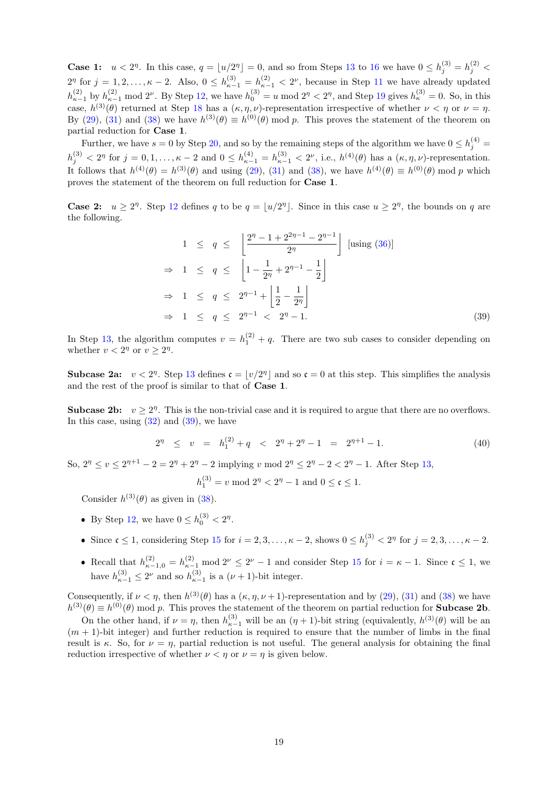**Case 1:**  $u < 2^n$ . In this case,  $q = \lfloor u/2^n \rfloor = 0$ , and so from Steps [13](#page-15-0) to [16](#page-15-0) we have  $0 \le h_j^{(3)} = h_j^{(2)}$  $2^{\eta}$  for  $j = 1, 2, ..., \kappa - 2$ . Also,  $0 \leq h_{\kappa-1}^{(3)} = h_{\kappa-1}^{(2)} < 2^{\nu}$ , because in Step [11](#page-15-0) we have already updated  $h_{\kappa-1}^{(2)}$  by  $h_{\kappa-1}^{(2)}$  mod  $2^{\nu}$ . By Step [12,](#page-15-0) we have  $h_0^{(3)} = u \mod 2^{\eta} < 2^{\eta}$ , and Step [19](#page-15-0) gives  $h_{\kappa}^{(3)} = 0$ . So, in this case,  $h^{(3)}(\theta)$  returned at Step [18](#page-15-0) has a  $(\kappa, \eta, \nu)$ -representation irrespective of whether  $\nu < \eta$  or  $\nu = \eta$ . By [\(29\)](#page-16-4), [\(31\)](#page-17-1) and [\(38\)](#page-17-5) we have  $h^{(3)}(\theta) \equiv h^{(0)}(\theta) \mod p$ . This proves the statement of the theorem on partial reduction for Case 1.

Further, we have  $s = 0$  by Step [20,](#page-15-0) and so by the remaining steps of the algorithm we have  $0 \le h_j^{(4)} =$  $h_j^{(3)} < 2^{\eta}$  for  $j = 0, 1, \ldots, \kappa - 2$  and  $0 \leq h_{\kappa-1}^{(4)} = h_{\kappa-1}^{(3)} < 2^{\nu}$ , i.e.,  $h^{(4)}(\theta)$  has a  $(\kappa, \eta, \nu)$ -representation. It follows that  $h^{(4)}(\theta) = h^{(3)}(\theta)$  and using [\(29\)](#page-16-4), [\(31\)](#page-17-1) and [\(38\)](#page-17-5), we have  $h^{(4)}(\theta) \equiv h^{(0)}(\theta) \mod p$  which proves the statement of the theorem on full reduction for Case 1.

**Case 2:**  $u \geq 2^n$ . Step [12](#page-15-0) defines q to be  $q = \lfloor u/2^n \rfloor$ . Since in this case  $u \geq 2^n$ , the bounds on q are the following.

<span id="page-18-0"></span>
$$
1 \le q \le \left\lfloor \frac{2^{n} - 1 + 2^{2n-1} - 2^{n-1}}{2^n} \right\rfloor \text{ [using (36)]}
$$
\n
$$
\Rightarrow 1 \le q \le \left\lfloor 1 - \frac{1}{2^n} + 2^{n-1} - \frac{1}{2} \right\rfloor
$$
\n
$$
\Rightarrow 1 \le q \le 2^{n-1} + \left\lfloor \frac{1}{2} - \frac{1}{2^n} \right\rfloor
$$
\n
$$
\Rightarrow 1 \le q \le 2^{n-1} < 2^n - 1.
$$
\n(39)

In Step [13,](#page-15-0) the algorithm computes  $v = h_1^{(2)} + q$ . There are two sub cases to consider depending on whether  $v < 2^{\eta}$  or  $v \geq 2^{\eta}$ .

**Subcase 2a:**  $v < 2^n$ . Step [13](#page-15-0) defines  $\mathfrak{c} = |v/2^n|$  and so  $\mathfrak{c} = 0$  at this step. This simplifies the analysis and the rest of the proof is similar to that of Case 1.

**Subcase 2b:**  $v \geq 2^n$ . This is the non-trivial case and it is required to argue that there are no overflows. In this case, using  $(32)$  and  $(39)$ , we have

$$
2^{\eta} \le v = h_1^{(2)} + q < 2^{\eta} + 2^{\eta} - 1 = 2^{\eta+1} - 1. \tag{40}
$$

So,  $2^{\eta} \le v \le 2^{\eta+1} - 2 = 2^{\eta} + 2^{\eta} - 2$  implying v mod  $2^{\eta} \le 2^{\eta} - 2 < 2^{\eta} - 1$ . After Step [13,](#page-15-0)

$$
h_1^{(3)} = v \bmod 2^{\eta} < 2^{\eta} - 1 \text{ and } 0 \le \mathfrak{c} \le 1.
$$

Consider  $h^{(3)}(\theta)$  as given in [\(38\)](#page-17-5).

- By Step [12,](#page-15-0) we have  $0 \le h_0^{(3)} < 2^{\eta}$ .
- Since  $\mathfrak{c} \leq 1$ , considering Step [15](#page-15-0) for  $i = 2, 3, \ldots, \kappa 2$ , shows  $0 \leq h_j^{(3)} < 2^{\eta}$  for  $j = 2, 3, \ldots, \kappa 2$ .
- Recall that  $h_{\kappa-1,0}^{(2)} = h_{\kappa-1}^{(2)} \mod 2^{\nu} \leq 2^{\nu} 1$  and consider Step [15](#page-15-0) for  $i = \kappa 1$ . Since  $\mathfrak{c} \leq 1$ , we have  $h_{\kappa-1}^{(3)} \leq 2^{\nu}$  and so  $h_{\kappa-1}^{(3)}$  is a  $(\nu+1)$ -bit integer.

Consequently, if  $\nu < \eta$ , then  $h^{(3)}(\theta)$  has a  $(\kappa, \eta, \nu+1)$ -representation and by [\(29\)](#page-16-4), [\(31\)](#page-17-1) and [\(38\)](#page-17-5) we have  $h^{(3)}(\theta) \equiv h^{(0)}(\theta)$  mod p. This proves the statement of the theorem on partial reduction for **Subcase 2b**.

On the other hand, if  $\nu = \eta$ , then  $h_{\kappa-1}^{(3)}$  will be an  $(\eta + 1)$ -bit string (equivalently,  $h^{(3)}(\theta)$  will be an  $(m + 1)$ -bit integer) and further reduction is required to ensure that the number of limbs in the final result is κ. So, for  $\nu = \eta$ , partial reduction is not useful. The general analysis for obtaining the final reduction irrespective of whether  $\nu < \eta$  or  $\nu = \eta$  is given below.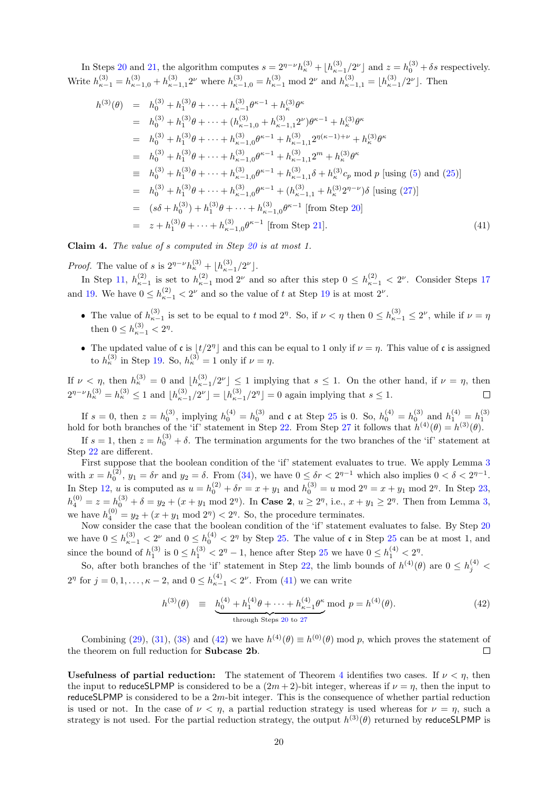In Steps [20](#page-15-0) and [21,](#page-15-0) the algorithm computes  $s = 2^{\eta-\nu} h_{\kappa}^{(3)} + \lfloor h_{\kappa-1}^{(3)}/2^{\nu} \rfloor$  and  $z = h_0^{(3)} + \delta s$  respectively. Write  $h_{\kappa-1}^{(3)} = h_{\kappa-1,0}^{(3)} + h_{\kappa-1,1}^{(3)} 2^{\nu}$  where  $h_{\kappa-1,0}^{(3)} = h_{\kappa-1}^{(3)}$  mod  $2^{\nu}$  and  $h_{\kappa-1,1}^{(3)} = \lfloor h_{\kappa-1}^{(3)}/2^{\nu} \rfloor$ . Then

<span id="page-19-0"></span>
$$
h^{(3)}(\theta) = h_0^{(3)} + h_1^{(3)}\theta + \dots + h_{\kappa-1}^{(3)}\theta^{\kappa-1} + h_{\kappa}^{(3)}\theta^{\kappa}
$$
  
\n
$$
= h_0^{(3)} + h_1^{(3)}\theta + \dots + (h_{\kappa-1,0}^{(3)} + h_{\kappa-1,1}^{(3)}2^{\nu})\theta^{\kappa-1} + h_{\kappa}^{(3)}\theta^{\kappa}
$$
  
\n
$$
= h_0^{(3)} + h_1^{(3)}\theta + \dots + h_{\kappa-1,0}^{(3)}\theta^{\kappa-1} + h_{\kappa-1,1}^{(3)}2^{\eta(\kappa-1)+\nu} + h_{\kappa}^{(3)}\theta^{\kappa}
$$
  
\n
$$
= h_0^{(3)} + h_1^{(3)}\theta + \dots + h_{\kappa-1,0}^{(3)}\theta^{\kappa-1} + h_{\kappa-1,1}^{(3)}2^m + h_{\kappa}^{(3)}\theta^{\kappa}
$$
  
\n
$$
= h_0^{(3)} + h_1^{(3)}\theta + \dots + h_{\kappa-1,0}^{(3)}\theta^{\kappa-1} + h_{\kappa-1,1}^{(3)}\delta + h_{\kappa}^{(3)}c_p \text{ mod } p \text{ [using (5) and (25)]}
$$
  
\n
$$
= h_0^{(3)} + h_1^{(3)}\theta + \dots + h_{\kappa-1,0}^{(3)}\theta^{\kappa-1} + (h_{\kappa-1,1}^{(3)} + h_{\kappa}^{(3)}2^{\eta-\nu})\delta \text{ [using (27)]}
$$
  
\n
$$
= (s\delta + h_0^{(3)}) + h_1^{(3)}\theta + \dots + h_{\kappa-1,0}^{(3)}\theta^{\kappa-1} \text{ [from Step 20]}
$$
  
\n
$$
= z + h_1^{(3)}\theta + \dots + h_{\kappa-1,0}^{(3)}\theta^{\kappa-1} \text{ [from Step 21].}
$$
  
\n(41)

Claim 4. The value of s computed in Step [20](#page-15-0) is at most 1.

*Proof.* The value of s is  $2^{\eta-\nu}h_{\kappa}^{(3)} + \lfloor h_{\kappa-1}^{(3)}/2^{\nu} \rfloor$ .

In Step [11,](#page-15-0)  $h_{\kappa-1}^{(2)}$  is set to  $h_{\kappa-1}^{(2)}$  mod 2<sup>*v*</sup> and so after this step  $0 \leq h_{\kappa-1}^{(2)} < 2^{\nu}$ . Consider Steps [17](#page-15-0) and [19.](#page-15-0) We have  $0 \leq h_{\kappa-1}^{(2)} < 2^{\nu}$  and so the value of t at Step [19](#page-15-0) is at most  $2^{\nu}$ .

- The value of  $h_{\kappa-1}^{(3)}$  is set to be equal to t mod  $2^{\eta}$ . So, if  $\nu < \eta$  then  $0 \le h_{\kappa-1}^{(3)} \le 2^{\nu}$ , while if  $\nu = \eta$ then  $0 \leq h_{\kappa-1}^{(3)} < 2^{\eta}$ .
- The updated value of c is  $|t/2^{\eta}|$  and this can be equal to 1 only if  $\nu = \eta$ . This value of c is assigned to  $h_{\kappa}^{(3)}$  in Step [19.](#page-15-0) So,  $h_{\kappa}^{(3)} = 1$  only if  $\nu = \eta$ .

If  $\nu < \eta$ , then  $h_{\kappa}^{(3)} = 0$  and  $\lfloor h_{\kappa-1}^{(3)} / 2^{\nu} \rfloor \leq 1$  implying that  $s \leq 1$ . On the other hand, if  $\nu = \eta$ , then  $2^{\eta-\nu}h_{\kappa}^{(3)} = h_{\kappa}^{(3)} \le 1$  and  $\lfloor h_{\kappa-1}^{(3)}/2^{\nu} \rfloor = \lfloor h_{\kappa-1}^{(3)}/2^{\eta} \rfloor = 0$  again implying that  $s \le 1$ .

If  $s = 0$ , then  $z = h_0^{(3)}$ , implying  $h_0^{(4)} = h_0^{(3)}$  and  $\mathfrak{c}$  at Step [25](#page-15-0) is 0. So,  $h_0^{(4)} = h_0^{(3)}$  and  $h_1^{(4)} = h_1^{(3)}$ <br>hold for both branches of the 'if' statement in Step [22.](#page-15-0) From Step [27](#page-15-0) it follows that  $h^{($ 

If  $s = 1$ , then  $z = h_0^{(3)} + \delta$ . The termination arguments for the two branches of the 'if' statement at Step [22](#page-15-0) are different.

First suppose that the boolean condition of the 'if' statement evaluates to true. We apply Lemma [3](#page-15-1) with  $x = h_0^{(2)}$ ,  $y_1 = \delta r$  and  $y_2 = \delta$ . From [\(34\)](#page-17-7), we have  $0 \leq \delta r < 2^{\eta-1}$  which also implies  $0 < \delta < 2^{\eta-1}$ . In Step [12,](#page-15-0) *u* is computed as  $u = h_0^{(2)} + \delta r = x + y_1$  and  $h_0^{(3)} = u \mod 2^{\eta} = x + y_1 \mod 2^{\eta}$ . In Step [23,](#page-15-0)  $h_4^{(0)} = z = h_0^{(3)} + \delta = y_2 + (x + y_1 \mod 2^{\eta})$ . In Case 2,  $u \ge 2^{\eta}$ , i.e.,  $x + y_1 \ge 2^{\eta}$ . Then from Lemma [3,](#page-15-1) we have  $h_4^{(0)} = y_2 + (x + y_1 \mod 2^{\eta}) < 2^{\eta}$ . So, the procedure terminates.

Now consider the case that the boolean condition of the 'if' statement evaluates to false. By Step [20](#page-15-0) we have  $0 \leq h_{\kappa-1}^{(3)} < 2^{\nu}$  and  $0 \leq h_0^{(4)} < 2^{\eta}$  by Step [25.](#page-15-0) The value of c in Step [25](#page-15-0) can be at most 1, and since the bound of  $h_1^{(3)}$  is  $0 \le h_1^{(3)} < 2<sup>{n}</sup> - 1$ , hence after Step [25](#page-15-0) we have  $0 \le h_1^{(4)} < 2<sup>{n}</sup>$ .

So, after both branches of the 'if' statement in Step [22,](#page-15-0) the limb bounds of  $h^{(4)}(\theta)$  are  $0 \le h_j^{(4)}$  $2^{\eta}$  for  $j = 0, 1, ..., \kappa - 2$ , and  $0 \leq h_{\kappa-1}^{(4)} < 2^{\nu}$ . From [\(41\)](#page-19-0) we can write

<span id="page-19-1"></span>
$$
h^{(3)}(\theta) \equiv \underbrace{h_0^{(4)} + h_1^{(4)}\theta + \dots + h_{\kappa-1}^{(4)}\theta^{\kappa}}_{\text{through Steps 20 to 27}} \text{mod } p = h^{(4)}(\theta). \tag{42}
$$

Combining [\(29\)](#page-16-4), [\(31\)](#page-17-1), [\(38\)](#page-17-5) and [\(42\)](#page-19-1) we have  $h^{(4)}(\theta) \equiv h^{(0)}(\theta) \mod p$ , which proves the statement of the theorem on full reduction for Subcase 2b.  $\Box$ 

Usefulness of partial reduction: The statement of Theorem [4](#page-15-2) identifies two cases. If  $\nu < n$ , then the input to reduceSLPMP is considered to be a  $(2m+2)$ -bit integer, whereas if  $\nu = n$ , then the input to reduceSLPMP is considered to be a 2m-bit integer. This is the consequence of whether partial reduction is used or not. In the case of  $\nu < \eta$ , a partial reduction strategy is used whereas for  $\nu = \eta$ , such a strategy is not used. For the partial reduction strategy, the output  $h^{(3)}(\theta)$  returned by reduceSLPMP is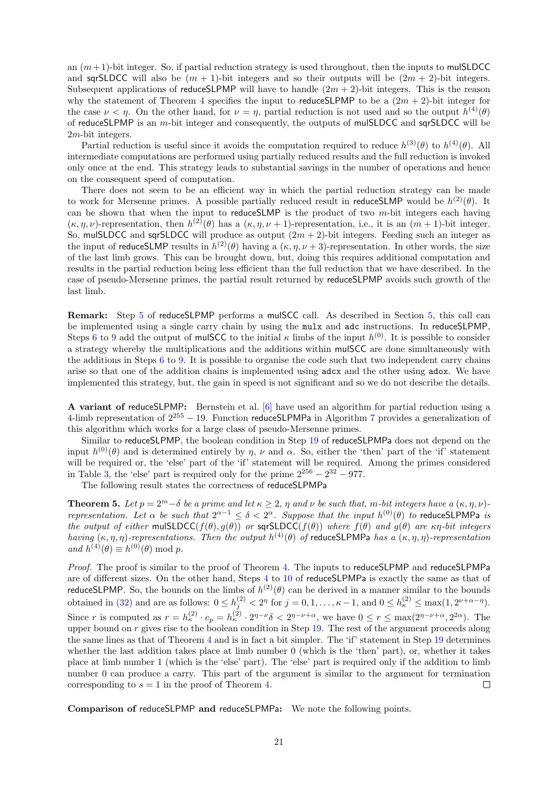an  $(m+1)$ -bit integer. So, if partial reduction strategy is used throughout, then the inputs to mulSLDCC and sqrSLDCC will also be  $(m + 1)$ -bit integers and so their outputs will be  $(2m + 2)$ -bit integers. Subsequent applications of reduceSLPMP will have to handle  $(2m + 2)$ -bit integers. This is the reason why the statement of Theorem [4](#page-15-2) specifies the input to reduceSLPMP to be a  $(2m + 2)$ -bit integer for the case  $\nu < \eta$ . On the other hand, for  $\nu = \eta$ , partial reduction is not used and so the output  $h^{(4)}(\theta)$ of reduceSLPMP is an m-bit integer and consequently, the outputs of mulSLDCC and sqrSLDCC will be 2m-bit integers.

Partial reduction is useful since it avoids the computation required to reduce  $h^{(3)}(\theta)$  to  $h^{(4)}(\theta)$ . All intermediate computations are performed using partially reduced results and the full reduction is invoked only once at the end. This strategy leads to substantial savings in the number of operations and hence on the consequent speed of computation.

There does not seem to be an efficient way in which the partial reduction strategy can be made to work for Mersenne primes. A possible partially reduced result in reduce SLMP would be  $h^{(2)}(\theta)$ . It can be shown that when the input to reduce SLMP is the product of two  $m$ -bit integers each having  $(\kappa, \eta, \nu)$ -representation, then  $h^{(2)}(\theta)$  has a  $(\kappa, \eta, \nu+1)$ -representation, i.e., it is an  $(m+1)$ -bit integer. So, mulSLDCC and sqrSLDCC will produce as output  $(2m + 2)$ -bit integers. Feeding such an integer as the input of reduceSLMP results in  $h^{(2)}(\theta)$  having a  $(\kappa, \eta, \nu+3)$ -representation. In other words, the size of the last limb grows. This can be brought down, but, doing this requires additional computation and results in the partial reduction being less efficient than the full reduction that we have described. In the case of pseudo-Mersenne primes, the partial result returned by reduceSLPMP avoids such growth of the last limb.

Remark: Step [5](#page-15-0) of reduceSLPMP performs a mulSCC call. As described in Section [5,](#page-9-0) this call can be implemented using a single carry chain by using the mulx and adc instructions. In reduceSLPMP, Steps [6](#page-15-0) to [9](#page-15-0) add the output of mulSCC to the initial  $\kappa$  limbs of the input  $h^{(0)}$ . It is possible to consider a strategy whereby the multiplications and the additions within mulSCC are done simultaneously with the additions in Steps [6](#page-15-0) to [9.](#page-15-0) It is possible to organise the code such that two independent carry chains arise so that one of the addition chains is implemented using adcx and the other using adox. We have implemented this strategy, but, the gain in speed is not significant and so we do not describe the details.

A variant of reduceSLPMP: Bernstein et al. [\[6\]](#page-35-7) have used an algorithm for partial reduction using a 4-limb representation of  $2^{255} - 19$ . Function reduceSLPMPa in Algorithm [7](#page-21-1) provides a generalization of this algorithm which works for a large class of pseudo-Mersenne primes.

Similar to reduceSLPMP, the boolean condition in Step [19](#page-21-1) of reduceSLPMPa does not depend on the input  $h^{(0)}(\theta)$  and is determined entirely by  $\eta$ ,  $\nu$  and  $\alpha$ . So, either the 'then' part of the 'if' statement will be required or, the 'else' part of the 'if' statement will be required. Among the primes considered in Table [3,](#page-5-0) the 'else' part is required only for the prime  $2^{256} - 2^{32} - 977$ .

The following result states the correctness of reduceSLPMPa

<span id="page-20-0"></span>**Theorem 5.** Let  $p = 2^m - \delta$  be a prime and let  $\kappa \geq 2$ ,  $\eta$  and  $\nu$  be such that, m-bit integers have a  $(\kappa, \eta, \nu)$ representation. Let  $\alpha$  be such that  $2^{\alpha-1} \le \delta < 2^{\alpha}$ . Suppose that the input  $h^{(0)}(\theta)$  to reduceSLPMPa is the output of either mulSLDCC( $f(\theta), g(\theta)$ ) or sqrSLDCC( $f(\theta)$ ) where  $f(\theta)$  and  $g(\theta)$  are  $\kappa \eta$ -bit integers having  $(\kappa, \eta, \eta)$ -representations. Then the output  $h^{(4)}(\theta)$  of reduceSLPMPa has a  $(\kappa, \eta, \eta)$ -representation and  $h^{(4)}(\theta) \equiv h^{(0)}(\theta) \bmod p$ .

Proof. The proof is similar to the proof of Theorem [4.](#page-15-2) The inputs to reduceSLPMP and reduceSLPMPa are of different sizes. On the other hand, Steps [4](#page-21-1) to [10](#page-21-1) of reduceSLPMPa is exactly the same as that of reduceSLPMP. So, the bounds on the limbs of  $h^{(2)}(\theta)$  can be derived in a manner similar to the bounds obtained in [\(32\)](#page-17-2) and are as follows:  $0 \le h_j^{(2)} < 2^{\eta}$  for  $j = 0, 1, \ldots, \kappa - 1$ , and  $0 \le h_{\kappa}^{(2)} \le \max(1, 2^{\nu + \alpha - \eta})$ . Since r is computed as  $r = h_{\kappa}^{(2)} \cdot c_p = h_{\kappa}^{(2)} \cdot 2^{\eta - \nu} \delta < 2^{\eta - \nu + \alpha}$ , we have  $0 \le r \le \max(2^{\eta - \nu + \alpha}, 2^{2\alpha})$ . The upper bound on  $r$  gives rise to the boolean condition in Step [19.](#page-21-1) The rest of the argument proceeds along the same lines as that of Theorem [4](#page-15-2) and is in fact a bit simpler. The 'if' statement in Step [19](#page-21-1) determines whether the last addition takes place at limb number 0 (which is the 'then' part), or, whether it takes place at limb number 1 (which is the 'else' part). The 'else' part is required only if the addition to limb number 0 can produce a carry. This part of the argument is similar to the argument for termination corresponding to  $s = 1$  in the proof of Theorem [4.](#page-15-2)  $\Box$ 

Comparison of reduceSLPMP and reduceSLPMPa: We note the following points.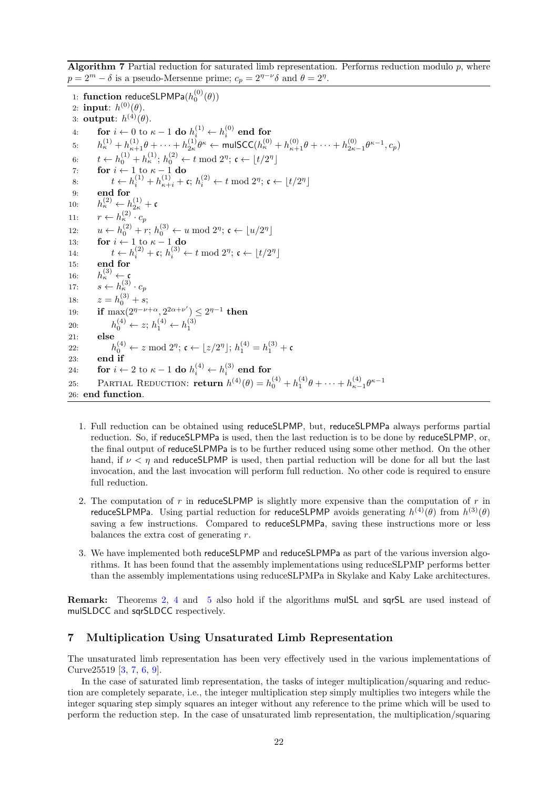<span id="page-21-1"></span>**Algorithm 7** Partial reduction for saturated limb representation. Performs reduction modulo  $p$ , where  $p = 2^m - \delta$  is a pseudo-Mersenne prime;  $c_p = 2^{\eta - \nu} \delta$  and  $\theta = 2^{\eta}$ .

1: function reduceSLPMPa $(h_0^{(0)}(\theta))$ 2: input:  $h^{(0)}(\theta)$ . 3: output:  $h^{(4)}(\theta)$ .  $\begin{array}{ll} \text{4:} & \quad \text{for } i \leftarrow 0 \text{ to } \kappa - 1 \text{ do } h_i^{(1)} \leftarrow h_i^{(0)} \text{ end for} \end{array}$ 5:  $h_κ^{(1)} + h_{κ+1}^{(1)}θ + \cdots + h_{2κ}^{(1)}θ_κ$  ← mulSCC( $h_κ^{(0)} + h_{κ+1}^{(0)}θ + \cdots + h_{2κ-1}^{(0)}θ_κ-1}$ ,  $c_p$ ) 6:  $t \leftarrow h_0^{(1)} + h_{\kappa}^{(1)}$ ;  $h_0^{(2)} \leftarrow t \mod 2^{\eta}$ ;  $\mathfrak{c} \leftarrow \lfloor t/2^{\eta} \rfloor$ 7: for  $i \leftarrow 1$  to  $\kappa - 1$  do 8:  $t \leftarrow h_i^{(1)} + h_{\kappa+i}^{(1)} + c$ ;  $h_i^{(2)} \leftarrow t \mod 2^{\eta}$ ;  $c \leftarrow \lfloor t/2^{\eta} \rfloor$ 9: end for 10:  $h_{\kappa}^{(2)} \leftarrow h_{2\kappa}^{(1)} + c$ 11:  $r \leftarrow h_{\kappa}^{(2)} \cdot c_p$ 12:  $u \leftarrow h_0^{(2)} + r$ ;  $h_0^{(3)} \leftarrow u \mod 2^{\eta}$ ;  $\mathfrak{c} \leftarrow \lfloor u/2^{\eta} \rfloor$ 13: **for**  $i \leftarrow 1$  to  $\kappa - 1$  do 14:  $t \leftarrow h_i^{(2)} + \mathfrak{c}; h_i^{(3)} \leftarrow t \mod 2^{\eta}; \mathfrak{c} \leftarrow \lfloor t/2^{\eta} \rfloor$ 15: end for 16:  $h_{\kappa}^{(3)} \leftarrow \mathfrak{c}$ 17:  $s \leftarrow h_{\kappa}^{(3)} \cdot c_p$ 18:  $z = h_0^{(3)} + s;$ 19: **if** max $(2^{\eta-\nu+\alpha}, 2^{2\alpha+\nu'}) \leq 2^{\eta-1}$  then 20:  $h_0^{(4)} \leftarrow z; h_1^{(4)} \leftarrow h_1^{(3)}$ 21: else 22:  $h_0^{(4)} \leftarrow z \mod 2^n; \ \mathfrak{c} \leftarrow \lfloor z/2^n \rfloor; \ h_1^{(4)} = h_1^{(3)} + \mathfrak{c}$ 23: end if 24: for  $i \leftarrow 2$  to  $\kappa - 1$  do  $h_i^{(4)} \leftarrow h_i^{(3)}$  end for 25: PARTIAL REDUCTION: **return**  $h^{(4)}(\theta) = h_0^{(4)} + h_1^{(4)}\theta + \cdots + h_{\kappa-1}^{(4)}\theta^{\kappa-1}$ 26: end function.

- 1. Full reduction can be obtained using reduceSLPMP, but, reduceSLPMPa always performs partial reduction. So, if reduceSLPMPa is used, then the last reduction is to be done by reduceSLPMP, or, the final output of reduceSLPMPa is to be further reduced using some other method. On the other hand, if  $\nu < \eta$  and reduceSLPMP is used, then partial reduction will be done for all but the last invocation, and the last invocation will perform full reduction. No other code is required to ensure full reduction.
- 2. The computation of r in reduceSLPMP is slightly more expensive than the computation of r in reduceSLPMPa. Using partial reduction for reduceSLPMP avoids generating  $h^{(4)}(\theta)$  from  $h^{(3)}(\theta)$ saving a few instructions. Compared to reduceSLPMPa, saving these instructions more or less balances the extra cost of generating r.
- 3. We have implemented both reduceSLPMP and reduceSLPMPa as part of the various inversion algorithms. It has been found that the assembly implementations using reduceSLPMP performs better than the assembly implementations using reduceSLPMPa in Skylake and Kaby Lake architectures.

Remark: Theorems [2,](#page-12-5) [4](#page-15-2) and [5](#page-20-0) also hold if the algorithms mulSL and sqrSL are used instead of mulSLDCC and sqrSLDCC respectively.

# <span id="page-21-0"></span>7 Multiplication Using Unsaturated Limb Representation

The unsaturated limb representation has been very effectively used in the various implementations of Curve25519 [\[3,](#page-35-4) [7,](#page-35-13) [6,](#page-35-7) [9\]](#page-35-8).

In the case of saturated limb representation, the tasks of integer multiplication/squaring and reduction are completely separate, i.e., the integer multiplication step simply multiplies two integers while the integer squaring step simply squares an integer without any reference to the prime which will be used to perform the reduction step. In the case of unsaturated limb representation, the multiplication/squaring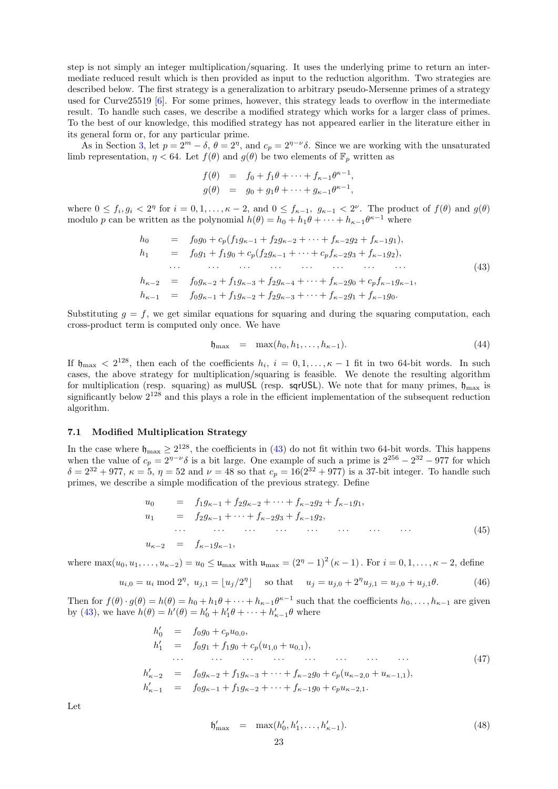step is not simply an integer multiplication/squaring. It uses the underlying prime to return an intermediate reduced result which is then provided as input to the reduction algorithm. Two strategies are described below. The first strategy is a generalization to arbitrary pseudo-Mersenne primes of a strategy used for Curve25519 [\[6\]](#page-35-7). For some primes, however, this strategy leads to overflow in the intermediate result. To handle such cases, we describe a modified strategy which works for a larger class of primes. To the best of our knowledge, this modified strategy has not appeared earlier in the literature either in its general form or, for any particular prime.

As in Section [3,](#page-4-0) let  $p = 2^m - \delta$ ,  $\theta = 2^{\eta}$ , and  $c_p = 2^{\eta - \nu} \delta$ . Since we are working with the unsaturated limb representation,  $\eta < 64$ . Let  $f(\theta)$  and  $g(\theta)$  be two elements of  $\mathbb{F}_p$  written as

$$
f(\theta) = f_0 + f_1 \theta + \dots + f_{\kappa - 1} \theta^{\kappa - 1},
$$
  
\n
$$
g(\theta) = g_0 + g_1 \theta + \dots + g_{\kappa - 1} \theta^{\kappa - 1},
$$

where  $0 \le f_i, g_i < 2^{\eta}$  for  $i = 0, 1, \ldots, \kappa - 2$ , and  $0 \le f_{\kappa-1}, g_{\kappa-1} < 2^{\nu}$ . The product of  $f(\theta)$  and  $g(\theta)$ modulo p can be written as the polynomial  $h(\theta) = h_0 + h_1 \theta + \cdots + h_{\kappa-1} \theta^{\kappa-1}$  where

<span id="page-22-1"></span>h<sup>0</sup> = f0g<sup>0</sup> + cp(f1gκ−<sup>1</sup> + f2gκ−<sup>2</sup> + · · · + fκ−2g<sup>2</sup> + fκ−1g1), h<sup>1</sup> = f0g<sup>1</sup> + f1g<sup>0</sup> + cp(f2gκ−<sup>1</sup> + · · · + cpfκ−2g<sup>3</sup> + fκ−1g2), · · · · · · · · · · · · · · · · · · · · · · · · (43) hκ−<sup>2</sup> = f0gκ−<sup>2</sup> + f1gκ−<sup>3</sup> + f2gκ−<sup>4</sup> + · · · + fκ−2g<sup>0</sup> + cpfκ−1gκ−1, hκ−<sup>1</sup> = f0gκ−<sup>1</sup> + f1gκ−<sup>2</sup> + f2gκ−<sup>3</sup> + · · · + fκ−2g<sup>1</sup> + fκ−1g0.

Substituting  $g = f$ , we get similar equations for squaring and during the squaring computation, each cross-product term is computed only once. We have

$$
\mathfrak{h}_{\max} = \max(h_0, h_1, \dots, h_{\kappa-1}). \tag{44}
$$

If  $\mathfrak{h}_{\text{max}} < 2^{128}$ , then each of the coefficients  $h_i$ ,  $i = 0, 1, \ldots, \kappa - 1$  fit in two 64-bit words. In such cases, the above strategy for multiplication/squaring is feasible. We denote the resulting algorithm for multiplication (resp. squaring) as mulUSL (resp. sqrUSL). We note that for many primes,  $\mathfrak{h}_{\text{max}}$  is significantly below 2<sup>128</sup> and this plays a role in the efficient implementation of the subsequent reduction algorithm.

### <span id="page-22-0"></span>7.1 Modified Multiplication Strategy

In the case where  $\mathfrak{h}_{\text{max}} \geq 2^{128}$ , the coefficients in [\(43\)](#page-22-1) do not fit within two 64-bit words. This happens when the value of  $c_p = 2^{\eta-\nu}\delta$  is a bit large. One example of such a prime is  $2^{256} - 2^{32} - 977$  for which  $\delta = 2^{32} + 977$ ,  $\kappa = 5$ ,  $\eta = 52$  and  $\nu = 48$  so that  $c_p = 16(2^{32} + 977)$  is a 37-bit integer. To handle such primes, we describe a simple modification of the previous strategy. Define

$$
u_0 = f_1 g_{\kappa-1} + f_2 g_{\kappa-2} + \dots + f_{\kappa-2} g_2 + f_{\kappa-1} g_1,
$$
  
\n
$$
u_1 = f_2 g_{\kappa-1} + \dots + f_{\kappa-2} g_3 + f_{\kappa-1} g_2,
$$
  
\n
$$
\dots \qquad \dots \qquad \dots \qquad \dots \qquad \dots
$$
  
\n
$$
u_{\kappa-2} = f_{\kappa-1} g_{\kappa-1},
$$
  
\n(45)

where  $\max(u_0, u_1, \ldots, u_{\kappa-2}) = u_0 \leq \mathfrak{u}_{\text{max}}$  with  $\mathfrak{u}_{\text{max}} = (2^{\eta} - 1)^2 (\kappa - 1)$ . For  $i = 0, 1, \ldots, \kappa - 2$ , define

$$
u_{i,0} = u_i \mod 2^{\eta}, \ u_{j,1} = \lfloor u_j/2^{\eta} \rfloor
$$
 so that  $u_j = u_{j,0} + 2^{\eta} u_{j,1} = u_{j,0} + u_{j,1} \theta.$  (46)

Then for  $f(\theta) \cdot g(\theta) = h(\theta) = h_0 + h_1 \theta + \cdots + h_{\kappa-1} \theta^{\kappa-1}$  such that the coefficients  $h_0, \ldots, h_{\kappa-1}$  are given by [\(43\)](#page-22-1), we have  $h(\theta) = h'(\theta) = h'_0 + h'_1 \theta + \cdots + h'_{\kappa-1} \theta$  where

h 0 <sup>0</sup> = f0g<sup>0</sup> + cpu0,0, h 0 <sup>1</sup> = f0g<sup>1</sup> + f1g<sup>0</sup> + cp(u1,<sup>0</sup> + u0,1), · · · · · · · · · · · · · · · · · · · · · · · · (47) h 0 <sup>κ</sup>−<sup>2</sup> = f0gκ−<sup>2</sup> + f1gκ−<sup>3</sup> + · · · + fκ−2g<sup>0</sup> + cp(uκ−2,<sup>0</sup> + uκ−1,1), h 0 <sup>κ</sup>−<sup>1</sup> = f0gκ−<sup>1</sup> + f1gκ−<sup>2</sup> + · · · + fκ−1g<sup>0</sup> + cpuκ−2,1.

Let

$$
\mathfrak{h}'_{\max} = \max(h'_0, h'_1, \dots, h'_{\kappa-1}). \tag{48}
$$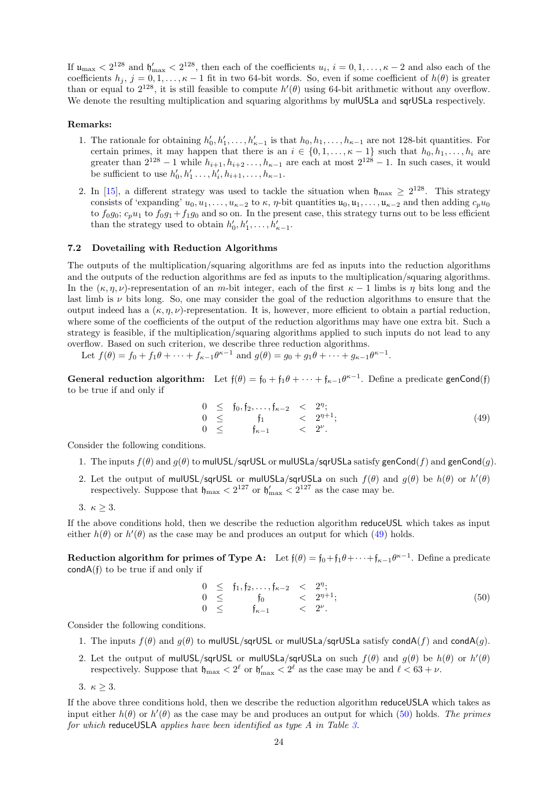If  $\mu_{\text{max}} < 2^{128}$  and  $\mathfrak{h}'_{\text{max}} < 2^{128}$ , then each of the coefficients  $u_i$ ,  $i = 0, 1, \ldots, \kappa - 2$  and also each of the coefficients  $h_j$ ,  $j = 0, 1, \ldots, \kappa - 1$  fit in two 64-bit words. So, even if some coefficient of  $h(\theta)$  is greater than or equal to  $2^{128}$ , it is still feasible to compute  $h'(\theta)$  using 64-bit arithmetic without any overflow. We denote the resulting multiplication and squaring algorithms by mulUSLa and sqrUSLa respectively.

### Remarks:

- 1. The rationale for obtaining  $h'_0, h'_1, \ldots, h'_{\kappa-1}$  is that  $h_0, h_1, \ldots, h_{\kappa-1}$  are not 128-bit quantities. For certain primes, it may happen that there is an  $i \in \{0, 1, \ldots, \kappa - 1\}$  such that  $h_0, h_1, \ldots, h_i$  are greater than  $2^{128} - 1$  while  $h_{i+1}, h_{i+2}, \ldots, h_{\kappa-1}$  are each at most  $2^{128} - 1$ . In such cases, it would be sufficient to use  $h'_0, h'_1, \ldots, h'_i, h_{i+1}, \ldots, h_{\kappa-1}$ .
- 2. In [\[15\]](#page-35-10), a different strategy was used to tackle the situation when  $\mathfrak{h}_{\text{max}} \geq 2^{128}$ . This strategy consists of 'expanding'  $u_0, u_1, \ldots, u_{\kappa-2}$  to  $\kappa, \eta$ -bit quantities  $\mathfrak{u}_0, \mathfrak{u}_1, \ldots, \mathfrak{u}_{\kappa-2}$  and then adding  $c_p u_0$ to  $f_0g_0$ ;  $c_pu_1$  to  $f_0g_1+f_1g_0$  and so on. In the present case, this strategy turns out to be less efficient than the strategy used to obtain  $h'_0, h'_1, \ldots, h'_{\kappa-1}$ .

### <span id="page-23-2"></span>7.2 Dovetailing with Reduction Algorithms

The outputs of the multiplication/squaring algorithms are fed as inputs into the reduction algorithms and the outputs of the reduction algorithms are fed as inputs to the multiplication/squaring algorithms. In the  $(\kappa, \eta, \nu)$ -representation of an m-bit integer, each of the first  $\kappa - 1$  limbs is  $\eta$  bits long and the last limb is  $\nu$  bits long. So, one may consider the goal of the reduction algorithms to ensure that the output indeed has a  $(\kappa, \eta, \nu)$ -representation. It is, however, more efficient to obtain a partial reduction, where some of the coefficients of the output of the reduction algorithms may have one extra bit. Such a strategy is feasible, if the multiplication/squaring algorithms applied to such inputs do not lead to any overflow. Based on such criterion, we describe three reduction algorithms.

Let  $f(\theta) = f_0 + f_1 \theta + \dots + f_{\kappa-1} \theta^{\kappa-1}$  and  $g(\theta) = g_0 + g_1 \theta + \dots + g_{\kappa-1} \theta^{\kappa-1}$ .

General reduction algorithm: Let  $f(\theta) = f_0 + f_1 \theta + \cdots + f_{\kappa-1} \theta^{\kappa-1}$ . Define a predicate genCond(f) to be true if and only if

<span id="page-23-0"></span>
$$
\begin{array}{rcl}\n0 & \leq & f_0, f_2, \dots, f_{\kappa-2} & < & 2^n; \\
0 & \leq & f_1 & < & 2^{n+1}; \\
0 & \leq & & f_{\kappa-1} & < & 2^{\nu}.\n\end{array} \tag{49}
$$

Consider the following conditions.

- 1. The inputs  $f(\theta)$  and  $g(\theta)$  to mulUSL/sqrUSL or mulUSLa/sqrUSLa satisfy genCond(f) and genCond(g).
- 2. Let the output of mulUSL/sqrUSL or mulUSLa/sqrUSLa on such  $f(\theta)$  and  $g(\theta)$  be  $h(\theta)$  or  $h'(\theta)$ respectively. Suppose that  $\mathfrak{h}_{\max} < 2^{127}$  or  $\mathfrak{h}'_{\max} < 2^{127}$  as the case may be.
- 3.  $\kappa > 3$ .

If the above conditions hold, then we describe the reduction algorithm reduceUSL which takes as input either  $h(\theta)$  or  $h'(\theta)$  as the case may be and produces an output for which [\(49\)](#page-23-0) holds.

**Reduction algorithm for primes of Type A:** Let  $f(\theta) = f_0 + f_1 \theta + \cdots + f_{\kappa-1} \theta^{\kappa-1}$ . Define a predicate  $condA(f)$  to be true if and only if

<span id="page-23-1"></span>
$$
0 \leq f_1, f_2, \ldots, f_{\kappa-2} < 2^n; \n0 \leq f_0 < 2^{n+1}; \n0 \leq f_{\kappa-1} < 2^{\nu}. \tag{50}
$$

Consider the following conditions.

- 1. The inputs  $f(\theta)$  and  $g(\theta)$  to mulUSL/sqrUSL or mulUSLa/sqrUSLa satisfy condA $(f)$  and condA $(g)$ .
- 2. Let the output of mulUSL/sqrUSL or mulUSLa/sqrUSLa on such  $f(\theta)$  and  $g(\theta)$  be  $h(\theta)$  or  $h'(\theta)$ respectively. Suppose that  $\mathfrak{h}_{\max} < 2^{\ell}$  or  $\mathfrak{h}'_{\max} < 2^{\ell}$  as the case may be and  $\ell < 63 + \nu$ .
- 3.  $\kappa \geq 3$ .

If the above three conditions hold, then we describe the reduction algorithm reduceUSLA which takes as input either  $h(\theta)$  or  $h'(\theta)$  as the case may be and produces an output for which [\(50\)](#page-23-1) holds. The primes for which reduceUSLA applies have been identified as type A in Table [3.](#page-5-0)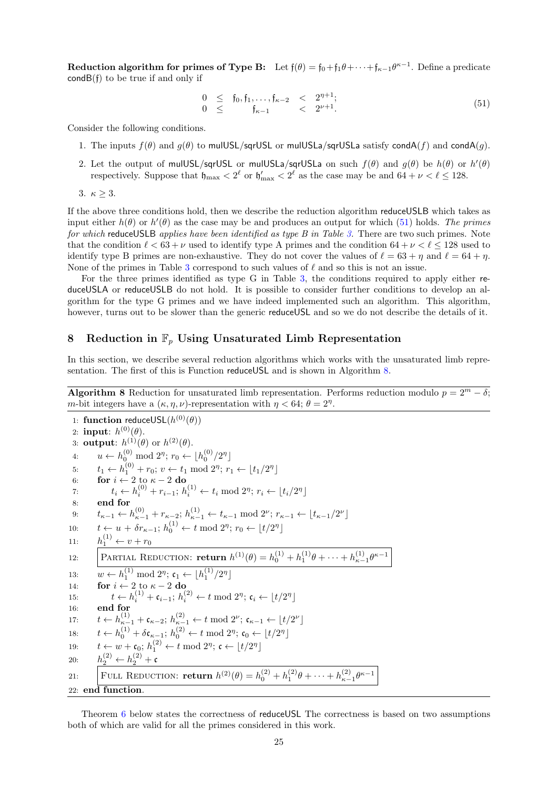Reduction algorithm for primes of Type B: Let  $f(\theta) = f_0 + f_1 \theta + \cdots + f_{\kappa-1} \theta^{\kappa-1}$ . Define a predicate  $condB(f)$  to be true if and only if

<span id="page-24-1"></span>
$$
\begin{array}{rcl}\n0 & \leq & f_0, f_1, \dots, f_{\kappa - 2} & < 2^{\eta + 1}; \\
0 & \leq & f_{\kappa - 1} & < 2^{\nu + 1}.\n\end{array} \tag{51}
$$

Consider the following conditions.

- 1. The inputs  $f(\theta)$  and  $g(\theta)$  to mulUSL/sqrUSL or mulUSLa/sqrUSLa satisfy condA $(f)$  and condA $(g)$ .
- 2. Let the output of mulUSL/sqrUSL or mulUSLa/sqrUSLa on such  $f(\theta)$  and  $g(\theta)$  be  $h(\theta)$  or  $h'(\theta)$ respectively. Suppose that  $\mathfrak{h}_{\max} < 2^{\ell}$  or  $\mathfrak{h}'_{\max} < 2^{\ell}$  as the case may be and  $64 + \nu < \ell \le 128$ .

$$
3. \ \kappa \geq 3.
$$

If the above three conditions hold, then we describe the reduction algorithm reduceUSLB which takes as input either  $h(\theta)$  or  $h'(\theta)$  as the case may be and produces an output for which [\(51\)](#page-24-1) holds. The primes for which reduce USLB applies have been identified as type B in Table [3.](#page-5-0) There are two such primes. Note that the condition  $\ell < 63 + \nu$  used to identify type A primes and the condition  $64 + \nu < \ell \leq 128$  used to identify type B primes are non-exhaustive. They do not cover the values of  $\ell = 63 + \eta$  and  $\ell = 64 + \eta$ . None of the primes in Table [3](#page-5-0) correspond to such values of  $\ell$  and so this is not an issue.

For the three primes identified as type G in Table [3,](#page-5-0) the conditions required to apply either reduceUSLA or reduceUSLB do not hold. It is possible to consider further conditions to develop an algorithm for the type G primes and we have indeed implemented such an algorithm. This algorithm, however, turns out to be slower than the generic reduceUSL and so we do not describe the details of it.

# <span id="page-24-0"></span>8 Reduction in  $\mathbb{F}_p$  Using Unsaturated Limb Representation

In this section, we describe several reduction algorithms which works with the unsaturated limb repre-sentation. The first of this is Function reduceUSL and is shown in Algorithm [8.](#page-24-2)

<span id="page-24-2"></span>**Algorithm 8** Reduction for unsaturated limb representation. Performs reduction modulo  $p = 2^m - \delta$ ; m-bit integers have a  $(\kappa, \eta, \nu)$ -representation with  $\eta < 64$ ;  $\theta = 2^{\eta}$ .

1: function reduceUSL $(h^{(0)}(\theta))$ 2: input:  $h^{(0)}(\theta)$ . 3: output:  $h^{(1)}(\theta)$  or  $h^{(2)}(\theta)$ . 4:  $u \leftarrow h_0^{(0)} \mod 2^n; r_0 \leftarrow \lfloor h_0^{(0)}/2^n \rfloor$ 5:  $t_1 \leftarrow h_1^{(0)} + r_0$ ;  $v \leftarrow t_1 \mod 2^n$ ;  $r_1 \leftarrow \lfloor t_1/2^n \rfloor$ 6: for  $i \leftarrow 2$  to  $\kappa - 2$  do 7:  $t_i \leftarrow h_i^{(0)} + r_{i-1}; h_i^{(1)} \leftarrow t_i \mod 2^{\eta}; r_i \leftarrow \lfloor t_i/2^{\eta} \rfloor$ 8: end for 9:  $t_{\kappa-1} \leftarrow h_{\kappa-1}^{(0)} + r_{\kappa-2}; h_{\kappa-1}^{(1)} \leftarrow t_{\kappa-1} \mod 2^{\nu}; r_{\kappa-1} \leftarrow \lfloor t_{\kappa-1}/2^{\nu} \rfloor$ 10:  $t \leftarrow u + \delta r_{\kappa-1}; h_0^{(1)} \leftarrow t \mod 2^{\eta}; r_0 \leftarrow \lfloor t/2^{\eta} \rfloor$ 11:  $h_1^{(1)} \leftarrow v + r_0$ (1) 12: PARTIAL REDUCTION: **return**  $h^{(1)}(\theta) = h_0^{(1)} + h_1^{(1)}\theta + \cdots + h_{\kappa-1}^{(1)}\theta^{\kappa-1}$ 13:  $w \leftarrow h_1^{(1)} \mod 2^{\eta}; \mathfrak{c}_1 \leftarrow \lfloor h_1^{(1)}/2^{\eta} \rfloor$ 14: **for**  $i \leftarrow 2$  to  $\kappa - 2$  do 15:  $t \leftarrow h_i^{(1)} + \mathfrak{c}_{i-1}; h_i^{(2)} \leftarrow t \mod 2^{\eta}; \mathfrak{c}_i \leftarrow \lfloor t/2^{\eta} \rfloor$ 16: end for 17:  $t \leftarrow h_{\kappa-1}^{(1)} + \mathfrak{c}_{\kappa-2}; h_{\kappa-1}^{(2)} \leftarrow t \mod 2^{\nu}; \mathfrak{c}_{\kappa-1} \leftarrow \lfloor t/2^{\nu} \rfloor$ 18:  $t \leftarrow h_0^{(1)} + \delta \mathfrak{c}_{\kappa-1}; h_0^{(2)} \leftarrow t \mod 2^{\eta}; \mathfrak{c}_0 \leftarrow \lfloor t/2^{\eta} \rfloor$ 19:  $t \leftarrow w + \mathfrak{c}_0; h_1^{(2)} \leftarrow t \mod 2^{\eta}; \mathfrak{c} \leftarrow \lfloor t/2^{\eta} \rfloor$ 20:  $h_2^{(2)} \leftarrow h_2^{(2)} + c$ 21: FULL REDUCTION: **return**  $h^{(2)}(\theta) = h_0^{(2)} + h_1^{(2)}\theta + \cdots + h_{\kappa-1}^{(2)}\theta^{\kappa-1}$ 22: end function.

Theorem [6](#page-25-0) below states the correctness of reduceUSL The correctness is based on two assumptions both of which are valid for all the primes considered in this work.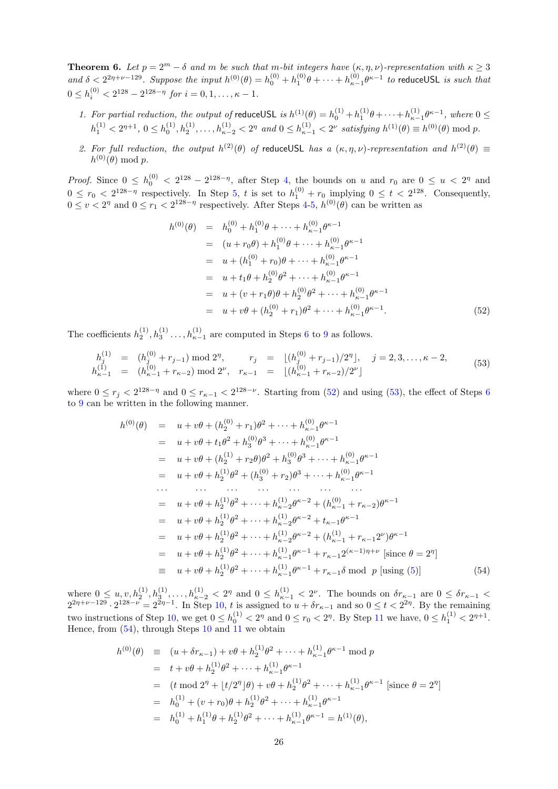<span id="page-25-0"></span>**Theorem 6.** Let  $p = 2^m - \delta$  and m be such that m-bit integers have  $(\kappa, \eta, \nu)$ -representation with  $\kappa \geq 3$ and  $\delta < 2^{2\eta+\nu-129}$ . Suppose the input  $h^{(0)}(\theta) = h_0^{(0)} + h_1^{(0)}\theta + \cdots + h_{\kappa-1}^{(0)}\theta^{\kappa-1}$  to reduceUSL is such that  $0 \le h_i^{(0)} < 2^{128} - 2^{128 - \eta}$  for  $i = 0, 1, \dots, \kappa - 1$ .

- 1. For partial reduction, the output of reduceUSL is  $h^{(1)}(\theta) = h_0^{(1)} + h_1^{(1)}\theta + \cdots + h_{\kappa-1}^{(1)}\theta^{\kappa-1}$ , where  $0 \leq$  $h_1^{(1)} < 2^{\eta+1}, 0 \le h_0^{(1)}, h_2^{(1)}, \ldots, h_{\kappa-2}^{(1)} < 2^{\eta}$  and  $0 \le h_{\kappa-1}^{(1)} < 2^{\nu}$  satisfying  $h^{(1)}(\theta) \equiv h^{(0)}(\theta) \bmod p$ .
- 2. For full reduction, the output  $h^{(2)}(\theta)$  of reduceUSL has a  $(\kappa, \eta, \nu)$ -representation and  $h^{(2)}(\theta) \equiv$  $h^{(0)}(\theta) \bmod p.$

*Proof.* Since  $0 \leq h_0^{(0)} < 2^{128} - 2^{128-\eta}$ , after Step [4,](#page-24-2) the bounds on u and  $r_0$  are  $0 \leq u < 2^{\eta}$  and  $0 \leq r_0 < 2^{128-\eta}$  respectively. In Step [5,](#page-24-2) t is set to  $h_1^{(0)} + r_0$  implying  $0 \leq t < 2^{128}$ . Consequently,  $0 \le v < 2^{\eta}$  and  $0 \le r_1 < 2^{128-\eta}$  respectively. After Steps [4-5,](#page-24-2)  $h^{(0)}(\theta)$  can be written as

<span id="page-25-1"></span>
$$
h^{(0)}(\theta) = h_0^{(0)} + h_1^{(0)}\theta + \dots + h_{\kappa-1}^{(0)}\theta^{\kappa-1}
$$
  
\n
$$
= (u + r_0\theta) + h_1^{(0)}\theta + \dots + h_{\kappa-1}^{(0)}\theta^{\kappa-1}
$$
  
\n
$$
= u + (h_1^{(0)} + r_0)\theta + \dots + h_{\kappa-1}^{(0)}\theta^{\kappa-1}
$$
  
\n
$$
= u + t_1\theta + h_2^{(0)}\theta^2 + \dots + h_{\kappa-1}^{(0)}\theta^{\kappa-1}
$$
  
\n
$$
= u + (v + r_1\theta)\theta + h_2^{(0)}\theta^2 + \dots + h_{\kappa-1}^{(0)}\theta^{\kappa-1}
$$
  
\n
$$
= u + v\theta + (h_2^{(0)} + r_1)\theta^2 + \dots + h_{\kappa-1}^{(0)}\theta^{\kappa-1}.
$$
 (52)

The coefficients  $h_2^{(1)}, h_3^{(1)}, \ldots, h_{\kappa-1}^{(1)}$  are computed in Steps [6](#page-24-2) to [9](#page-24-2) as follows.

<span id="page-25-2"></span>
$$
h_j^{(1)} = (h_j^{(0)} + r_{j-1}) \mod 2^{\eta}, \qquad r_j = \lfloor (h_j^{(0)} + r_{j-1})/2^{\eta} \rfloor, \quad j = 2, 3, \dots, \kappa - 2, h_{\kappa - 1}^{(1)} = (h_{\kappa - 1}^{(0)} + r_{\kappa - 2}) \mod 2^{\nu}, \quad r_{\kappa - 1} = \lfloor (h_{\kappa - 1}^{(0)} + r_{\kappa - 2})/2^{\nu} \rfloor
$$
\n
$$
(53)
$$

where  $0 \le r_j < 2^{128-\eta}$  and  $0 \le r_{\kappa-1} < 2^{128-\nu}$ . Starting from [\(52\)](#page-25-1) and using [\(53\)](#page-25-2), the effect of Steps [6](#page-24-2) to [9](#page-24-2) can be written in the following manner.

<span id="page-25-3"></span>
$$
h^{(0)}(\theta) = u + v\theta + (h_2^{(0)} + r_1)\theta^2 + \dots + h_{\kappa-1}^{(0)}\theta^{\kappa-1}
$$
  
\n
$$
= u + v\theta + t_1\theta^2 + h_3^{(0)}\theta^3 + \dots + h_{\kappa-1}^{(0)}\theta^{\kappa-1}
$$
  
\n
$$
= u + v\theta + (h_2^{(1)} + r_2\theta)\theta^2 + h_3^{(0)}\theta^3 + \dots + h_{\kappa-1}^{(0)}\theta^{\kappa-1}
$$
  
\n
$$
= u + v\theta + h_2^{(1)}\theta^2 + (h_3^{(0)} + r_2)\theta^3 + \dots + h_{\kappa-1}^{(0)}\theta^{\kappa-1}
$$
  
\n
$$
\dots \qquad \dots \qquad \dots \qquad \dots \qquad \dots
$$
  
\n
$$
= u + v\theta + h_2^{(1)}\theta^2 + \dots + h_{\kappa-2}^{(1)}\theta^{\kappa-2} + (h_{\kappa-1}^{(0)} + r_{\kappa-2})\theta^{\kappa-1}
$$
  
\n
$$
= u + v\theta + h_2^{(1)}\theta^2 + \dots + h_{\kappa-2}^{(1)}\theta^{\kappa-2} + (h_{\kappa-1}^{(1)} + r_{\kappa-1}2^{\nu})\theta^{\kappa-1}
$$
  
\n
$$
= u + v\theta + h_2^{(1)}\theta^2 + \dots + h_{\kappa-1}^{(1)}\theta^{\kappa-1} + r_{\kappa-1}2^{(\kappa-1)\eta+\nu} \text{ [since } \theta = 2^{\eta}]
$$
  
\n
$$
= u + v\theta + h_2^{(1)}\theta^2 + \dots + h_{\kappa-1}^{(1)}\theta^{\kappa-1} + r_{\kappa-1}\theta \text{ mod } p \text{ [using (5)]}
$$
 (54)

where  $0 \le u, v, h_2^{(1)}, h_3^{(1)}, \ldots, h_{\kappa-2}^{(1)} < 2^{\eta}$  and  $0 \le h_{\kappa-1}^{(1)} < 2^{\nu}$ . The bounds on  $\delta r_{\kappa-1}$  are  $0 \le \delta r_{\kappa-1} <$  $2^{2\eta+\nu-129} \cdot 2^{128-\nu} = 2^{2\eta-1}$ . In Step [10,](#page-24-2) t is assigned to  $u+\delta r_{\kappa-1}$  and so  $0 \le t < 2^{2\eta}$ . By the remaining two instructions of Step [10,](#page-24-2) we get  $0 \le h_0^{(1)} < 2^{\eta}$  and  $0 \le r_0 < 2^{\eta}$ . By Step [11](#page-24-2) we have,  $0 \le h_1^{(1)} < 2^{\eta+1}$ . Hence, from  $(54)$ , through Steps [10](#page-24-2) and [11](#page-24-2) we obtain

<span id="page-25-4"></span>
$$
h^{(0)}(\theta) \equiv (u + \delta r_{\kappa - 1}) + v\theta + h_2^{(1)}\theta^2 + \dots + h_{\kappa - 1}^{(1)}\theta^{\kappa - 1} \mod p
$$
  
\n
$$
= t + v\theta + h_2^{(1)}\theta^2 + \dots + h_{\kappa - 1}^{(1)}\theta^{\kappa - 1}
$$
  
\n
$$
= (t \mod 2^{\eta} + \lfloor t/2^{\eta} \rfloor \theta) + v\theta + h_2^{(1)}\theta^2 + \dots + h_{\kappa - 1}^{(1)}\theta^{\kappa - 1} \text{ [since } \theta = 2^{\eta}]
$$
  
\n
$$
= h_0^{(1)} + (v + r_0)\theta + h_2^{(1)}\theta^2 + \dots + h_{\kappa - 1}^{(1)}\theta^{\kappa - 1}
$$
  
\n
$$
= h_0^{(1)} + h_1^{(1)}\theta + h_2^{(1)}\theta^2 + \dots + h_{\kappa - 1}^{(1)}\theta^{\kappa - 1} = h^{(1)}(\theta),
$$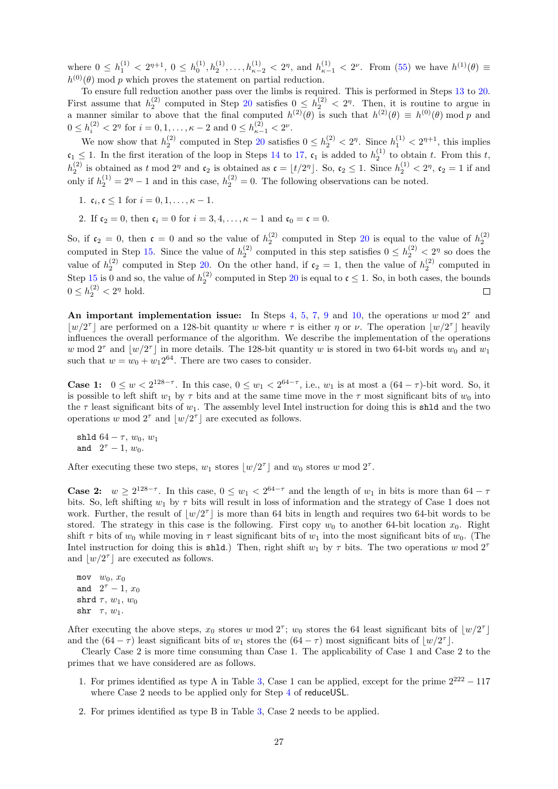where  $0 \le h_1^{(1)} < 2^{n+1}$ ,  $0 \le h_0^{(1)}$ ,  $h_2^{(1)}$ , ...,  $h_{\kappa-2}^{(1)} < 2^n$ , and  $h_{\kappa-1}^{(1)} < 2^{\nu}$ . From [\(55\)](#page-25-4) we have  $h^{(1)}(\theta) \equiv$  $h^{(0)}(\theta)$  mod p which proves the statement on partial reduction.

To ensure full reduction another pass over the limbs is required. This is performed in Steps [13](#page-24-2) to [20.](#page-24-2) First assume that  $h_2^{(2)}$  computed in Step [20](#page-24-2) satisfies  $0 \leq h_2^{(2)} < 2^{\eta}$ . Then, it is routine to argue in a manner similar to above that the final computed  $h^{(2)}(\theta)$  is such that  $h^{(2)}(\theta) \equiv h^{(0)}(\theta) \mod p$  and  $0 \le h_i^{(2)} < 2^{\eta}$  for  $i = 0, 1, \dots, \kappa - 2$  and  $0 \le h_{\kappa-1}^{(2)} < 2^{\nu}$ .

We now show that  $h_2^{(2)}$  computed in Step [20](#page-24-2) satisfies  $0 \le h_2^{(2)} < 2^{\eta}$ . Since  $h_1^{(1)} < 2^{\eta+1}$ , this implies  $\mathfrak{c}_1 \leq 1$ . In the first iteration of the loop in Steps [14](#page-24-2) to [17,](#page-24-2)  $\mathfrak{c}_1$  is added to  $h_2^{(1)}$  to obtain t. From this t,  $h_2^{(2)}$  is obtained as t mod  $2^{\eta}$  and  $\mathfrak{c}_2$  is obtained as  $\mathfrak{c} = \lfloor t/2^{\eta} \rfloor$ . So,  $\mathfrak{c}_2 \leq 1$ . Since  $h_2^{(1)} < 2^{\eta}$ ,  $\mathfrak{c}_2 = 1$  if and only if  $h_2^{(1)} = 2^{\eta} - 1$  and in this case,  $h_2^{(2)} = 0$ . The following observations can be noted.

- 1.  $c_i, c \le 1$  for  $i = 0, 1, ..., \kappa 1$ .
- 2. If  $c_2 = 0$ , then  $c_i = 0$  for  $i = 3, 4, ..., \kappa 1$  and  $c_0 = c = 0$ .

So, if  $c_2 = 0$ , then  $c = 0$  and so the value of  $h_2^{(2)}$  computed in Step [20](#page-24-2) is equal to the value of  $h_2^{(2)}$ computed in Step [15.](#page-24-2) Since the value of  $h_2^{(2)}$  computed in this step satisfies  $0 \le h_2^{(2)} < 2^{\eta}$  so does the value of  $h_2^{(2)}$  computed in Step [20.](#page-24-2) On the other hand, if  $c_2 = 1$ , then the value of  $h_2^{(2)}$  computed in Step [15](#page-24-2) is 0 and so, the value of  $h_2^{(2)}$  computed in Step [20](#page-24-2) is equal to  $\mathfrak{c} \leq 1$ . So, in both cases, the bounds  $0 \leq h_2^{(2)} < 2^{\eta}$  hold.  $\Box$ 

An important implementation issue: In Steps [4,](#page-24-2) [5,](#page-24-2) [7,](#page-24-2) [9](#page-24-2) and [10,](#page-24-2) the operations w mod  $2^{\tau}$  and  $|w/2^{\tau}|$  are performed on a 128-bit quantity w where  $\tau$  is either  $\eta$  or  $\nu$ . The operation  $|w/2^{\tau}|$  heavily influences the overall performance of the algorithm. We describe the implementation of the operations w mod  $2^{\tau}$  and  $\lfloor w/2^{\tau} \rfloor$  in more details. The 128-bit quantity w is stored in two 64-bit words  $w_0$  and  $w_1$ such that  $w = w_0 + w_1 2^{64}$ . There are two cases to consider.

**Case 1:**  $0 \leq w < 2^{128-\tau}$ . In this case,  $0 \leq w_1 < 2^{64-\tau}$ , i.e.,  $w_1$  is at most a  $(64-\tau)$ -bit word. So, it is possible to left shift  $w_1$  by  $\tau$  bits and at the same time move in the  $\tau$  most significant bits of  $w_0$  into the  $\tau$  least significant bits of  $w_1$ . The assembly level Intel instruction for doing this is shild and the two operations w mod  $2^{\tau}$  and  $\lfloor w/2^{\tau} \rfloor$  are executed as follows.

shld  $64 - \tau$ ,  $w_0$ ,  $w_1$ and  $2^{\tau} - 1, w_0$ .

After executing these two steps,  $w_1$  stores  $\lfloor w/2^{\tau} \rfloor$  and  $w_0$  stores w mod  $2^{\tau}$ .

**Case 2:**  $w \ge 2^{128-\tau}$ . In this case,  $0 \le w_1 < 2^{64-\tau}$  and the length of  $w_1$  in bits is more than  $64-\tau$ bits. So, left shifting  $w_1$  by  $\tau$  bits will result in loss of information and the strategy of Case 1 does not work. Further, the result of  $|w/2^{\tau}|$  is more than 64 bits in length and requires two 64-bit words to be stored. The strategy in this case is the following. First copy  $w_0$  to another 64-bit location  $x_0$ . Right shift  $\tau$  bits of  $w_0$  while moving in  $\tau$  least significant bits of  $w_1$  into the most significant bits of  $w_0$ . (The Intel instruction for doing this is shld.) Then, right shift  $w_1$  by  $\tau$  bits. The two operations w mod  $2^{\tau}$ and  $\lfloor w/2^{\tau} \rfloor$  are executed as follows.

mov  $w_0, x_0$ and  $2^{\tau}-1$ ,  $x_0$ shrd  $\tau$ ,  $w_1$ ,  $w_0$ shr  $\tau, w_1$ .

After executing the above steps,  $x_0$  stores w mod  $2^{\tau}$ ;  $w_0$  stores the 64 least significant bits of  $\lfloor w/2^{\tau} \rfloor$ and the  $(64 - \tau)$  least significant bits of  $w_1$  stores the  $(64 - \tau)$  most significant bits of  $\lfloor w/2^{\tau} \rfloor$ .

Clearly Case 2 is more time consuming than Case 1. The applicability of Case 1 and Case 2 to the primes that we have considered are as follows.

- 1. For primes identified as type A in Table [3,](#page-5-0) Case 1 can be applied, except for the prime  $2^{222} 117$ where Case 2 needs to be applied only for Step [4](#page-24-2) of reduceUSL.
- 2. For primes identified as type B in Table [3,](#page-5-0) Case 2 needs to be applied.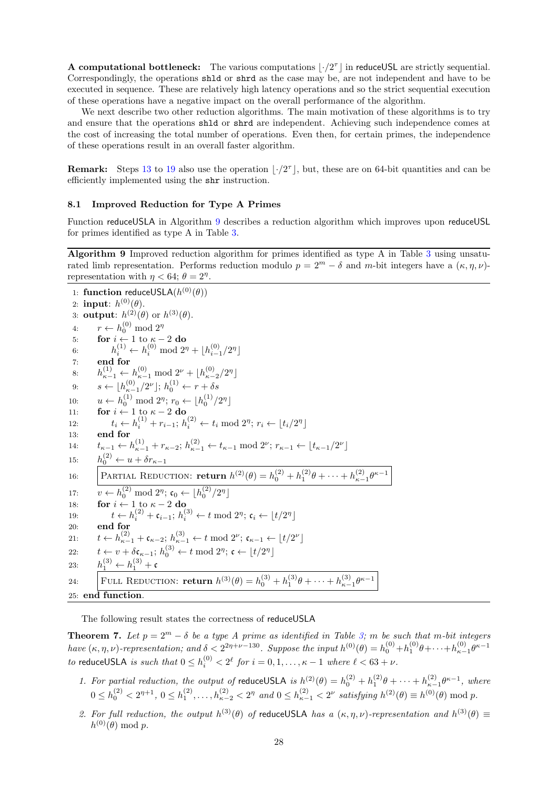**A computational bottleneck:** The various computations  $\lfloor \cdot / 2^{\tau} \rfloor$  in reduceUSL are strictly sequential. Correspondingly, the operations shld or shrd as the case may be, are not independent and have to be executed in sequence. These are relatively high latency operations and so the strict sequential execution of these operations have a negative impact on the overall performance of the algorithm.

We next describe two other reduction algorithms. The main motivation of these algorithms is to try and ensure that the operations shld or shrd are independent. Achieving such independence comes at the cost of increasing the total number of operations. Even then, for certain primes, the independence of these operations result in an overall faster algorithm.

**Remark:** Steps [13](#page-24-2) to [19](#page-24-2) also use the operation  $|\cdot/2^{\tau}|$ , but, these are on 64-bit quantities and can be efficiently implemented using the shr instruction.

#### 8.1 Improved Reduction for Type A Primes

Function reduceUSLA in Algorithm [9](#page-27-0) describes a reduction algorithm which improves upon reduceUSL for primes identified as type A in Table [3.](#page-5-0)

<span id="page-27-0"></span>Algorithm 9 Improved reduction algorithm for primes identified as type A in Table [3](#page-5-0) using unsaturated limb representation. Performs reduction modulo  $p = 2^m - \delta$  and m-bit integers have a  $(\kappa, \eta, \nu)$ representation with  $\eta < 64$ ;  $\theta = 2^{\eta}$ .

1: function reduceUSLA $(h^{(0)}(\theta))$ 2: input:  $h^{(0)}(\theta)$ . 3: **output**:  $h^{(2)}(\theta)$  or  $h^{(3)}(\theta)$ . 4:  $r \leftarrow h_0^{(0)} \mod 2^n$ 5: for  $i \leftarrow 1$  to  $\kappa - 2$  do 6:  $h_i^{(1)} \leftarrow h_i^{(0)} \mod 2^{\eta} + \lfloor h_{i-1}^{(0)}/2^{\eta} \rfloor$ 7: end for 8:  $h_{\kappa-1}^{(1)} \leftarrow h_{\kappa-1}^{(0)} \mod 2^{\nu} + \lfloor h_{\kappa-2}^{(0)}/2^{\eta} \rfloor$ 9:  $s \leftarrow \lfloor h_{\kappa-1}^{(0)}/2^{\nu} \rfloor$ ;  $h_0^{(1)} \leftarrow r + \delta s$ 10:  $u \leftarrow h_0^{(1)} \mod 2^{\eta}; r_0 \leftarrow \lfloor h_0^{(1)}/2^{\eta} \rfloor$ 11: **for**  $i \leftarrow 1$  to  $\kappa - 2$  do 12:  $t_i \leftarrow h_i^{(1)} + r_{i-1}; h_i^{(2)} \leftarrow t_i \mod 2^{\eta}; r_i \leftarrow \lfloor t_i/2^{\eta} \rfloor$ 13: end for 14:  $t_{\kappa-1} \leftarrow h_{\kappa-1}^{(1)} + r_{\kappa-2}; h_{\kappa-1}^{(2)} \leftarrow t_{\kappa-1} \mod 2^{\nu}; r_{\kappa-1} \leftarrow \lfloor t_{\kappa-1}/2^{\nu} \rfloor$  $15:$  $\zeta_0^{(2)} \leftarrow u + \delta r_{\kappa-1}$ 16: PARTIAL REDUCTION: **return**  $h^{(2)}(\theta) = h_0^{(2)} + h_1^{(2)}\theta + \cdots + h_{\kappa-1}^{(2)}\theta^{\kappa-1}$ 17:  $v \leftarrow h_0^{(2)} \mod 2^{\eta}; \mathfrak{c}_0 \leftarrow \lfloor h_0^{(2)}/2^{\eta} \rfloor$ 18: **for**  $i \leftarrow 1$  to  $\kappa - 2$  do 19:  $t \leftarrow h_i^{(2)} + \mathfrak{c}_{i-1}; h_i^{(3)} \leftarrow t \mod 2^{\eta}; \mathfrak{c}_i \leftarrow \lfloor t/2^{\eta} \rfloor$ 20: end for 21:  $t \leftarrow h_{\kappa-1}^{(2)} + \mathfrak{c}_{\kappa-2}; h_{\kappa-1}^{(3)} \leftarrow t \mod 2^{\nu}; \mathfrak{c}_{\kappa-1} \leftarrow \lfloor t/2^{\nu} \rfloor$ 22:  $t \leftarrow v + \delta \mathfrak{c}_{\kappa-1}; h_0^{(3)} \leftarrow t \mod 2^{\eta}; \mathfrak{c} \leftarrow \lfloor t/2^{\eta} \rfloor$ 23:  $h_1^{(3)} \leftarrow h_1^{(3)} + c$ 24: FULL REDUCTION: **return**  $h^{(3)}(\theta) = h_0^{(3)} + h_1^{(3)}\theta + \cdots + h_{\kappa-1}^{(3)}\theta^{\kappa-1}$ 25: end function.

The following result states the correctness of reduceUSLA

<span id="page-27-1"></span>**Theorem 7.** Let  $p = 2^m - \delta$  be a type A prime as identified in Table [3;](#page-5-0) m be such that m-bit integers have  $(\kappa, \eta, \nu)$ -representation; and  $\delta < 2^{2\eta+\nu-130}$ . Suppose the input  $h^{(0)}(\theta) = h_0^{(0)} + h_1^{(0)}\theta + \cdots + h_{\kappa-1}^{(0)}\theta^{\kappa-1}$ to reduceUSLA is such that  $0 \le h_i^{(0)} < 2^{\ell}$  for  $i = 0, 1, ..., \kappa - 1$  where  $\ell < 63 + \nu$ .

- 1. For partial reduction, the output of reduceUSLA is  $h^{(2)}(\theta) = h_0^{(2)} + h_1^{(2)}\theta + \cdots + h_{\kappa-1}^{(2)}\theta^{\kappa-1}$ , where  $0 \le h_0^{(2)} < 2^{\eta+1}, 0 \le h_1^{(2)}, \ldots, h_{\kappa-2}^{(2)} < 2^{\eta}$  and  $0 \le h_{\kappa-1}^{(2)} < 2^{\nu}$  satisfying  $h^{(2)}(\theta) \equiv h^{(0)}(\theta) \bmod p$ .
- 2. For full reduction, the output  $h^{(3)}(\theta)$  of reduceUSLA has a  $(\kappa, \eta, \nu)$ -representation and  $h^{(3)}(\theta) \equiv$  $h^{(0)}(\theta) \bmod p.$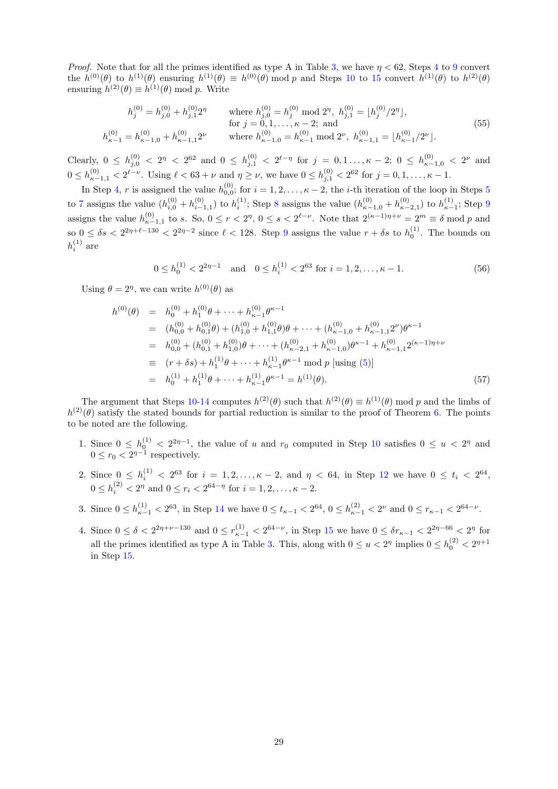*Proof.* Note that for all the primes identified as type A in Table [3,](#page-5-0) we have  $\eta < 62$ , Steps [4](#page-27-0) to [9](#page-27-0) convert the  $h^{(0)}(\theta)$  to  $h^{(1)}(\theta)$  ensuring  $h^{(1)}(\theta) \equiv h^{(0)}(\theta) \mod p$  and Steps [10](#page-27-0) to [15](#page-27-0) convert  $h^{(1)}(\theta)$  to  $h^{(2)}(\theta)$ ensuring  $h^{(2)}(\theta) \equiv h^{(1)}(\theta) \bmod p$ . Write

$$
h_j^{(0)} = h_{j,0}^{(0)} + h_{j,1}^{(0)} 2^{\eta} \qquad \text{where } h_{j,0}^{(0)} = h_j^{(0)} \text{ mod } 2^{\eta}, \ h_{j,1}^{(0)} = \lfloor h_j^{(0)} / 2^{\eta} \rfloor, \\
\text{for } j = 0, 1, \dots, \kappa - 2; \text{ and} \\
h_{\kappa - 1}^{(0)} = h_{\kappa - 1,0}^{(0)} + h_{\kappa - 1,1}^{(0)} 2^{\nu} \qquad \text{where } h_{\kappa - 1,0}^{(0)} = h_{\kappa - 1}^{(0)} \text{ mod } 2^{\nu}, \ h_{\kappa - 1,1}^{(0)} = \lfloor h_{\kappa - 1}^{(0)} / 2^{\nu} \rfloor.
$$
\n
$$
(55)
$$

Clearly,  $0 \le h_{j,0}^{(0)} < 2^n < 2^{62}$  and  $0 \le h_{j,1}^{(0)} < 2^{\ell-\eta}$  for  $j = 0,1,\ldots,\kappa-2$ ;  $0 \le h_{\kappa-1,0}^{(0)} < 2^{\nu}$  and  $0 \leq h_{\kappa-1,1}^{(0)} < 2^{\ell-\nu}$ . Using  $\ell < 63 + \nu$  and  $\eta \geq \nu$ , we have  $0 \leq h_{j,1}^{(0)} < 2^{62}$  for  $j = 0,1,\ldots,\kappa-1$ .

In Step [4,](#page-27-0) r is assigned the value  $h_{0,0}^{(0)}$ ; for  $i = 1, 2, \ldots, \kappa - 2$ , the *i*-th iteration of the loop in Steps [5](#page-27-0) 0,0 to [7](#page-27-0) assigns the value  $(h_{i,0}^{(0)} + h_{i-1,1}^{(0)})$  to  $h_i^{(1)}$ ; Step [8](#page-27-0) assigns the value  $(h_{\kappa-1,0}^{(0)} + h_{\kappa-2,1}^{(0)})$  to  $h_{\kappa-1}^{(1)}$ ; Step [9](#page-27-0) assigns the value  $h_{\kappa-1,1}^{(0)}$  to s. So,  $0 \le r < 2^{\eta}$ ,  $0 \le s < 2^{\ell-\nu}$ . Note that  $2^{(\kappa-1)\eta+\nu} = 2^m \equiv \delta \mod p$  and so  $0 \le \delta s < 2^{2\eta+\ell-130} < 2^{2\eta-2}$  since  $\ell < 128$ . Step [9](#page-27-0) assigns the value  $r + \delta s$  to  $h_0^{(1)}$ . The bounds on  $h_i^{(1)}$  are

$$
0 \le h_0^{(1)} < 2^{2\eta - 1} \quad \text{and} \quad 0 \le h_i^{(1)} < 2^{63} \text{ for } i = 1, 2, \dots, \kappa - 1. \tag{56}
$$

Using  $\theta = 2^{\eta}$ , we can write  $h^{(0)}(\theta)$  as

<span id="page-28-0"></span>
$$
h^{(0)}(\theta) = h_0^{(0)} + h_1^{(0)}\theta + \dots + h_{\kappa-1}^{(0)}\theta^{\kappa-1}
$$
  
\n
$$
= (h_{0,0}^{(0)} + h_{0,1}^{(0)}\theta) + (h_{1,0}^{(0)} + h_{1,1}^{(0)}\theta)\theta + \dots + (h_{\kappa-1,0}^{(0)} + h_{\kappa-1,1}^{(0)}2^{\nu})\theta^{\kappa-1}
$$
  
\n
$$
= h_{0,0}^{(0)} + (h_{0,1}^{(0)} + h_{1,0}^{(0)})\theta + \dots + (h_{\kappa-2,1}^{(0)} + h_{\kappa-1,0}^{(0)})\theta^{\kappa-1} + h_{\kappa-1,1}^{(0)}2^{(\kappa-1)\eta+\nu}
$$
  
\n
$$
\equiv (r + \delta s) + h_1^{(1)}\theta + \dots + h_{\kappa-1}^{(1)}\theta^{\kappa-1} \text{ mod } p \text{ [using (5)]}
$$
  
\n
$$
= h_0^{(1)} + h_1^{(1)}\theta + \dots + h_{\kappa-1}^{(1)}\theta^{\kappa-1} = h^{(1)}(\theta).
$$
 (57)

The argument that Steps [10-14](#page-27-0) computes  $h^{(2)}(\theta)$  such that  $h^{(2)}(\theta) \equiv h^{(1)}(\theta)$  mod p and the limbs of  $h^{(2)}(\theta)$  satisfy the stated bounds for partial reduction is similar to the proof of Theorem [6.](#page-25-0) The points to be noted are the following.

- 1. Since  $0 \le h_0^{(1)} < 2^{2\eta-1}$ , the value of u and  $r_0$  computed in Step [10](#page-27-0) satisfies  $0 \le u < 2^{\eta}$  and  $0 \le r_0 < 2^{\eta - 1}$  respectively.
- 2. Since  $0 \le h_i^{(1)} < 2^{63}$  for  $i = 1, 2, ..., \kappa 2$ , and  $\eta < 64$ , in Step [12](#page-27-0) we have  $0 \le t_i < 2^{64}$ ,  $0 \le h_i^{(2)} < 2^{\eta}$  and  $0 \le r_i < 2^{64-\eta}$  for  $i = 1, 2, ..., \kappa - 2$ .
- 3. Since  $0 \le h_{\kappa-1}^{(1)} < 2^{63}$ , in Step [14](#page-27-0) we have  $0 \le t_{\kappa-1} < 2^{64}$ ,  $0 \le h_{\kappa-1}^{(2)} < 2^{\nu}$  and  $0 \le r_{\kappa-1} < 2^{64-\nu}$ .
- 4. Since  $0 \le \delta < 2^{2\eta+\nu-130}$  and  $0 \le r_{\kappa-1}^{(1)} < 2^{64-\nu}$ , in Step [15](#page-27-0) we have  $0 \le \delta r_{\kappa-1} < 2^{2\eta-66} < 2^{\eta}$  for all the primes identified as type A in Table [3.](#page-5-0) This, along with  $0 \le u < 2^{\eta}$  implies  $0 \le h_0^{(2)} < 2^{\eta+1}$ in Step [15.](#page-27-0)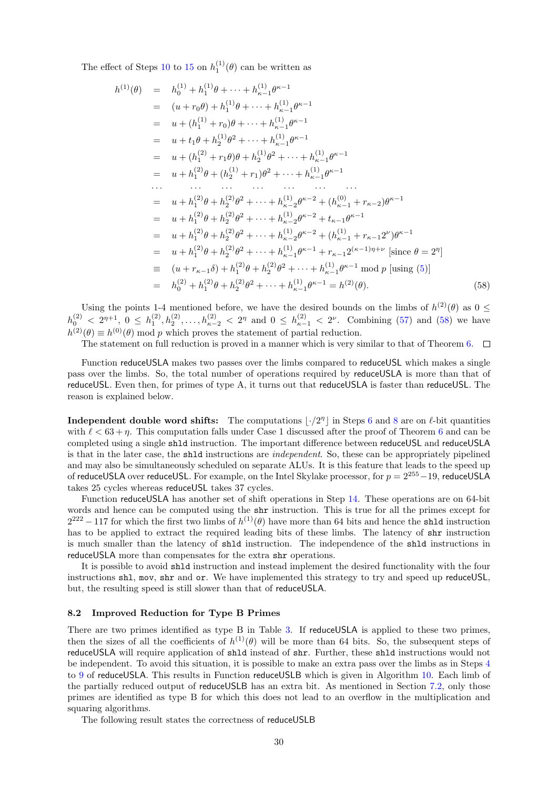The effect of Steps [10](#page-27-0) to [15](#page-27-0) on  $h_1^{(1)}(\theta)$  can be written as

<span id="page-29-0"></span>
$$
h^{(1)}(\theta) = h_0^{(1)} + h_1^{(1)}\theta + \dots + h_{\kappa-1}^{(1)}\theta^{\kappa-1}
$$
  
\n
$$
= (u + r_0\theta) + h_1^{(1)}\theta + \dots + h_{\kappa-1}^{(1)}\theta^{\kappa-1}
$$
  
\n
$$
= u + (h_1^{(1)} + r_0)\theta + \dots + h_{\kappa-1}^{(1)}\theta^{\kappa-1}
$$
  
\n
$$
= u + t_1\theta + h_2^{(1)}\theta^2 + \dots + h_{\kappa-1}^{(1)}\theta^{\kappa-1}
$$
  
\n
$$
= u + (h_1^{(2)} + r_1\theta)\theta + h_2^{(1)}\theta^2 + \dots + h_{\kappa-1}^{(1)}\theta^{\kappa-1}
$$
  
\n
$$
= u + h_1^{(2)}\theta + (h_2^{(1)} + r_1)\theta^2 + \dots + h_{\kappa-1}^{(1)}\theta^{\kappa-1}
$$
  
\n
$$
\dots \qquad \dots \qquad \dots \qquad \dots \qquad \dots
$$
  
\n
$$
= u + h_1^{(2)}\theta + h_2^{(2)}\theta^2 + \dots + h_{\kappa-2}^{(1)}\theta^{\kappa-2} + (h_{\kappa-1}^{(0)} + r_{\kappa-2})\theta^{\kappa-1}
$$
  
\n
$$
= u + h_1^{(2)}\theta + h_2^{(2)}\theta^2 + \dots + h_{\kappa-2}^{(1)}\theta^{\kappa-2} + (h_{\kappa-1}^{(1)} + r_{\kappa-1}2^{\nu})\theta^{\kappa-1}
$$
  
\n
$$
= u + h_1^{(2)}\theta + h_2^{(2)}\theta^2 + \dots + h_{\kappa-1}^{(1)}\theta^{\kappa-1} + r_{\kappa-1}2^{(\kappa-1)\eta+\nu} \text{ [since } \theta = 2^{\eta}]
$$
  
\n
$$
= (u + r_{\kappa-1}\delta) + h_1^{(2)}\theta + h_2^{(2)}\theta^2 + \dots + h_{\kappa-1}^{(1)}\theta^{\kappa-1} \text{ mod } p \text{ [using (5)]}
$$
  
\n

Using the points 1-4 mentioned before, we have the desired bounds on the limbs of  $h^{(2)}(\theta)$  as  $0 \leq$  $h_0^{(2)} < 2^{\eta+1}$ ,  $0 \le h_1^{(2)}$ ,  $h_2^{(2)}$ , ...,  $h_{\kappa-2}^{(2)} < 2^{\eta}$  and  $0 \le h_{\kappa-1}^{(2)} < 2^{\nu}$ . Combining [\(57\)](#page-28-0) and [\(58\)](#page-29-0) we have  $h^{(2)}(\theta) \equiv h^{(0)}(\theta)$  mod p which proves the statement of partial reduction.

The statement on full reduction is proved in a manner which is very similar to that of Theorem [6.](#page-25-0)  $\Box$ 

Function reduceUSLA makes two passes over the limbs compared to reduceUSL which makes a single pass over the limbs. So, the total number of operations required by reduceUSLA is more than that of reduceUSL. Even then, for primes of type A, it turns out that reduceUSLA is faster than reduceUSL. The reason is explained below.

**Independent double word shifts:** The computations  $|\cdot/2^n|$  in Steps [6](#page-27-0) and [8](#page-27-0) are on  $\ell$ -bit quantities with  $\ell < 63 + \eta$  $\ell < 63 + \eta$  $\ell < 63 + \eta$ . This computation falls under Case 1 discussed after the proof of Theorem 6 and can be completed using a single shld instruction. The important difference between reduceUSL and reduceUSLA is that in the later case, the shld instructions are independent. So, these can be appropriately pipelined and may also be simultaneously scheduled on separate ALUs. It is this feature that leads to the speed up of reduceUSLA over reduceUSL. For example, on the Intel Skylake processor, for  $p = 2^{255} - 19$ , reduceUSLA takes 25 cycles whereas reduceUSL takes 37 cycles.

Function reduceUSLA has another set of shift operations in Step [14.](#page-27-0) These operations are on 64-bit words and hence can be computed using the shr instruction. This is true for all the primes except for  $2^{222} - 117$  for which the first two limbs of  $h^{(1)}(\theta)$  have more than 64 bits and hence the shld instruction has to be applied to extract the required leading bits of these limbs. The latency of shr instruction is much smaller than the latency of shld instruction. The independence of the shld instructions in reduceUSLA more than compensates for the extra shr operations.

It is possible to avoid shld instruction and instead implement the desired functionality with the four instructions shl, mov, shr and or. We have implemented this strategy to try and speed up reduceUSL, but, the resulting speed is still slower than that of reduceUSLA.

### 8.2 Improved Reduction for Type B Primes

There are two primes identified as type B in Table [3.](#page-5-0) If reduce USLA is applied to these two primes, then the sizes of all the coefficients of  $h^{(1)}(\theta)$  will be more than 64 bits. So, the subsequent steps of reduceUSLA will require application of shld instead of shr. Further, these shld instructions would not be independent. To avoid this situation, it is possible to make an extra pass over the limbs as in Steps [4](#page-27-0) to [9](#page-27-0) of reduceUSLA. This results in Function reduceUSLB which is given in Algorithm [10.](#page-30-0) Each limb of the partially reduced output of reduceUSLB has an extra bit. As mentioned in Section [7.2,](#page-23-2) only those primes are identified as type B for which this does not lead to an overflow in the multiplication and squaring algorithms.

The following result states the correctness of reduceUSLB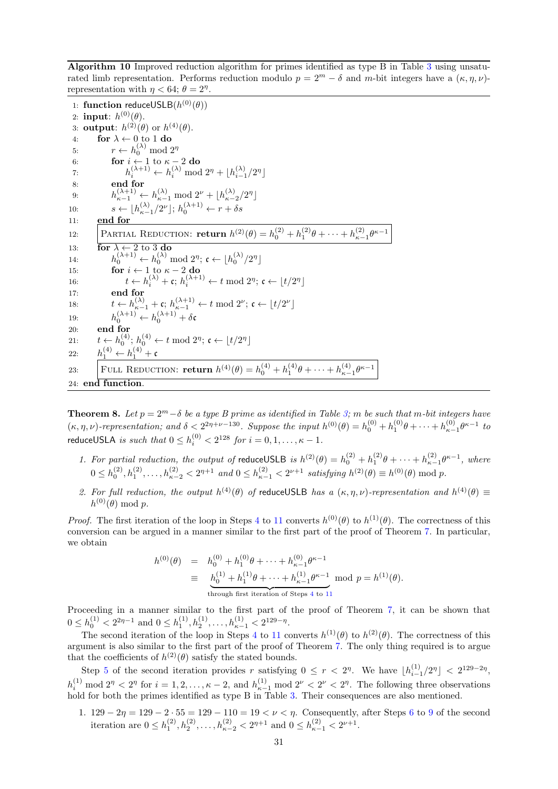<span id="page-30-0"></span>Algorithm 10 Improved reduction algorithm for primes identified as type B in Table [3](#page-5-0) using unsaturated limb representation. Performs reduction modulo  $p = 2^m - \delta$  and m-bit integers have a  $(\kappa, \eta, \nu)$ representation with  $\eta < 64$ ;  $\theta = 2^{\eta}$ .

1: function reduceUSLB $(h^{(0)}(\theta))$ 2: input:  $h^{(0)}(\theta)$ . 3: output:  $h^{(2)}(\theta)$  or  $h^{(4)}(\theta)$ . 4: for  $\lambda \leftarrow 0$  to 1 do 5:  $r \leftarrow h_0^{(\lambda)} \mod 2^{\eta}$ 6: for  $i \leftarrow 1$  to  $\kappa - 2$  do 7:  $h_i^{(\lambda+1)} \leftarrow h_i^{(\lambda)} \mod 2^{\eta} + \lfloor h_{i-1}^{(\lambda)}/2^{\eta} \rfloor$ 8: end for 9:  $h_{\kappa-1}^{(\lambda+1)} \leftarrow h_{\kappa-1}^{(\lambda)} \mod 2^{\nu} + \lfloor h_{\kappa-2}^{(\lambda)}/2^{\eta} \rfloor$ 10:  $s \leftarrow \lfloor h_{\kappa-1}^{(\lambda)}/2^{\nu} \rfloor; h_0^{(\lambda+1)} \leftarrow r + \delta s$ 11:  $end for$ 12: PARTIAL REDUCTION: **return**  $h^{(2)}(\theta) = h_0^{(2)} + h_1^{(2)}\theta + \cdots + h_{\kappa-1}^{(2)}\theta^{\kappa-1}$ 13: for  $\lambda \leftarrow 2$  to 3 do 14:  $h_0^{(\lambda+1)} \leftarrow h_0^{(\lambda)} \mod 2^{\eta}; \mathfrak{c} \leftarrow \lfloor h_0^{(\lambda)}/2^{\eta} \rfloor$ 15: for  $i \leftarrow 1$  to  $\kappa - 2$  do 16:  $t \leftarrow h_i^{(\lambda)} + \mathfrak{c}; h_i^{(\lambda+1)} \leftarrow t \mod 2^{\eta}; \mathfrak{c} \leftarrow \lfloor t/2^{\eta} \rfloor$ 17: end for 18:  $t \leftarrow h_{\kappa-1}^{(\lambda)} + \mathfrak{c}; h_{\kappa-1}^{(\lambda+1)} \leftarrow t \mod 2^{\nu}; \mathfrak{c} \leftarrow \lfloor t/2^{\nu} \rfloor$ 19:  $h_0^{(\lambda+1)} \leftarrow h_0^{(\lambda+1)} + \delta \mathfrak{c}$ 20: end for 21:  $t \leftarrow h_0^{(4)}$ ;  $h_0^{(4)} \leftarrow t \mod 2^{\eta}$ ;  $\mathfrak{c} \leftarrow \lfloor t/2^{\eta} \rfloor$ 22:  $h_1^{(4)} \leftarrow h_1^{(4)} + c$ 23: FULL REDUCTION: **return**  $h^{(4)}(\theta) = h_0^{(4)} + h_1^{(4)}\theta + \cdots + h_{\kappa-1}^{(4)}\theta^{\kappa-1}$ 24: end function.

**Theorem 8.** Let  $p = 2^m - \delta$  be a type B prime as identified in Table [3;](#page-5-0) m be such that m-bit integers have  $(\kappa, \eta, \nu)$ -representation; and  $\delta < 2^{2\eta+\nu-130}$ . Suppose the input  $h^{(0)}(\theta) = h_0^{(0)} + h_1^{(0)}\theta + \cdots + h_{\kappa-1}^{(0)}\theta^{\kappa-1}$  to reduceUSLA *is such that*  $0 \le h_i^{(0)} < 2^{128}$  *for*  $i = 0, 1, \ldots, \kappa - 1$ .

- 1. For partial reduction, the output of reduceUSLB is  $h^{(2)}(\theta) = h_0^{(2)} + h_1^{(2)}\theta + \cdots + h_{\kappa-1}^{(2)}\theta^{\kappa-1}$ , where  $0 \leq h_0^{(2)}, h_1^{(2)}, \ldots, h_{\kappa-2}^{(2)} < 2^{\eta+1}$  and  $0 \leq h_{\kappa-1}^{(2)} < 2^{\nu+1}$  satisfying  $h^{(2)}(\theta) \equiv h^{(0)}(\theta) \bmod p$ .
- 2. For full reduction, the output  $h^{(4)}(\theta)$  of reduceUSLB has a  $(\kappa, \eta, \nu)$ -representation and  $h^{(4)}(\theta) \equiv$  $h^{(0)}(\theta) \bmod p.$

*Proof.* The first iteration of the loop in Steps [4](#page-30-0) to [11](#page-30-0) converts  $h^{(0)}(\theta)$  to  $h^{(1)}(\theta)$ . The correctness of this conversion can be argued in a manner similar to the first part of the proof of Theorem [7.](#page-27-1) In particular, we obtain

<span id="page-30-1"></span>
$$
\begin{array}{rcl} h^{(0)}(\theta) & = & h_0^{(0)} + h_1^{(0)}\theta + \dots + h_{\kappa-1}^{(0)}\theta^{\kappa-1} \\ & \equiv & \underbrace{h_0^{(1)} + h_1^{(1)}\theta + \dots + h_{\kappa-1}^{(1)}\theta^{\kappa-1}}_{\text{through first iteration of Steps 4 to 11}} \ \ \text{mod} \ \ p = h^{(1)}(\theta). \end{array}
$$

Proceeding in a manner similar to the first part of the proof of Theorem [7,](#page-27-1) it can be shown that  $0 \leq h_0^{(1)} < 2^{2\eta-1}$  and  $0 \leq h_1^{(1)}, h_2^{(1)}, \ldots, h_{\kappa-1}^{(1)} < 2^{129-\eta}$ .

The second iteration of the loop in Steps [4](#page-30-0) to [11](#page-30-0) converts  $h^{(1)}(\theta)$  to  $h^{(2)}(\theta)$ . The correctness of this argument is also similar to the first part of the proof of Theorem [7.](#page-27-1) The only thing required is to argue that the coefficients of  $h^{(2)}(\theta)$  satisfy the stated bounds.

Step [5](#page-30-0) of the second iteration provides r satisfying  $0 \leq r < 2^n$ . We have  $\lfloor h_{i-1}^{(1)}/2^n \rfloor < 2^{129-2\eta}$ ,  $h_i^{(1)} \mod 2^{\eta} < 2^{\eta}$  for  $i = 1, 2, \ldots, \kappa - 2$ , and  $h_{\kappa-1}^{(1)} \mod 2^{\nu} < 2^{\nu} < 2^{\eta}$ . The following three observations hold for both the primes identified as type B in Table [3.](#page-5-0) Their consequences are also mentioned.

1.  $129 - 2\eta = 129 - 2 \cdot 55 = 129 - 110 = 19 < \nu < \eta$  $129 - 2\eta = 129 - 2 \cdot 55 = 129 - 110 = 19 < \nu < \eta$  $129 - 2\eta = 129 - 2 \cdot 55 = 129 - 110 = 19 < \nu < \eta$ . Consequently, after Steps [6](#page-30-0) to 9 of the second iteration are  $0 \leq h_1^{(2)}, h_2^{(2)}, \ldots, h_{\kappa-2}^{(2)} < 2^{\eta+1}$  and  $0 \leq h_{\kappa-1}^{(2)} < 2^{\nu+1}$ .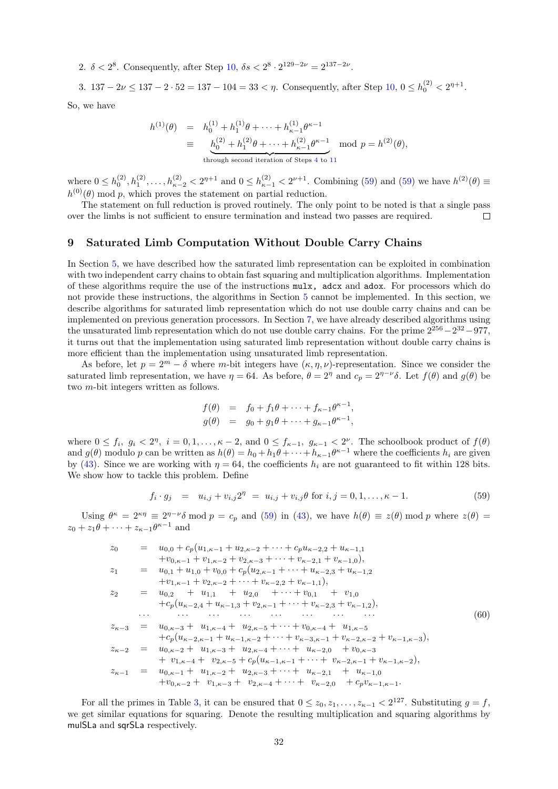2.  $\delta < 2^8$ . Consequently, after Step [10,](#page-30-0)  $\delta s < 2^8 \cdot 2^{129 - 2\nu} = 2^{137 - 2\nu}$ .

3.  $137 - 2\nu \le 137 - 2 \cdot 52 = 137 - 104 = 33 < \eta$ . Consequently, after Step  $10, 0 \le h_0^{(2)} < 2^{\eta+1}$  $10, 0 \le h_0^{(2)} < 2^{\eta+1}$ .

So, we have

<span id="page-31-1"></span>
$$
h^{(1)}(\theta) = h_0^{(1)} + h_1^{(1)}\theta + \dots + h_{\kappa-1}^{(1)}\theta^{\kappa-1}
$$
  
\n
$$
\equiv \underbrace{h_0^{(2)} + h_1^{(2)}\theta + \dots + h_{\kappa-1}^{(2)}\theta^{\kappa-1}}_{\text{through second iteration of Steps 4 to 11}} \mod p = h^{(2)}(\theta),
$$

where  $0 \leq h_0^{(2)}$ ,  $h_1^{(2)}$ , ...,  $h_{\kappa-2}^{(2)} < 2^{\eta+1}$  and  $0 \leq h_{\kappa-1}^{(2)} < 2^{\nu+1}$ . Combining [\(59\)](#page-31-1) and (59) we have  $h^{(2)}(\theta) \equiv$  $h^{(0)}(\theta)$  mod p, which proves the statement on partial reduction.

The statement on full reduction is proved routinely. The only point to be noted is that a single pass over the limbs is not sufficient to ensure termination and instead two passes are required.  $\Box$ 

# <span id="page-31-0"></span>9 Saturated Limb Computation Without Double Carry Chains

In Section [5,](#page-9-0) we have described how the saturated limb representation can be exploited in combination with two independent carry chains to obtain fast squaring and multiplication algorithms. Implementation of these algorithms require the use of the instructions mulx, adcx and adox. For processors which do not provide these instructions, the algorithms in Section [5](#page-9-0) cannot be implemented. In this section, we describe algorithms for saturated limb representation which do not use double carry chains and can be implemented on previous generation processors. In Section [7,](#page-21-0) we have already described algorithms using the unsaturated limb representation which do not use double carry chains. For the prime  $2^{256} - 2^{32} - 977$ , it turns out that the implementation using saturated limb representation without double carry chains is more efficient than the implementation using unsaturated limb representation.

As before, let  $p = 2^m - \delta$  where m-bit integers have  $(\kappa, \eta, \nu)$ -representation. Since we consider the saturated limb representation, we have  $\eta = 64$ . As before,  $\theta = 2^{\eta}$  and  $c_p = 2^{\eta - \nu} \delta$ . Let  $f(\theta)$  and  $g(\theta)$  be two m-bit integers written as follows.

$$
f(\theta) = f_0 + f_1 \theta + \dots + f_{\kappa-1} \theta^{\kappa-1},
$$
  

$$
g(\theta) = g_0 + g_1 \theta + \dots + g_{\kappa-1} \theta^{\kappa-1},
$$

where  $0 \le f_i$ ,  $g_i < 2^{\eta}$ ,  $i = 0, 1, \ldots, \kappa - 2$ , and  $0 \le f_{\kappa-1}$ ,  $g_{\kappa-1} < 2^{\nu}$ . The schoolbook product of  $f(\theta)$ and  $g(\theta)$  modulo p can be written as  $h(\theta) = h_0 + h_1 \theta + \cdots + h_{\kappa-1} \theta^{\kappa-1}$  where the coefficients  $h_i$  are given by [\(43\)](#page-22-1). Since we are working with  $\eta = 64$ , the coefficients  $h_i$  are not guaranteed to fit within 128 bits. We show how to tackle this problem. Define

<span id="page-31-2"></span>
$$
f_i \cdot g_j = u_{i,j} + v_{i,j} 2^{\eta} = u_{i,j} + v_{i,j} \theta \text{ for } i, j = 0, 1, \dots, \kappa - 1.
$$
 (59)

Using  $\theta^{\kappa} = 2^{\kappa \eta} \equiv 2^{\eta - \nu} \delta \mod p = c_p$  and [\(59\)](#page-31-2) in [\(43\)](#page-22-1), we have  $h(\theta) \equiv z(\theta) \mod p$  where  $z(\theta) = z(\theta)$  $z_0 + z_1 \theta + \cdots + z_{\kappa-1} \theta^{\kappa-1}$  and

z<sup>0</sup> = u0,<sup>0</sup> + cp(u1,κ−<sup>1</sup> + u2,κ−<sup>2</sup> + · · · + cpuκ−2,<sup>2</sup> + uκ−1,<sup>1</sup> +v0,κ−<sup>1</sup> + v1,κ−<sup>2</sup> + v2,κ−<sup>3</sup> + · · · + vκ−2,<sup>1</sup> + vκ−1,0), z<sup>1</sup> = u0,<sup>1</sup> + u1,<sup>0</sup> + v0,<sup>0</sup> + cp(u2,κ−<sup>1</sup> + · · · + uκ−2,<sup>3</sup> + uκ−1,<sup>2</sup> +v1,κ−<sup>1</sup> + v2,κ−<sup>2</sup> + · · · + vκ−2,<sup>2</sup> + vκ−1,1), z<sup>2</sup> = u0,<sup>2</sup> + u1,<sup>1</sup> + u2,<sup>0</sup> + · · · + v0,<sup>1</sup> + v1,<sup>0</sup> +cp(uκ−2,<sup>4</sup> + uκ−1,<sup>3</sup> + v2,κ−<sup>1</sup> + · · · + vκ−2,<sup>3</sup> + vκ−1,2), · · · · · · · · · · · · · · · · · · · · · · · · zκ−<sup>3</sup> = u0,κ−<sup>3</sup> + u1,κ−<sup>4</sup> + u2,κ−<sup>5</sup> + · · · + v0,κ−<sup>4</sup> + u1,κ−<sup>5</sup> +cp(uκ−2,κ−<sup>1</sup> + uκ−1,κ−<sup>2</sup> + · · · + vκ−3,κ−<sup>1</sup> + vκ−2,κ−<sup>2</sup> + vκ−1,κ−3), zκ−<sup>2</sup> = u0,κ−<sup>2</sup> + u1,κ−<sup>3</sup> + u2,κ−<sup>4</sup> + · · · + uκ−2,<sup>0</sup> + v0,κ−<sup>3</sup> + v1,κ−<sup>4</sup> + v2,κ−<sup>5</sup> + cp(uκ−1,κ−<sup>1</sup> + · · · + vκ−2,κ−<sup>1</sup> + vκ−1,κ−2), zκ−<sup>1</sup> = u0,κ−<sup>1</sup> + u1,κ−<sup>2</sup> + u2,κ−<sup>3</sup> + · · · + uκ−2,<sup>1</sup> + uκ−1,<sup>0</sup> +v0,κ−<sup>2</sup> + v1,κ−<sup>3</sup> + v2,κ−<sup>4</sup> + · · · + vκ−2,<sup>0</sup> + cpvκ−1,κ−1. (60)

For all the primes in Table [3,](#page-5-0) it can be ensured that  $0 \leq z_0, z_1, \ldots, z_{\kappa-1} < 2^{127}$ . Substituting  $g = f$ , we get similar equations for squaring. Denote the resulting multiplication and squaring algorithms by mulSLa and sqrSLa respectively.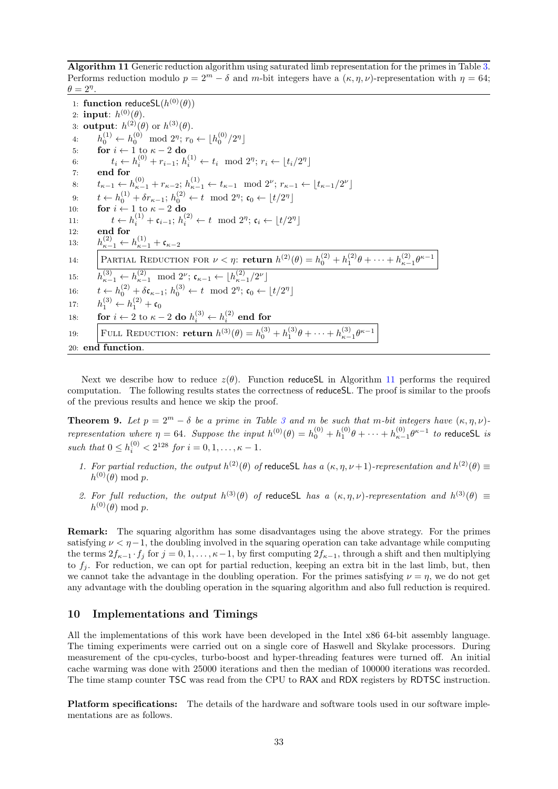<span id="page-32-1"></span>Algorithm 11 Generic reduction algorithm using saturated limb representation for the primes in Table [3.](#page-5-0) Performs reduction modulo  $p = 2^m - \delta$  and m-bit integers have a  $(\kappa, n, \nu)$ -representation with  $n = 64$ ;  $\theta = 2^{\eta}$ .

1: function reduceSL $(h^{(0)}(\theta))$ 2: input:  $h^{(0)}(\theta)$ . 3: output:  $h^{(2)}(\theta)$  or  $h^{(3)}(\theta)$ . 4:  $h_0^{(1)} \leftarrow h_0^{(0)} \mod 2^n; r_0 \leftarrow \lfloor h_0^{(0)}/2^n \rfloor$ 5: for  $i \leftarrow 1$  to  $\kappa - 2$  do 6:  $t_i \leftarrow h_i^{(0)} + r_{i-1}; h_i^{(1)} \leftarrow t_i \mod 2^{\eta}; r_i \leftarrow \lfloor t_i/2^{\eta} \rfloor$ 7: end for 8:  $t_{\kappa-1} \leftarrow h_{\kappa-1}^{(0)} + r_{\kappa-2}$ ;  $h_{\kappa-1}^{(1)} \leftarrow t_{\kappa-1} \mod 2^{\nu}$ ;  $r_{\kappa-1} \leftarrow \lfloor t_{\kappa-1}/2^{\nu} \rfloor$ 9:  $t \leftarrow h_0^{(1)} + \delta r_{\kappa-1}; h_0^{(2)} \leftarrow t \mod 2^{\eta}; \mathfrak{c}_0 \leftarrow \lfloor t/2^{\eta} \rfloor$ 10: **for**  $i \leftarrow 1$  to  $\kappa - 2$  do 11:  $t \leftarrow h_i^{(1)} + c_{i-1}; h_i^{(2)} \leftarrow t \mod 2^{\eta}; c_i \leftarrow \lfloor t/2^{\eta} \rfloor$ 12: end for 13:  $h_{\kappa-1}^{(2)} \leftarrow h_{\kappa-1}^{(1)} + \mathfrak{c}_{\kappa-2}$ 14: PARTIAL REDUCTION FOR  $\nu < \eta$ : return  $h^{(2)}(\theta) = h_0^{(2)} + h_1^{(2)}\theta + \cdots + h_{\kappa-1}^{(2)}\theta^{\kappa-1}$ 15:  $h_{\kappa-1}^{(3)} \leftarrow h_{\kappa-1}^{(2)} \mod 2^{\nu}; \mathfrak{c}_{\kappa-1} \leftarrow \lfloor h_{\kappa-1}^{(2)}/2^{\nu} \rfloor$ 16:  $t \leftarrow h_0^{(2)} + \delta \mathfrak{c}_{\kappa-1}; h_0^{(3)} \leftarrow t \mod 2^{\eta}; \mathfrak{c}_0 \leftarrow \lfloor t/2^{\eta} \rfloor$ 17:  $h_1^{(3)} \leftarrow h_1^{(2)} + c_0$ 18: **for**  $i \leftarrow 2$  to  $\kappa - 2$  do  $h_i^{(3)} \leftarrow h_i^{(2)}$  end for 19: **FULL REDUCTION: return**  $h^{(3)}(\theta) = h_0^{(3)} + h_1^{(3)}\theta + \cdots + h_{\kappa-1}^{(3)}\theta^{\kappa-1}$ 20: end function.

Next we describe how to reduce  $z(\theta)$ . Function reduceSL in Algorithm [11](#page-32-1) performs the required computation. The following results states the correctness of reduceSL. The proof is similar to the proofs of the previous results and hence we skip the proof.

**Theorem 9.** Let  $p = 2^m - \delta$  be a prime in Table [3](#page-5-0) and m be such that m-bit integers have  $(\kappa, \eta, \nu)$ representation where  $\eta = 64$ . Suppose the input  $h^{(0)}(\theta) = h_0^{(0)} + h_1^{(0)}\theta + \cdots + h_{\kappa-1}^{(0)}\theta^{\kappa-1}$  to reduceSL is such that  $0 \le h_i^{(0)} < 2^{128}$  for  $i = 0, 1, \ldots, \kappa - 1$ .

- 1. For partial reduction, the output  $h^{(2)}(\theta)$  of reduceSL has a  $(\kappa, \eta, \nu+1)$ -representation and  $h^{(2)}(\theta) \equiv$  $h^{(0)}(\theta) \bmod p.$
- 2. For full reduction, the output  $h^{(3)}(\theta)$  of reduceSL has a  $(\kappa, \eta, \nu)$ -representation and  $h^{(3)}(\theta) \equiv$  $h^{(0)}(\theta) \bmod p.$

Remark: The squaring algorithm has some disadvantages using the above strategy. For the primes satisfying  $\nu < \eta - 1$ , the doubling involved in the squaring operation can take advantage while computing the terms  $2f_{\kappa-1} \cdot f_j$  for  $j = 0, 1, \ldots, \kappa-1$ , by first computing  $2f_{\kappa-1}$ , through a shift and then multiplying to  $f_i$ . For reduction, we can opt for partial reduction, keeping an extra bit in the last limb, but, then we cannot take the advantage in the doubling operation. For the primes satisfying  $\nu = \eta$ , we do not get any advantage with the doubling operation in the squaring algorithm and also full reduction is required.

## <span id="page-32-0"></span>10 Implementations and Timings

All the implementations of this work have been developed in the Intel x86 64-bit assembly language. The timing experiments were carried out on a single core of Haswell and Skylake processors. During measurement of the cpu-cycles, turbo-boost and hyper-threading features were turned off. An initial cache warming was done with 25000 iterations and then the median of 100000 iterations was recorded. The time stamp counter TSC was read from the CPU to RAX and RDX registers by RDTSC instruction.

Platform specifications: The details of the hardware and software tools used in our software implementations are as follows.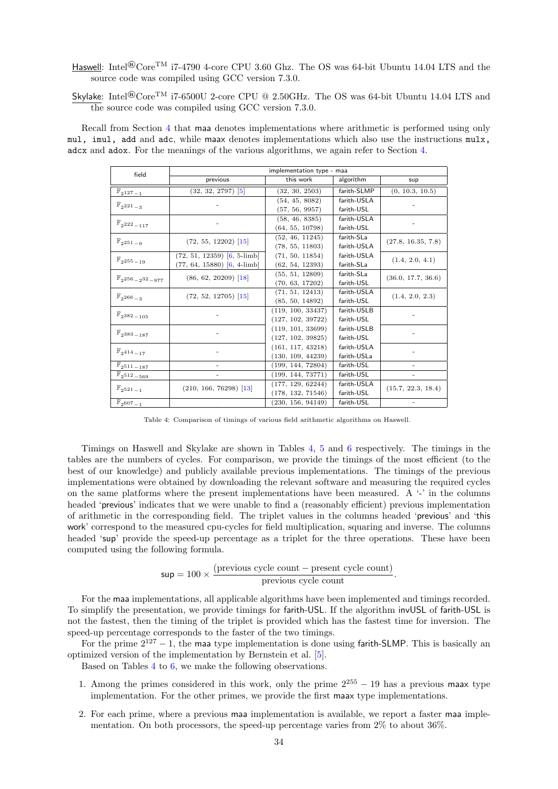Haswell: Intel<sup>®</sup>Core<sup>TM</sup> i7-4790 4-core CPU 3.60 Ghz. The OS was 64-bit Ubuntu 14.04 LTS and the source code was compiled using GCC version 7.3.0.

Skylake: Intel®CoreTM i7-6500U 2-core CPU @ 2.50GHz. The OS was 64-bit Ubuntu 14.04 LTS and the source code was compiled using GCC version 7.3.0.

<span id="page-33-0"></span>Recall from Section [4](#page-6-0) that maa denotes implementations where arithmetic is performed using only mul, imul, add and adc, while maax denotes implementations which also use the instructions mulx, adcx and adox. For the meanings of the various algorithms, we again refer to Section [4.](#page-6-0)

| field                             | implementation type - maa       |                   |             |                    |  |  |
|-----------------------------------|---------------------------------|-------------------|-------------|--------------------|--|--|
|                                   | previous                        | this work         | algorithm   | sup                |  |  |
| $\mathbb{F}_{2^{127}-1}$          | $(32, 32, 2797)$ [5]            | (32, 30, 2503)    | farith-SLMP | (0, 10.3, 10.5)    |  |  |
|                                   |                                 | (54, 45, 8082)    | farith-USLA |                    |  |  |
| $\mathbb{F}_{2^{221}-3}$          |                                 | (57, 56, 9957)    | farith-USL  |                    |  |  |
|                                   |                                 | (58, 46, 8385)    | farith-USLA |                    |  |  |
| $\mathbb{F}_{2^{222}-117}$        |                                 | (64, 55, 10798)   | farith-USL  |                    |  |  |
|                                   | $(72, 55, 12202)$ [15]          | (52, 46, 11245)   | farith-SLa  | (27.8, 16.35, 7.8) |  |  |
| $\mathbb{F}_{2^{251}-9}$          |                                 | (78, 55, 11803)   | farith-USLA |                    |  |  |
|                                   | $(72, 51, 12359)$ $[6, 5$ -limb | (71, 50, 11854)   | farith-USLA | (1.4, 2.0, 4.1)    |  |  |
| $\mathbb{F}_{2^{255}-19}$         | $(77, 64, 15880)$ $[6, 4-limb]$ | (62, 54, 12393)   | farith-SLa  |                    |  |  |
|                                   | $(86, 62, 20209)$ [18]          | (55, 51, 12809)   | farith-SLa  | (36.0, 17.7, 36.6) |  |  |
| $\mathbb{F}_{2^{256}-2^{32}-977}$ |                                 | (70, 63, 17202)   | farith-USL  |                    |  |  |
| $\mathbb{F}_{2^{266}-3}$          | $(72, 52, 12705)$ [15]          | (71, 51, 12413)   | farith-USLA | (1.4, 2.0, 2.3)    |  |  |
|                                   |                                 | (85, 50, 14892)   | farith-USL  |                    |  |  |
|                                   |                                 | (119, 100, 33437) | farith-USLB |                    |  |  |
| $\mathbb{F}_{2^{382}-105}$        |                                 | (127, 102, 39722) | farith-USL  |                    |  |  |
|                                   |                                 | (119, 101, 33699) | farith-USLB |                    |  |  |
| $\mathbb{F}_{2^{383}-187}$        |                                 | (127, 102, 39825) | farith-USL  |                    |  |  |
|                                   |                                 | (161, 117, 43218) | farith-USLA |                    |  |  |
| $\mathbb{F}_{2^{414}-17}$         |                                 | (130, 109, 44239) | farith-USLa |                    |  |  |
| $\mathbb{F}_{2^{511}-187}$        |                                 | (199, 144, 72804) | farith-USL  |                    |  |  |
| $\mathbb{F}_{2^{512}-569}$        |                                 | (199, 144, 73771) | farith-USL  |                    |  |  |
| $\mathbb{F}_{2^{521}-1}$          | $(210, 166, 76298)$ [13]        | (177, 129, 62244) | farith-USLA | (15.7, 22.3, 18.4) |  |  |
|                                   |                                 | (178, 132, 71546) | farith-USL  |                    |  |  |
| $\mathbb{F}_{2^{607}-1}$          |                                 | (230, 156, 94149) | farith-USL  |                    |  |  |

Table 4: Comparison of timings of various field arithmetic algorithms on Haswell.

Timings on Haswell and Skylake are shown in Tables [4,](#page-33-0) [5](#page-34-1) and [6](#page-34-2) respectively. The timings in the tables are the numbers of cycles. For comparison, we provide the timings of the most efficient (to the best of our knowledge) and publicly available previous implementations. The timings of the previous implementations were obtained by downloading the relevant software and measuring the required cycles on the same platforms where the present implementations have been measured. A '-' in the columns headed 'previous' indicates that we were unable to find a (reasonably efficient) previous implementation of arithmetic in the corresponding field. The triplet values in the columns headed 'previous' and 'this work' correspond to the measured cpu-cycles for field multiplication, squaring and inverse. The columns headed 'sup' provide the speed-up percentage as a triplet for the three operations. These have been computed using the following formula.

$$
sup = 100 \times \frac{(previous cycle count - present cycle count)}{previous cycle count}.
$$

For the maa implementations, all applicable algorithms have been implemented and timings recorded. To simplify the presentation, we provide timings for farith-USL. If the algorithm invUSL of farith-USL is not the fastest, then the timing of the triplet is provided which has the fastest time for inversion. The speed-up percentage corresponds to the faster of the two timings.

For the prime  $2^{127} - 1$ , the maa type implementation is done using farith-SLMP. This is basically an optimized version of the implementation by Bernstein et al. [\[5\]](#page-35-1).

Based on Tables [4](#page-33-0) to [6,](#page-34-2) we make the following observations.

- 1. Among the primes considered in this work, only the prime  $2^{255} 19$  has a previous maax type implementation. For the other primes, we provide the first maax type implementations.
- 2. For each prime, where a previous maa implementation is available, we report a faster maa implementation. On both processors, the speed-up percentage varies from 2% to about 36%.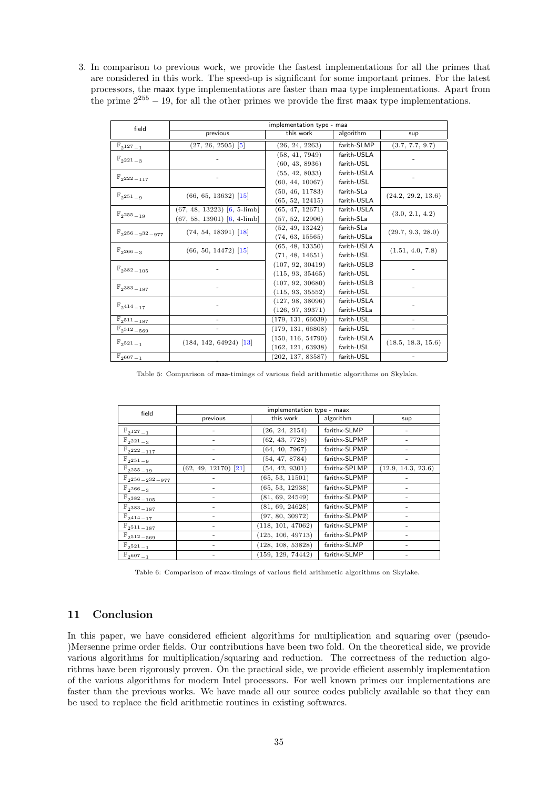3. In comparison to previous work, we provide the fastest implementations for all the primes that are considered in this work. The speed-up is significant for some important primes. For the latest processors, the maax type implementations are faster than maa type implementations. Apart from the prime  $2^{255} - 19$ , for all the other primes we provide the first maax type implementations.

<span id="page-34-1"></span>

| field                                | implementation type - maa       |                   |             |                    |  |
|--------------------------------------|---------------------------------|-------------------|-------------|--------------------|--|
|                                      | previous                        | this work         | algorithm   | sup                |  |
| $\mathbb{F}_{2^{127}-1}$             | $(27, 26, 2505)$ [5]            | (26, 24, 2263)    | farith-SLMP | (3.7, 7.7, 9.7)    |  |
| $\mathbb{F}_{2^{221}-3}$             |                                 | (58, 41, 7949)    | farith-USLA |                    |  |
|                                      |                                 | (60, 43, 8936)    | farith-USL  |                    |  |
|                                      |                                 | (55, 42, 8033)    | farith-USLA |                    |  |
| $\mathbb{F}_{2^{222}-117}$           |                                 | (60, 44, 10067)   | farith-USL  |                    |  |
|                                      | $(66, 65, 13632)$ [15]          | (50, 46, 11783)   | farith-SLa  | (24.2, 29.2, 13.6) |  |
| $\mathbb{F}_{2^{251}-9}$             |                                 | (65, 52, 12415)   | farith-USLA |                    |  |
| $\mathbb{F}_{2^{255}-19}$            | $(67, 48, 13223)$ $[6, 5$ -limb | (65, 47, 12671)   | farith-USLA | (3.0, 2.1, 4.2)    |  |
|                                      | $(67, 58, 13901)$ $[6, 4$ -limb | (57, 52, 12906)   | farith-SLa  |                    |  |
|                                      | $(74, 54, 18391)$ [18]          | (52, 49, 13242)   | farith-SLa  | (29.7, 9.3, 28.0)  |  |
| $\mathbb{F}_{2^{256}-2^{32}-977}$    |                                 | (74, 63, 15565)   | farith-USLa |                    |  |
| $\mathbb{F}_{2^{266}-3}$             | $(66, 50, 14472)$ [15]          | (65, 48, 13350)   | farith-USLA | (1.51, 4.0, 7.8)   |  |
|                                      |                                 | (71, 48, 14651)   | farith-USL  |                    |  |
| $\mathbb{F}_{2^{382}-105}$           |                                 | (107, 92, 30419)  | farith-USLB |                    |  |
|                                      |                                 | (115, 93, 35465)  | farith-USL  |                    |  |
| $\mathbb{F}_{2}$ 383 <sub>-187</sub> |                                 | (107, 92, 30680)  | farith-USLB |                    |  |
|                                      |                                 | (115, 93, 35552)  | farith-USL  |                    |  |
| $\mathbb{F}_{2^{414}-17}$            |                                 | (127, 98, 38096)  | farith-USLA |                    |  |
|                                      |                                 | (126, 97, 39371)  | farith-USLa |                    |  |
| $\mathbb{F}_{2^{511}-187}$           |                                 | (179, 131, 66039) | farith-USL  |                    |  |
| $\mathbb{F}_2$ 512 - 569             |                                 | (179, 131, 66808) | farith-USL  |                    |  |
| $\mathbb{F}_2$ 521 <sub>-1</sub>     | $(184, 142, 64924)$ [13]        | (150, 116, 54790) | farith-USLA | (18.5, 18.3, 15.6) |  |
|                                      |                                 | (162, 121, 63938) | farith-USL  |                    |  |
| $\mathbb{F}_{2607-1}$                |                                 | (202, 137, 83587) | farith-USL  |                    |  |

Table 5: Comparison of maa-timings of various field arithmetic algorithms on Skylake.

<span id="page-34-2"></span>

| field                                | implementation type - maax |                   |               |                    |  |
|--------------------------------------|----------------------------|-------------------|---------------|--------------------|--|
|                                      | previous                   | this work         | algorithm     |                    |  |
| $\mathbb{F}_{2^{127}-1}$             | ۰                          | (26, 24, 2154)    | farithx-SLMP  | ۰                  |  |
| $\mathbb{F}_{2^{221}-3}$             |                            | (62, 43, 7728)    | farithx-SLPMP |                    |  |
| $\mathbb{F}_{2^{222}-117}$           |                            | (64, 40, 7967)    | farithx-SLPMP |                    |  |
| $\mathbb{F}_{2^{251}-9}$             | ٠                          | (54, 47, 8784)    | farithx-SLPMP | ٠                  |  |
| $\mathbb{F}_{2^{255}-19}$            | $(62, 49, 12170)$ [21]     | (54, 42, 9301)    | farithx-SPLMP | (12.9, 14.3, 23.6) |  |
| $\mathbb{F}_{2^{256}-2^{32}-977}$    |                            | (65, 53, 11501)   | farithx-SLPMP |                    |  |
| $\mathbb{F}_{2^{266}-3}$             | ۰                          | (65, 53, 12938)   | farithx-SLPMP |                    |  |
| $\mathbb{F}_{2^{382}-105}$           | -                          | (81, 69, 24549)   | farithx-SLPMP | ۰                  |  |
| $\mathbb{F}_{2}$ 383 <sub>-187</sub> |                            | (81, 69, 24628)   | farithx-SLPMP |                    |  |
| $\mathbb{F}_{2^{414}-17}$            | ۰                          | (97, 80, 30972)   | farithx-SLPMP |                    |  |
| $\mathbb{F}_{2^{511}-187}$           | -                          | (118, 101, 47062) | farithx-SLPMP | ۰                  |  |
| $\mathbb{F}_{2^{512}-569}$           | ۰                          | (125, 106, 49713) | farithx-SLPMP |                    |  |
| $\mathbb{F}_{2^{521}-1}$             |                            | (128, 108, 53828) | farithx-SLMP  |                    |  |
| $\mathbb{F}_{2^{607}-1}$             | ٠                          | (159, 129, 74442) | farithx-SLMP  |                    |  |

Table 6: Comparison of maax-timings of various field arithmetic algorithms on Skylake.

# <span id="page-34-0"></span>11 Conclusion

In this paper, we have considered efficient algorithms for multiplication and squaring over (pseudo- )Mersenne prime order fields. Our contributions have been two fold. On the theoretical side, we provide various algorithms for multiplication/squaring and reduction. The correctness of the reduction algorithms have been rigorously proven. On the practical side, we provide efficient assembly implementation of the various algorithms for modern Intel processors. For well known primes our implementations are faster than the previous works. We have made all our source codes publicly available so that they can be used to replace the field arithmetic routines in existing softwares.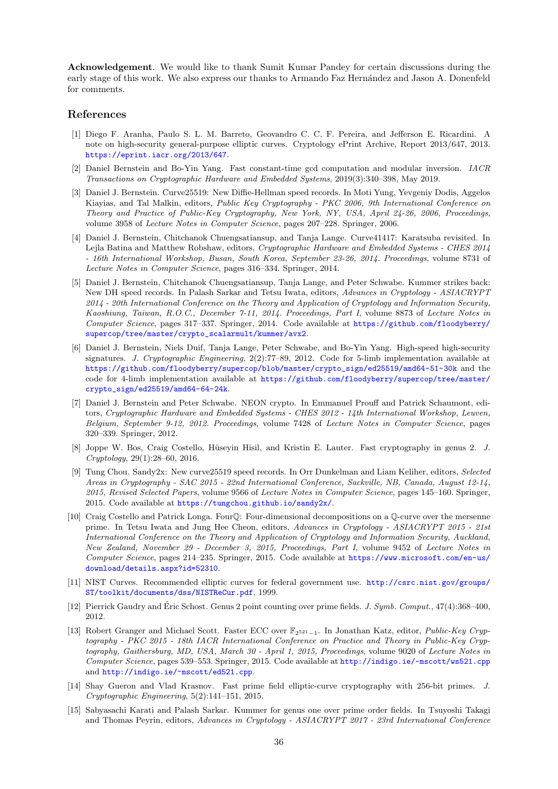Acknowledgement. We would like to thank Sumit Kumar Pandey for certain discussions during the early stage of this work. We also express our thanks to Armando Faz Hernández and Jason A. Donenfeld for comments.

## References

- <span id="page-35-9"></span>[1] Diego F. Aranha, Paulo S. L. M. Barreto, Geovandro C. C. F. Pereira, and Jefferson E. Ricardini. A note on high-security general-purpose elliptic curves. Cryptology ePrint Archive, Report 2013/647, 2013. <https://eprint.iacr.org/2013/647>.
- <span id="page-35-12"></span>[2] Daniel Bernstein and Bo-Yin Yang. Fast constant-time gcd computation and modular inversion. IACR Transactions on Cryptographic Hardware and Embedded Systems, 2019(3):340–398, May 2019.
- <span id="page-35-4"></span>[3] Daniel J. Bernstein. Curve25519: New Diffie-Hellman speed records. In Moti Yung, Yevgeniy Dodis, Aggelos Kiayias, and Tal Malkin, editors, Public Key Cryptography - PKC 2006, 9th International Conference on Theory and Practice of Public-Key Cryptography, New York, NY, USA, April 24-26, 2006, Proceedings, volume 3958 of Lecture Notes in Computer Science, pages 207–228. Springer, 2006.
- <span id="page-35-11"></span>[4] Daniel J. Bernstein, Chitchanok Chuengsatiansup, and Tanja Lange. Curve41417: Karatsuba revisited. In Lejla Batina and Matthew Robshaw, editors, Cryptographic Hardware and Embedded Systems - CHES 2014 - 16th International Workshop, Busan, South Korea, September 23-26, 2014. Proceedings, volume 8731 of Lecture Notes in Computer Science, pages 316–334. Springer, 2014.
- <span id="page-35-1"></span>[5] Daniel J. Bernstein, Chitchanok Chuengsatiansup, Tanja Lange, and Peter Schwabe. Kummer strikes back: New DH speed records. In Palash Sarkar and Tetsu Iwata, editors, Advances in Cryptology - ASIACRYPT 2014 - 20th International Conference on the Theory and Application of Cryptology and Information Security, Kaoshiung, Taiwan, R.O.C., December 7-11, 2014. Proceedings, Part I, volume 8873 of Lecture Notes in Computer Science, pages 317–337. Springer, 2014. Code available at [https://github.com/floodyberry/](https://github.com/floodyberry/supercop/tree/master/crypto_scalarmult/kummer/avx2) [supercop/tree/master/crypto\\_scalarmult/kummer/avx2](https://github.com/floodyberry/supercop/tree/master/crypto_scalarmult/kummer/avx2).
- <span id="page-35-7"></span>[6] Daniel J. Bernstein, Niels Duif, Tanja Lange, Peter Schwabe, and Bo-Yin Yang. High-speed high-security signatures. J. Cryptographic Engineering, 2(2):77-89, 2012. Code for 5-limb implementation available at [https://github.com/floodyberry/supercop/blob/master/crypto\\_sign/ed25519/amd64-51-30k](https://github.com/floodyberry/supercop/blob/master/crypto_sign/ed25519/amd64-51-30k) and the code for 4-limb implementation available at [https://github.com/floodyberry/supercop/tree/master/](https://github.com/floodyberry/supercop/tree/master/crypto_sign/ed25519/amd64-64-24k) [crypto\\_sign/ed25519/amd64-64-24k](https://github.com/floodyberry/supercop/tree/master/crypto_sign/ed25519/amd64-64-24k).
- <span id="page-35-13"></span>[7] Daniel J. Bernstein and Peter Schwabe. NEON crypto. In Emmanuel Prouff and Patrick Schaumont, editors, Cryptographic Hardware and Embedded Systems - CHES 2012 - 14th International Workshop, Leuven, Belgium, September 9-12, 2012. Proceedings, volume 7428 of Lecture Notes in Computer Science, pages 320–339. Springer, 2012.
- <span id="page-35-2"></span>[8] Joppe W. Bos, Craig Costello, Hüseyin Hisil, and Kristin E. Lauter. Fast cryptography in genus 2. J. Cryptology, 29(1):28–60, 2016.
- <span id="page-35-8"></span>[9] Tung Chou. Sandy2x: New curve25519 speed records. In Orr Dunkelman and Liam Keliher, editors, Selected Areas in Cryptography - SAC 2015 - 22nd International Conference, Sackville, NB, Canada, August 12-14, 2015, Revised Selected Papers, volume 9566 of Lecture Notes in Computer Science, pages 145–160. Springer, 2015. Code available at <https://tungchou.github.io/sandy2x/>.
- <span id="page-35-3"></span>[10] Craig Costello and Patrick Longa. FourQ: Four-dimensional decompositions on a Q-curve over the mersenne prime. In Tetsu Iwata and Jung Hee Cheon, editors, Advances in Cryptology - ASIACRYPT 2015 - 21st International Conference on the Theory and Application of Cryptology and Information Security, Auckland, New Zealand, November 29 - December 3, 2015, Proceedings, Part I, volume 9452 of Lecture Notes in Computer Science, pages 214–235. Springer, 2015. Code available at [https://www.microsoft.com/en-us/](https://www.microsoft.com/en-us/download/details.aspx?id=52310) [download/details.aspx?id=52310](https://www.microsoft.com/en-us/download/details.aspx?id=52310).
- <span id="page-35-5"></span>[11] NIST Curves. Recommended elliptic curves for federal government use. [http://csrc.nist.gov/groups/](http://csrc.nist.gov/groups/ST/toolkit/documents/dss/NISTReCur.pdf) [ST/toolkit/documents/dss/NISTReCur.pdf](http://csrc.nist.gov/groups/ST/toolkit/documents/dss/NISTReCur.pdf), 1999.
- <span id="page-35-0"></span>[12] Pierrick Gaudry and Éric Schost. Genus 2 point counting over prime fields. J. Symb. Comput.,  $47(4):368-400$ , 2012.
- <span id="page-35-14"></span>[13] Robert Granger and Michael Scott. Faster ECC over  $\mathbb{F}_{2^{521}-1}$ . In Jonathan Katz, editor, Public-Key Cryptography - PKC 2015 - 18th IACR International Conference on Practice and Theory in Public-Key Cryptography, Gaithersburg, MD, USA, March 30 - April 1, 2015, Proceedings, volume 9020 of Lecture Notes in Computer Science, pages 539–553. Springer, 2015. Code available at <http://indigo.ie/~mscott/ws521.cpp> and <http://indigo.ie/~mscott/ed521.cpp>.
- <span id="page-35-6"></span>[14] Shay Gueron and Vlad Krasnov. Fast prime field elliptic-curve cryptography with 256-bit primes. J. Cryptographic Engineering, 5(2):141–151, 2015.
- <span id="page-35-10"></span>[15] Sabyasachi Karati and Palash Sarkar. Kummer for genus one over prime order fields. In Tsuyoshi Takagi and Thomas Peyrin, editors, Advances in Cryptology - ASIACRYPT 2017 - 23rd International Conference